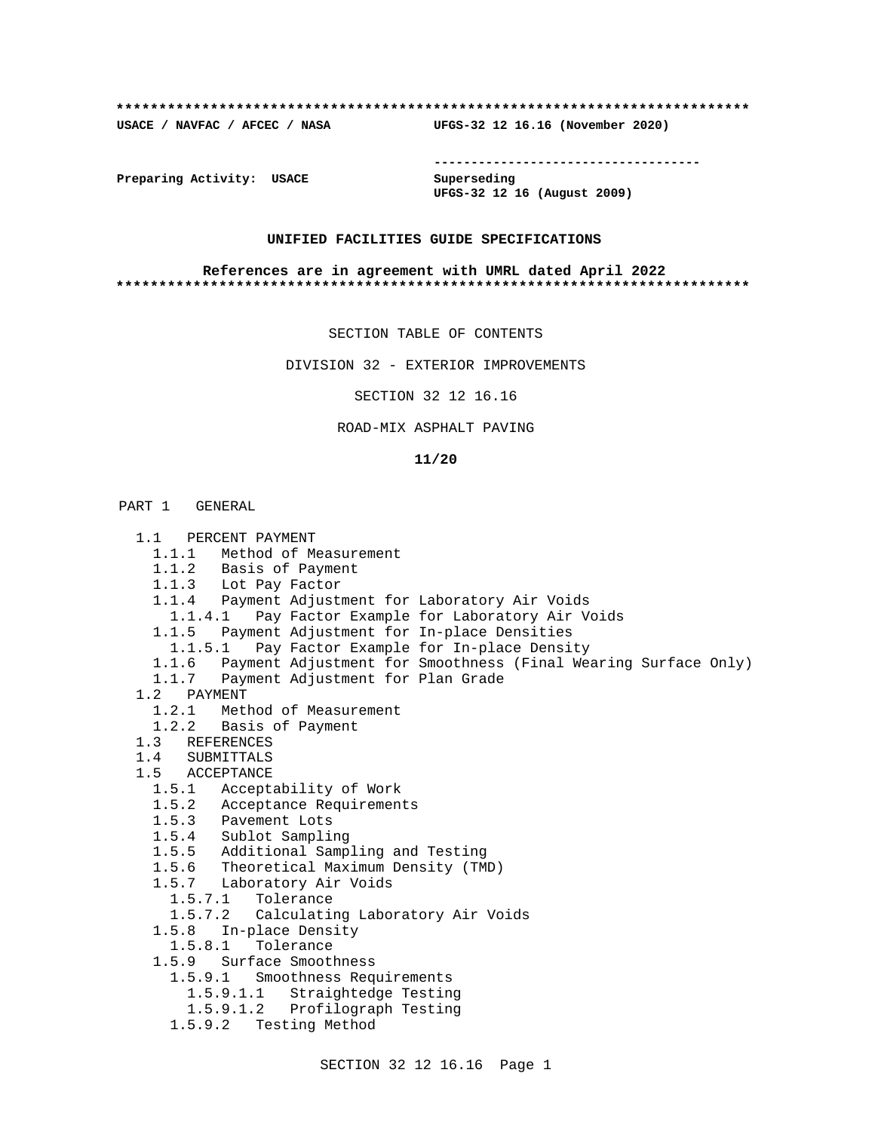### **\*\*\*\*\*\*\*\*\*\*\*\*\*\*\*\*\*\*\*\*\*\*\*\*\*\*\*\*\*\*\*\*\*\*\*\*\*\*\*\*\*\*\*\*\*\*\*\*\*\*\*\*\*\*\*\*\*\*\*\*\*\*\*\*\*\*\*\*\*\*\*\*\*\***

**USACE / NAVFAC / AFCEC / NASA UFGS-32 12 16.16 (November 2020)**

**------------------------------------**

**Preparing Activity: USACE Superseding**

**UFGS-32 12 16 (August 2009)**

## **UNIFIED FACILITIES GUIDE SPECIFICATIONS**

### **References are in agreement with UMRL dated April 2022 \*\*\*\*\*\*\*\*\*\*\*\*\*\*\*\*\*\*\*\*\*\*\*\*\*\*\*\*\*\*\*\*\*\*\*\*\*\*\*\*\*\*\*\*\*\*\*\*\*\*\*\*\*\*\*\*\*\*\*\*\*\*\*\*\*\*\*\*\*\*\*\*\*\***

SECTION TABLE OF CONTENTS

DIVISION 32 - EXTERIOR IMPROVEMENTS

SECTION 32 12 16.16

## ROAD-MIX ASPHALT PAVING

### **11/20**

## PART 1 GENERAL

 1.1 PERCENT PAYMENT 1.1.1 Method of Measurement 1.1.2 Basis of Payment 1.1.3 Lot Pay Factor 1.1.4 Payment Adjustment for Laboratory Air Voids 1.1.4.1 Pay Factor Example for Laboratory Air Voids 1.1.5 Payment Adjustment for In-place Densities 1.1.5.1 Pay Factor Example for In-place Density 1.1.6 Payment Adjustment for Smoothness (Final Wearing Surface Only) 1.1.7 Payment Adjustment for Plan Grade 1.2 PAYMENT 1.2.1 Method of Measurement 1.2.2 Basis of Payment 1.3 REFERENCES 1.4 SUBMITTALS 1.5 ACCEPTANCE 1.5.1 Acceptability of Work 1.5.2 Acceptance Requirements 1.5.3 Pavement Lots 1.5.4 Sublot Sampling 1.5.5 Additional Sampling and Testing 1.5.6 Theoretical Maximum Density (TMD) 1.5.7 Laboratory Air Voids 1.5.7.1 Tolerance 1.5.7.2 Calculating Laboratory Air Voids 1.5.8 In-place Density 1.5.8.1 Tolerance 1.5.9 Surface Smoothness 1.5.9.1 Smoothness Requirements 1.5.9.1.1 Straightedge Testing 1.5.9.1.2 Profilograph Testing 1.5.9.2 Testing Method

SECTION 32 12 16.16 Page 1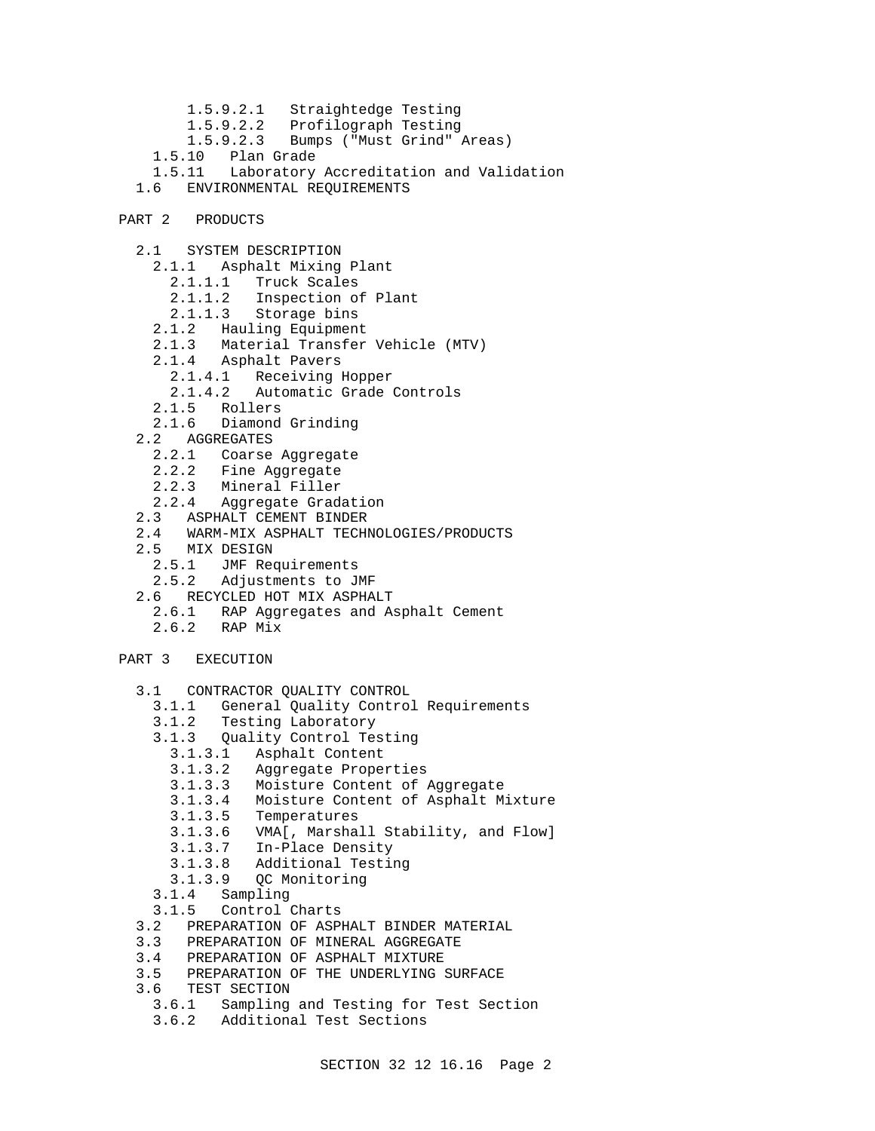- 1.5.9.2.1 Straightedge Testing 1.5.9.2.2 Profilograph Testing 1.5.9.2.3 Bumps ("Must Grind" Areas) 1.5.10 Plan Grade 1.5.11 Laboratory Accreditation and Validation 1.6 ENVIRONMENTAL REQUIREMENTS
- PART 2 PRODUCTS
	- 2.1 SYSTEM DESCRIPTION
		- 2.1.1 Asphalt Mixing Plant
			- 2.1.1.1 Truck Scales
			- 2.1.1.2 Inspection of Plant
			- 2.1.1.3 Storage bins
		- 2.1.2 Hauling Equipment
		- 2.1.3 Material Transfer Vehicle (MTV)
		- 2.1.4 Asphalt Pavers
			- 2.1.4.1 Receiving Hopper
			- 2.1.4.2 Automatic Grade Controls
		- 2.1.5 Rollers
		- 2.1.6 Diamond Grinding
	- 2.2 AGGREGATES
		- 2.2.1 Coarse Aggregate
		- 2.2.2 Fine Aggregate
		- 2.2.3 Mineral Filler
		- 2.2.4 Aggregate Gradation
	- 2.3 ASPHALT CEMENT BINDER
	- 2.4 WARM-MIX ASPHALT TECHNOLOGIES/PRODUCTS
	- 2.5 MIX DESIGN
- 2.5.1 JMF Requirements
- 2.5.2 Adjustments to JMF
	- 2.6 RECYCLED HOT MIX ASPHALT
		- 2.6.1 RAP Aggregates and Asphalt Cement
		- 2.6.2 RAP Mix
- PART 3 EXECUTION
	- 3.1 CONTRACTOR QUALITY CONTROL
		- 3.1.1 General Quality Control Requirements
		- 3.1.2 Testing Laboratory
		- 3.1.3 Quality Control Testing
			- 3.1.3.1 Asphalt Content
			- 3.1.3.2 Aggregate Properties
			- 3.1.3.3 Moisture Content of Aggregate
			- 3.1.3.4 Moisture Content of Asphalt Mixture
			- 3.1.3.5 Temperatures
			- 3.1.3.6 VMA[, Marshall Stability, and Flow]
			- 3.1.3.7 In-Place Density
			- 3.1.3.8 Additional Testing
			- 3.1.3.9 QC Monitoring
		- 3.1.4 Sampling
		- 3.1.5 Control Charts
	- 3.2 PREPARATION OF ASPHALT BINDER MATERIAL
	- 3.3 PREPARATION OF MINERAL AGGREGATE
	- 3.4 PREPARATION OF ASPHALT MIXTURE
	- 3.5 PREPARATION OF THE UNDERLYING SURFACE
	- 3.6 TEST SECTION
		- 3.6.1 Sampling and Testing for Test Section
		- 3.6.2 Additional Test Sections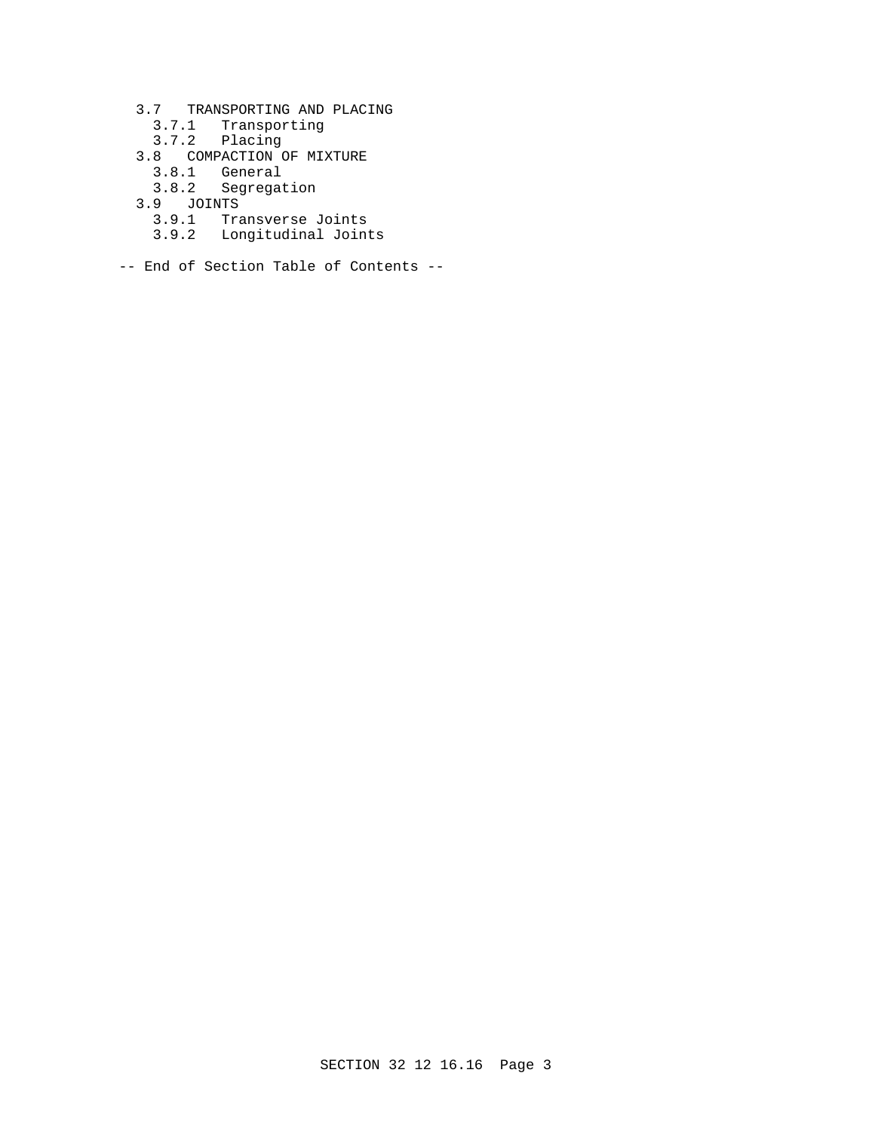- 3.7 TRANSPORTING AND PLACING
	- 3.7.1 Transporting
- 3.7.2 Placing
- 3.8 COMPACTION OF MIXTURE
	- 3.8.1 General
- 3.8.2 Segregation
- 3.9 JOINTS
	- 3.9.1 Transverse Joints
	- 3.9.2 Longitudinal Joints
- -- End of Section Table of Contents --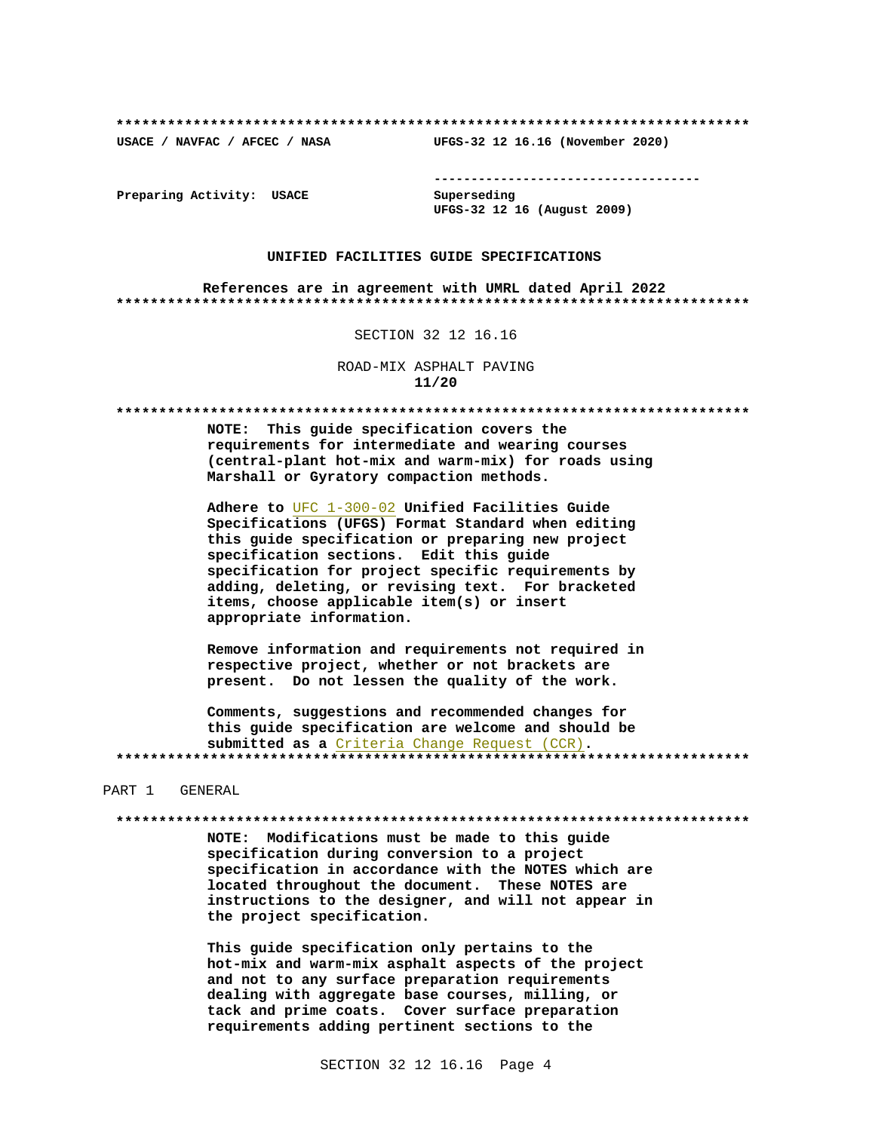USACE / NAVFAC / AFCEC / NASA

--------------------------------------

Preparing Activity: USACE

Superseding UFGS-32 12 16 (August 2009)

UFGS-32 12 16.16 (November 2020)

## UNIFIED FACILITIES GUIDE SPECIFICATIONS

References are in agreement with UMRL dated April 2022 

### SECTION 32 12 16.16

ROAD-MIX ASPHALT PAVING  $11/20$ 

NOTE: This guide specification covers the requirements for intermediate and wearing courses (central-plant hot-mix and warm-mix) for roads using Marshall or Gyratory compaction methods.

Adhere to UFC 1-300-02 Unified Facilities Guide Specifications (UFGS) Format Standard when editing this guide specification or preparing new project specification sections. Edit this guide specification for project specific requirements by adding, deleting, or revising text. For bracketed items, choose applicable item(s) or insert appropriate information.

Remove information and requirements not required in respective project, whether or not brackets are present. Do not lessen the quality of the work.

Comments, suggestions and recommended changes for this guide specification are welcome and should be submitted as a Criteria Change Request (CCR). 

### PART 1 GENERAL

#### 

NOTE: Modifications must be made to this guide specification during conversion to a project specification in accordance with the NOTES which are located throughout the document. These NOTES are instructions to the designer, and will not appear in the project specification.

This guide specification only pertains to the hot-mix and warm-mix asphalt aspects of the project and not to any surface preparation requirements dealing with aggregate base courses, milling, or tack and prime coats. Cover surface preparation requirements adding pertinent sections to the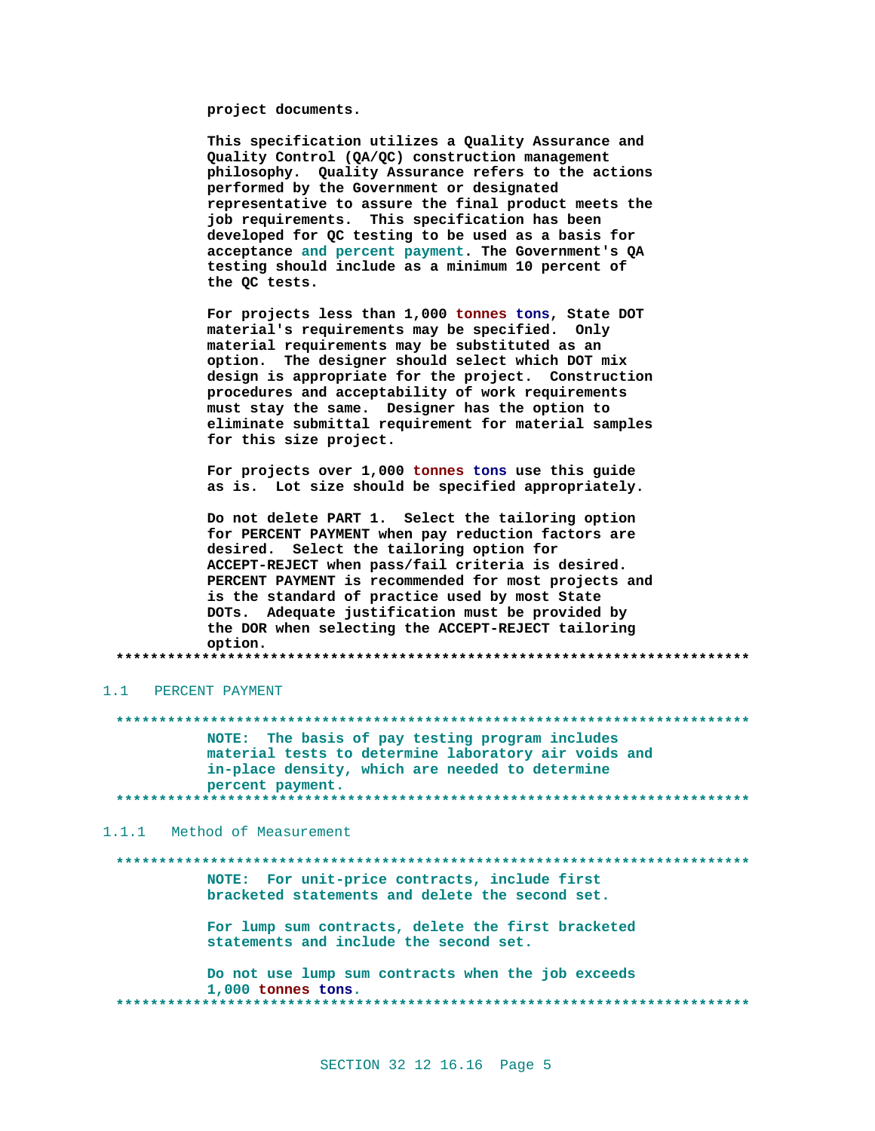project documents.

This specification utilizes a Quality Assurance and Quality Control (QA/QC) construction management philosophy. Quality Assurance refers to the actions performed by the Government or designated representative to assure the final product meets the job requirements. This specification has been developed for QC testing to be used as a basis for acceptance and percent payment. The Government's QA testing should include as a minimum 10 percent of the QC tests.

For projects less than 1,000 tonnes tons, State DOT material's requirements may be specified. Only material requirements may be substituted as an option. The designer should select which DOT mix design is appropriate for the project. Construction procedures and acceptability of work requirements must stay the same. Designer has the option to eliminate submittal requirement for material samples for this size project.

For projects over 1,000 tonnes tons use this guide as is. Lot size should be specified appropriately.

Do not delete PART 1. Select the tailoring option for PERCENT PAYMENT when pay reduction factors are desired. Select the tailoring option for ACCEPT-REJECT when pass/fail criteria is desired. PERCENT PAYMENT is recommended for most projects and is the standard of practice used by most State DOTs. Adequate justification must be provided by the DOR when selecting the ACCEPT-REJECT tailoring option.

## 1.1 PERCENT PAYMENT

NOTE: The basis of pay testing program includes material tests to determine laboratory air voids and in-place density, which are needed to determine percent payment. 

1.1.1 Method of Measurement

# NOTE: For unit-price contracts, include first bracketed statements and delete the second set. For lump sum contracts, delete the first bracketed statements and include the second set. Do not use lump sum contracts when the job exceeds 1,000 tonnes tons. \*\*\*\*\*\*\*\*\*\*\*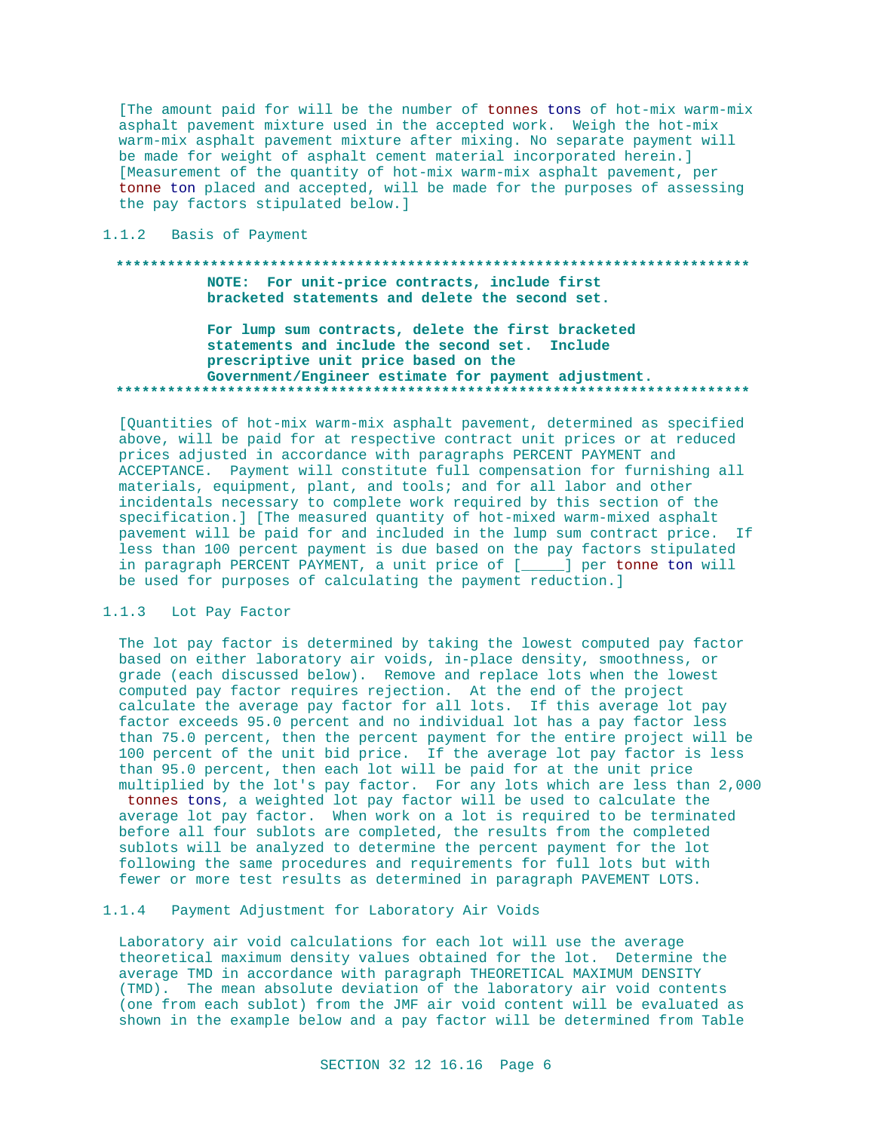[The amount paid for will be the number of tonnes tons of hot-mix warm-mix asphalt pavement mixture used in the accepted work. Weigh the hot-mix warm-mix asphalt pavement mixture after mixing. No separate payment will be made for weight of asphalt cement material incorporated herein.] [Measurement of the quantity of hot-mix warm-mix asphalt pavement, per tonne ton placed and accepted, will be made for the purposes of assessing the pay factors stipulated below.]

## 1.1.2 Basis of Payment

## NOTE: For unit-price contracts, include first bracketed statements and delete the second set.

## For lump sum contracts, delete the first bracketed statements and include the second set. Include prescriptive unit price based on the Government/Engineer estimate for payment adjustment.

[Quantities of hot-mix warm-mix asphalt pavement, determined as specified above, will be paid for at respective contract unit prices or at reduced prices adjusted in accordance with paragraphs PERCENT PAYMENT and ACCEPTANCE. Payment will constitute full compensation for furnishing all materials, equipment, plant, and tools; and for all labor and other incidentals necessary to complete work required by this section of the specification.] [The measured quantity of hot-mixed warm-mixed asphalt pavement will be paid for and included in the lump sum contract price. If less than 100 percent payment is due based on the pay factors stipulated in paragraph PERCENT PAYMENT, a unit price of [\_\_\_\_] per tonne ton will be used for purposes of calculating the payment reduction.]

## 1.1.3 Lot Pay Factor

The lot pay factor is determined by taking the lowest computed pay factor based on either laboratory air voids, in-place density, smoothness, or grade (each discussed below). Remove and replace lots when the lowest computed pay factor requires rejection. At the end of the project calculate the average pay factor for all lots. If this average lot pay factor exceeds 95.0 percent and no individual lot has a pay factor less than 75.0 percent, then the percent payment for the entire project will be 100 percent of the unit bid price. If the average lot pay factor is less than 95.0 percent, then each lot will be paid for at the unit price multiplied by the lot's pay factor. For any lots which are less than 2,000 tonnes tons, a weighted lot pay factor will be used to calculate the average lot pay factor. When work on a lot is required to be terminated before all four sublots are completed, the results from the completed sublots will be analyzed to determine the percent payment for the lot following the same procedures and requirements for full lots but with fewer or more test results as determined in paragraph PAVEMENT LOTS.

## 1.1.4 Payment Adjustment for Laboratory Air Voids

Laboratory air void calculations for each lot will use the average theoretical maximum density values obtained for the lot. Determine the average TMD in accordance with paragraph THEORETICAL MAXIMUM DENSITY (TMD). The mean absolute deviation of the laboratory air void contents (one from each sublot) from the JMF air void content will be evaluated as shown in the example below and a pay factor will be determined from Table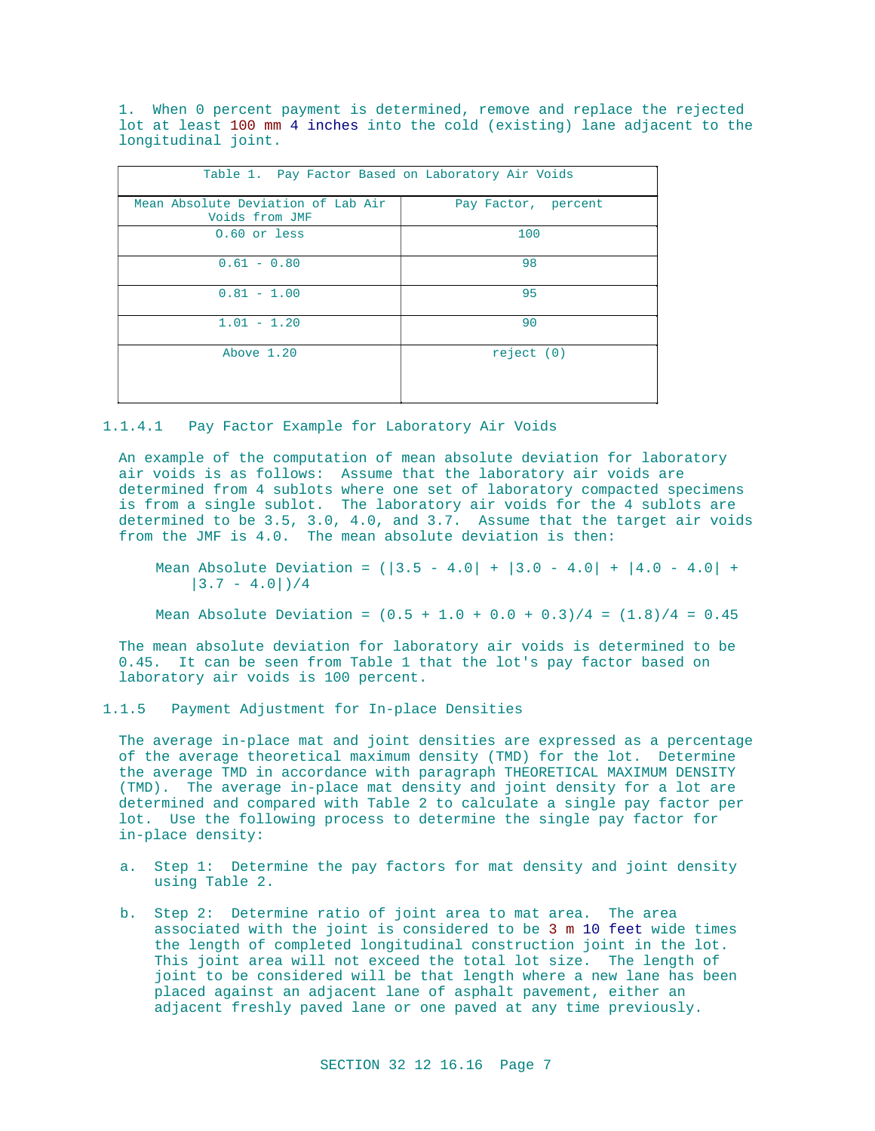1. When 0 percent payment is determined, remove and replace the rejected lot at least 100 mm 4 inches into the cold (existing) lane adjacent to the longitudinal joint.

| Table 1. Pay Factor Based on Laboratory Air Voids    |                     |
|------------------------------------------------------|---------------------|
| Mean Absolute Deviation of Lab Air<br>Voids from JMF | Pay Factor, percent |
| 0.60 or less                                         | 100                 |
| $0.61 - 0.80$                                        | 98                  |
| $0.81 - 1.00$                                        | 95                  |
| $1.01 - 1.20$                                        | 90                  |
| Above 1.20                                           | reject (0)          |
|                                                      |                     |

1.1.4.1 Pay Factor Example for Laboratory Air Voids

An example of the computation of mean absolute deviation for laboratory air voids is as follows: Assume that the laboratory air voids are determined from 4 sublots where one set of laboratory compacted specimens is from a single sublot. The laboratory air voids for the 4 sublots are determined to be 3.5, 3.0, 4.0, and 3.7. Assume that the target air voids from the JMF is 4.0. The mean absolute deviation is then:

Mean Absolute Deviation =  $(|3.5 - 4.0| + |3.0 - 4.0| + |4.0 - 4.0| +$  $|3.7 - 4.0|)/4$ 

Mean Absolute Deviation =  $(0.5 + 1.0 + 0.0 + 0.3)/4 = (1.8)/4 = 0.45$ 

The mean absolute deviation for laboratory air voids is determined to be 0.45. It can be seen from Table 1 that the lot's pay factor based on laboratory air voids is 100 percent.

## 1.1.5 Payment Adjustment for In-place Densities

The average in-place mat and joint densities are expressed as a percentage of the average theoretical maximum density (TMD) for the lot. Determine the average TMD in accordance with paragraph THEORETICAL MAXIMUM DENSITY (TMD). The average in-place mat density and joint density for a lot are determined and compared with Table 2 to calculate a single pay factor per lot. Use the following process to determine the single pay factor for in-place density:

- a. Step 1: Determine the pay factors for mat density and joint density using Table 2.
- b. Step 2: Determine ratio of joint area to mat area. The area associated with the joint is considered to be 3 m 10 feet wide times the length of completed longitudinal construction joint in the lot. This joint area will not exceed the total lot size. The length of joint to be considered will be that length where a new lane has been placed against an adjacent lane of asphalt pavement, either an adjacent freshly paved lane or one paved at any time previously.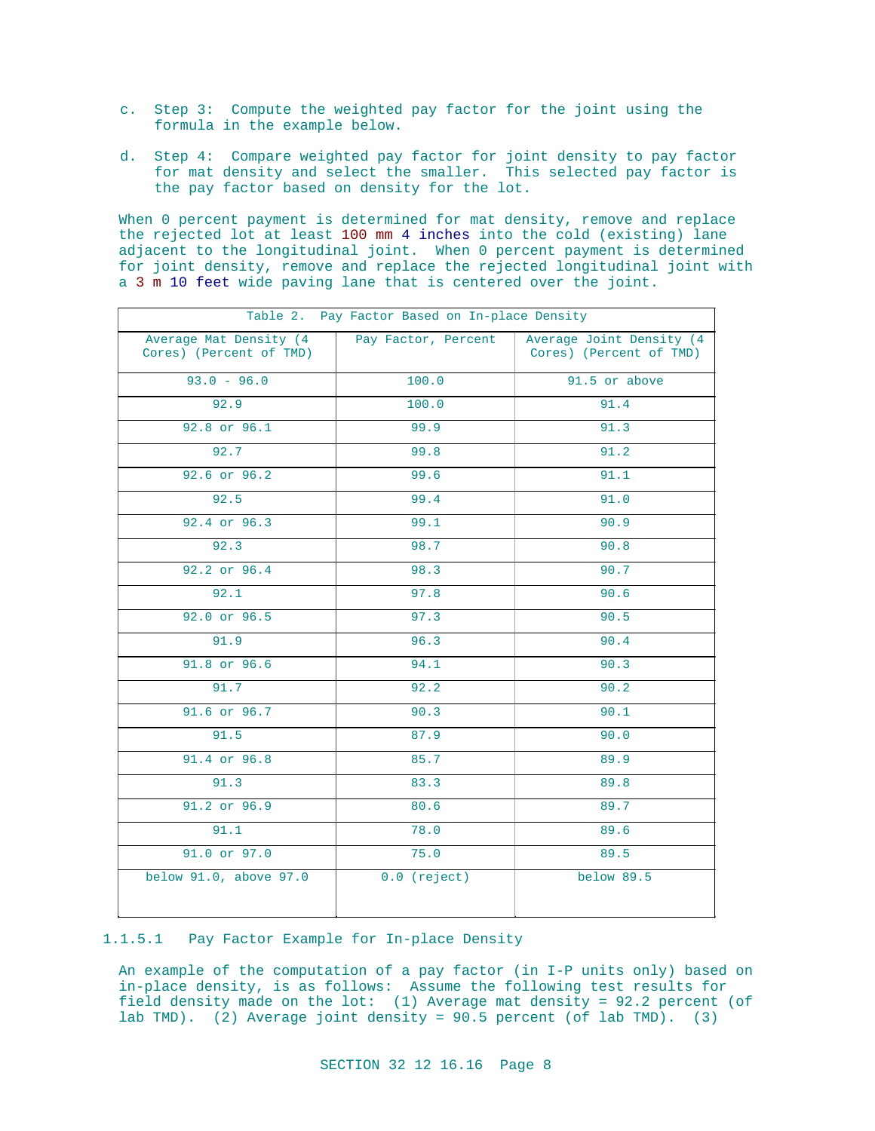- c. Step 3: Compute the weighted pay factor for the joint using the formula in the example below.
- d. Step 4: Compare weighted pay factor for joint density to pay factor for mat density and select the smaller. This selected pay factor is the pay factor based on density for the lot.

When 0 percent payment is determined for mat density, remove and replace the rejected lot at least 100 mm 4 inches into the cold (existing) lane adjacent to the longitudinal joint. When 0 percent payment is determined for joint density, remove and replace the rejected longitudinal joint with a 3 m 10 feet wide paving lane that is centered over the joint.

| Table 2. Pay Factor Based on In-place Density     |                     |                                                     |
|---------------------------------------------------|---------------------|-----------------------------------------------------|
| Average Mat Density (4<br>Cores) (Percent of TMD) | Pay Factor, Percent | Average Joint Density (4<br>Cores) (Percent of TMD) |
| $93.0 - 96.0$                                     | 100.0               | 91.5 or above                                       |
| 92.9                                              | 100.0               | 91.4                                                |
| 92.8 or 96.1                                      | 99.9                | 91.3                                                |
| 92.7                                              | 99.8                | 91.2                                                |
| 92.6 or 96.2                                      | 99.6                | 91.1                                                |
| 92.5                                              | 99.4                | 91.0                                                |
| 92.4 or 96.3                                      | 99.1                | 90.9                                                |
| 92.3                                              | 98.7                | 90.8                                                |
| 92.2 or 96.4                                      | 98.3                | 90.7                                                |
| 92.1                                              | 97.8                | 90.6                                                |
| 92.0 or 96.5                                      | 97.3                | 90.5                                                |
| 91.9                                              | 96.3                | 90.4                                                |
| 91.8 or 96.6                                      | 94.1                | 90.3                                                |
| 91.7                                              | 92.2                | 90.2                                                |
| 91.6 or 96.7                                      | 90.3                | 90.1                                                |
| 91.5                                              | 87.9                | 90.0                                                |
| 91.4 or 96.8                                      | 85.7                | 89.9                                                |
| 91.3                                              | 83.3                | 89.8                                                |
| 91.2 or 96.9                                      | 80.6                | 89.7                                                |
| 91.1                                              | 78.0                | 89.6                                                |
| 91.0 or 97.0                                      | 75.0                | 89.5                                                |
| below 91.0, above 97.0                            | $0.0$ (reject)      | below 89.5                                          |

## 1.1.5.1 Pay Factor Example for In-place Density

An example of the computation of a pay factor (in I-P units only) based on in-place density, is as follows: Assume the following test results for field density made on the lot: (1) Average mat density = 92.2 percent (of lab TMD). (2) Average joint density = 90.5 percent (of lab TMD). (3)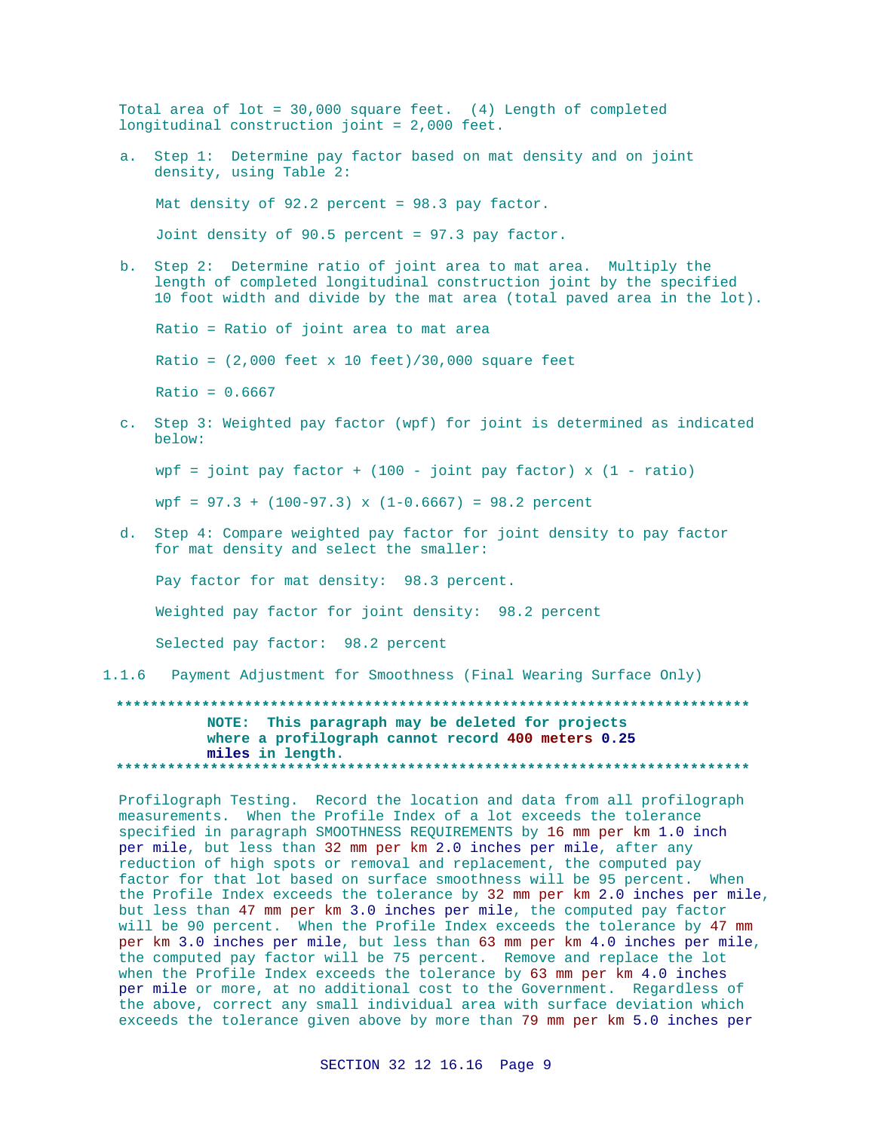Total area of  $lot = 30,000$  square feet. (4) Length of completed longitudinal construction joint = 2,000 feet. a. Step 1: Determine pay factor based on mat density and on joint density, using Table 2: Mat density of 92.2 percent = 98.3 pay factor. Joint density of 90.5 percent = 97.3 pay factor. b. Step 2: Determine ratio of joint area to mat area. Multiply the length of completed longitudinal construction joint by the specified 10 foot width and divide by the mat area (total paved area in the lot). Ratio = Ratio of joint area to mat area Ratio =  $(2,000$  feet x 10 feet)/30,000 square feet  $Ratio = 0.6667$ c. Step 3: Weighted pay factor (wpf) for joint is determined as indicated below: wpf = joint pay factor +  $(100 - joint pay factor) x (1 - ratio)$  $wpf = 97.3 + (100-97.3)$  x  $(1-0.6667) = 98.2$  percent d. Step 4: Compare weighted pay factor for joint density to pay factor for mat density and select the smaller: Pay factor for mat density: 98.3 percent. Weighted pay factor for joint density: 98.2 percent Selected pay factor: 98.2 percent 1.1.6 Payment Adjustment for Smoothness (Final Wearing Surface Only)

## NOTE: This paragraph may be deleted for projects where a profilograph cannot record 400 meters 0.25 miles in length.

Profilograph Testing. Record the location and data from all profilograph measurements. When the Profile Index of a lot exceeds the tolerance specified in paragraph SMOOTHNESS REQUIREMENTS by 16 mm per km 1.0 inch per mile, but less than 32 mm per km 2.0 inches per mile, after any reduction of high spots or removal and replacement, the computed pay factor for that lot based on surface smoothness will be 95 percent. When the Profile Index exceeds the tolerance by 32 mm per km 2.0 inches per mile, but less than 47 mm per km 3.0 inches per mile, the computed pay factor will be 90 percent. When the Profile Index exceeds the tolerance by 47 mm per km 3.0 inches per mile, but less than 63 mm per km 4.0 inches per mile, the computed pay factor will be 75 percent. Remove and replace the lot when the Profile Index exceeds the tolerance by 63 mm per km 4.0 inches per mile or more, at no additional cost to the Government. Regardless of the above, correct any small individual area with surface deviation which exceeds the tolerance given above by more than 79 mm per km 5.0 inches per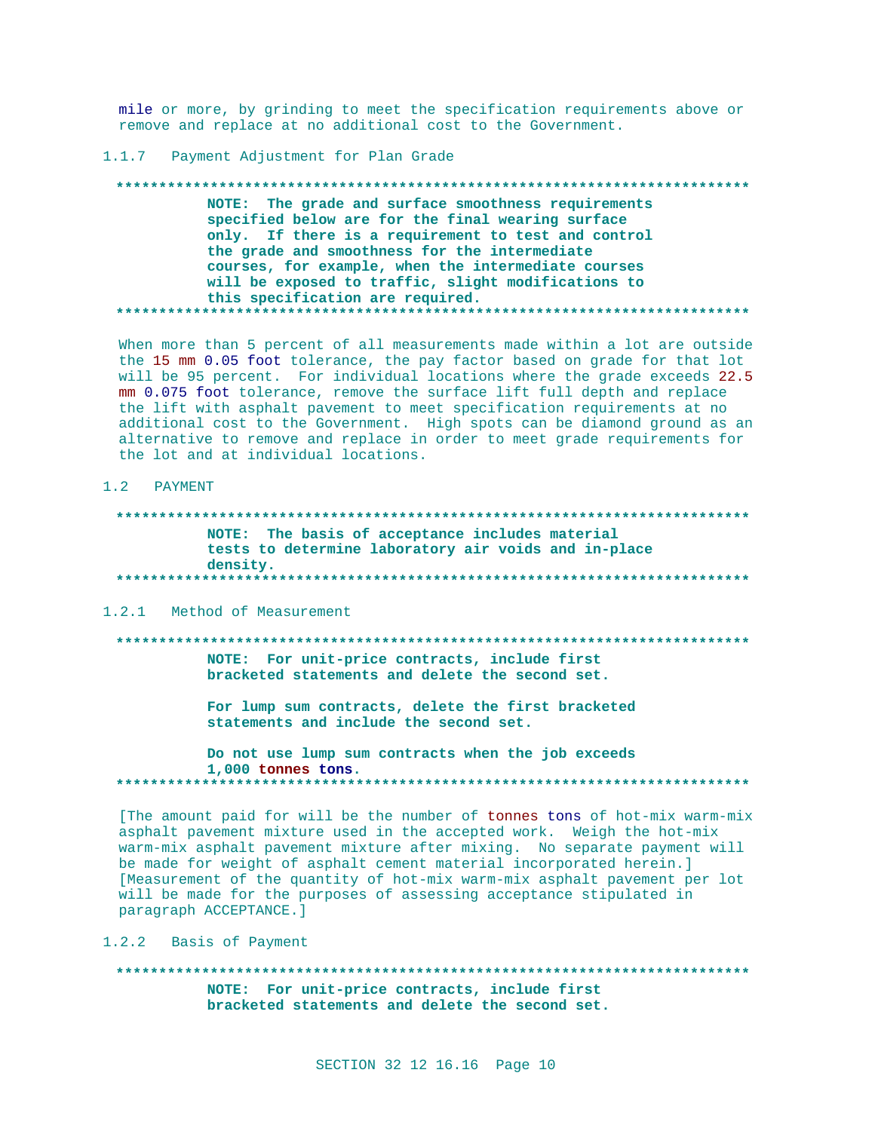mile or more, by grinding to meet the specification requirements above or remove and replace at no additional cost to the Government.

## 1.1.7 Payment Adjustment for Plan Grade

NOTE: The grade and surface smoothness requirements specified below are for the final wearing surface only. If there is a requirement to test and control the grade and smoothness for the intermediate courses, for example, when the intermediate courses will be exposed to traffic, slight modifications to this specification are required. . . . . . . . . . . . . . . .

When more than 5 percent of all measurements made within a lot are outside the 15 mm 0.05 foot tolerance, the pay factor based on grade for that lot will be 95 percent. For individual locations where the grade exceeds 22.5 mm 0.075 foot tolerance, remove the surface lift full depth and replace the lift with asphalt pavement to meet specification requirements at no additional cost to the Government. High spots can be diamond ground as an alternative to remove and replace in order to meet grade requirements for the lot and at individual locations.

### 1.2 PAYMENT

NOTE: The basis of acceptance includes material tests to determine laboratory air voids and in-place density. 

## 1.2.1 Method of Measurement

NOTE: For unit-price contracts, include first bracketed statements and delete the second set.

> For lump sum contracts, delete the first bracketed statements and include the second set.

Do not use lump sum contracts when the job exceeds 1,000 tonnes tons. 

[The amount paid for will be the number of tonnes tons of hot-mix warm-mix asphalt pavement mixture used in the accepted work. Weigh the hot-mix warm-mix asphalt pavement mixture after mixing. No separate payment will be made for weight of asphalt cement material incorporated herein.] [Measurement of the quantity of hot-mix warm-mix asphalt pavement per lot will be made for the purposes of assessing acceptance stipulated in paragraph ACCEPTANCE.]

1.2.2 Basis of Payment

NOTE: For unit-price contracts, include first bracketed statements and delete the second set.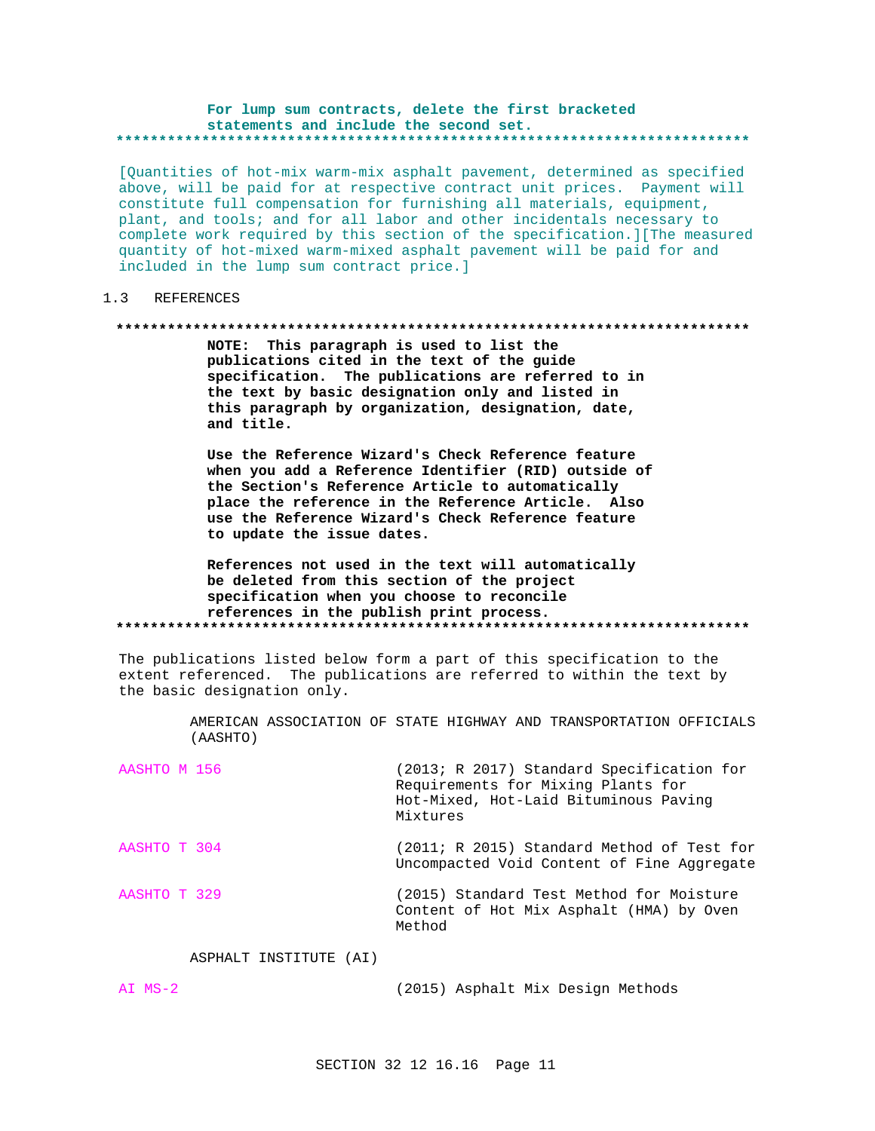#### For lump sum contracts, delete the first bracketed statements and include the second set. \*\*\*\*\*\*\*\*\*\*\*\*\*\*\*\*\*\*\*

[Quantities of hot-mix warm-mix asphalt pavement, determined as specified above, will be paid for at respective contract unit prices. Payment will constitute full compensation for furnishing all materials, equipment, plant, and tools; and for all labor and other incidentals necessary to complete work required by this section of the specification. ] [The measured quantity of hot-mixed warm-mixed asphalt pavement will be paid for and included in the lump sum contract price.]

#### $1.3$ **REFERENCES**

#### 

NOTE: This paragraph is used to list the publications cited in the text of the guide specification. The publications are referred to in the text by basic designation only and listed in this paragraph by organization, designation, date, and title.

Use the Reference Wizard's Check Reference feature when you add a Reference Identifier (RID) outside of the Section's Reference Article to automatically place the reference in the Reference Article. Also use the Reference Wizard's Check Reference feature to update the issue dates.

## References not used in the text will automatically be deleted from this section of the project specification when you choose to reconcile references in the publish print process.

The publications listed below form a part of this specification to the extent referenced. The publications are referred to within the text by the basic designation only.

> AMERICAN ASSOCIATION OF STATE HIGHWAY AND TRANSPORTATION OFFICIALS (AASHTO)

| AASHTO M 156 | (2013; R 2017) Standard Specification for<br>Requirements for Mixing Plants for<br>Hot-Mixed, Hot-Laid Bituminous Paving<br>Mixtures |
|--------------|--------------------------------------------------------------------------------------------------------------------------------------|
| AASHTO T 304 | (2011; R 2015) Standard Method of Test for<br>Uncompacted Void Content of Fine Aggregate                                             |
| AASHTO T 329 | (2015) Standard Test Method for Moisture<br>Content of Hot Mix Asphalt (HMA) by Oven<br>Method                                       |

## ASPHALT INSTITUTE (AI)

AI MS-2 (2015) Asphalt Mix Design Methods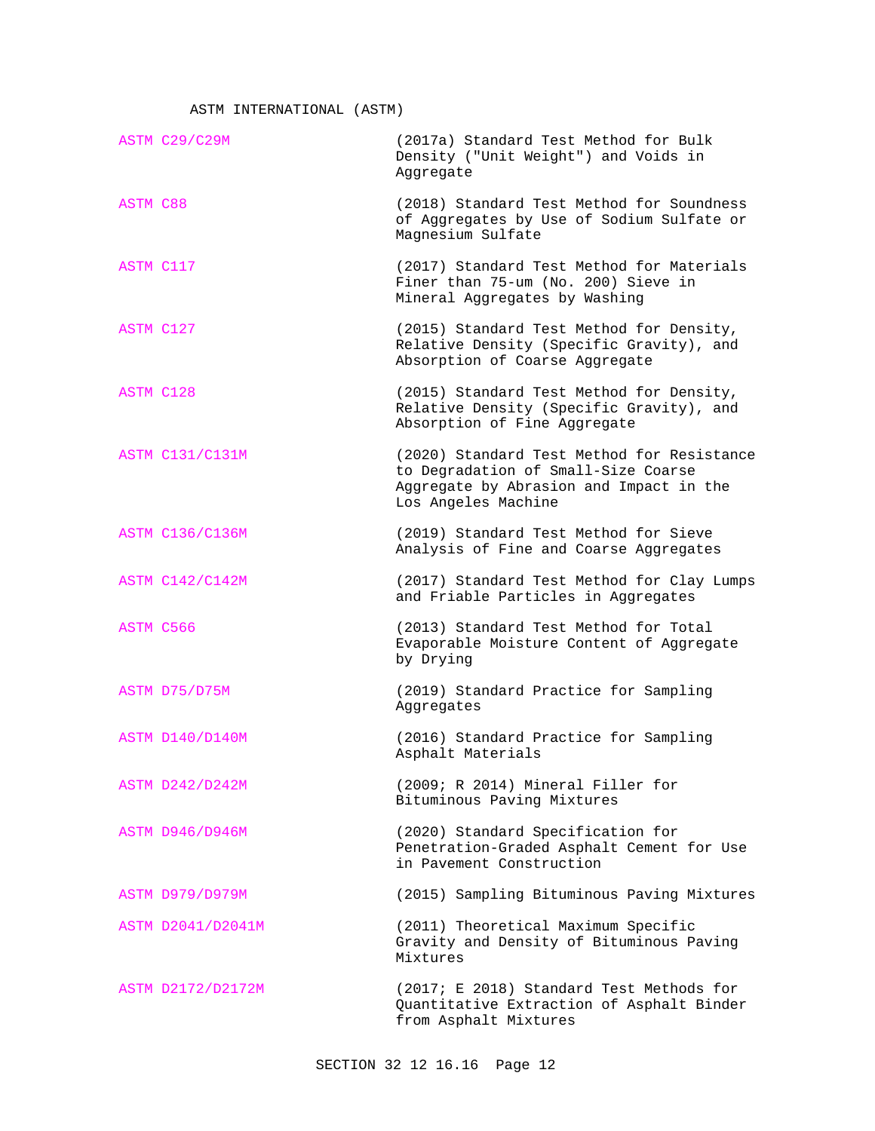ASTM INTERNATIONAL (ASTM)

|                 | ASTM C29/C29M          | (2017a) Standard Test Method for Bulk<br>Density ("Unit Weight") and Voids in<br>Aggregate                                                          |
|-----------------|------------------------|-----------------------------------------------------------------------------------------------------------------------------------------------------|
| <b>ASTM C88</b> |                        | (2018) Standard Test Method for Soundness<br>of Aggregates by Use of Sodium Sulfate or<br>Magnesium Sulfate                                         |
| ASTM C117       |                        | (2017) Standard Test Method for Materials<br>Finer than 75-um (No. 200) Sieve in<br>Mineral Aggregates by Washing                                   |
| ASTM C127       |                        | (2015) Standard Test Method for Density,<br>Relative Density (Specific Gravity), and<br>Absorption of Coarse Aggregate                              |
| ASTM C128       |                        | (2015) Standard Test Method for Density,<br>Relative Density (Specific Gravity), and<br>Absorption of Fine Aggregate                                |
|                 | <b>ASTM C131/C131M</b> | (2020) Standard Test Method for Resistance<br>to Degradation of Small-Size Coarse<br>Aggregate by Abrasion and Impact in the<br>Los Angeles Machine |
|                 | <b>ASTM C136/C136M</b> | (2019) Standard Test Method for Sieve<br>Analysis of Fine and Coarse Aggregates                                                                     |
|                 | <b>ASTM C142/C142M</b> | (2017) Standard Test Method for Clay Lumps<br>and Friable Particles in Aggregates                                                                   |
| ASTM C566       |                        | (2013) Standard Test Method for Total<br>Evaporable Moisture Content of Aggregate<br>by Drying                                                      |
|                 | ASTM D75/D75M          | (2019) Standard Practice for Sampling<br>Aggregates                                                                                                 |
|                 | ASTM D140/D140M        | (2016) Standard Practice for Sampling<br>Asphalt Materials                                                                                          |
|                 | ASTM D242/D242M        | (2009; R 2014) Mineral Filler for<br>Bituminous Paving Mixtures                                                                                     |
|                 | <b>ASTM D946/D946M</b> | (2020) Standard Specification for<br>Penetration-Graded Asphalt Cement for Use<br>in Pavement Construction                                          |
|                 | <b>ASTM D979/D979M</b> | (2015) Sampling Bituminous Paving Mixtures                                                                                                          |
|                 | ASTM D2041/D2041M      | (2011) Theoretical Maximum Specific<br>Gravity and Density of Bituminous Paving<br>Mixtures                                                         |
|                 | ASTM D2172/D2172M      | (2017; E 2018) Standard Test Methods for<br>Quantitative Extraction of Asphalt Binder<br>from Asphalt Mixtures                                      |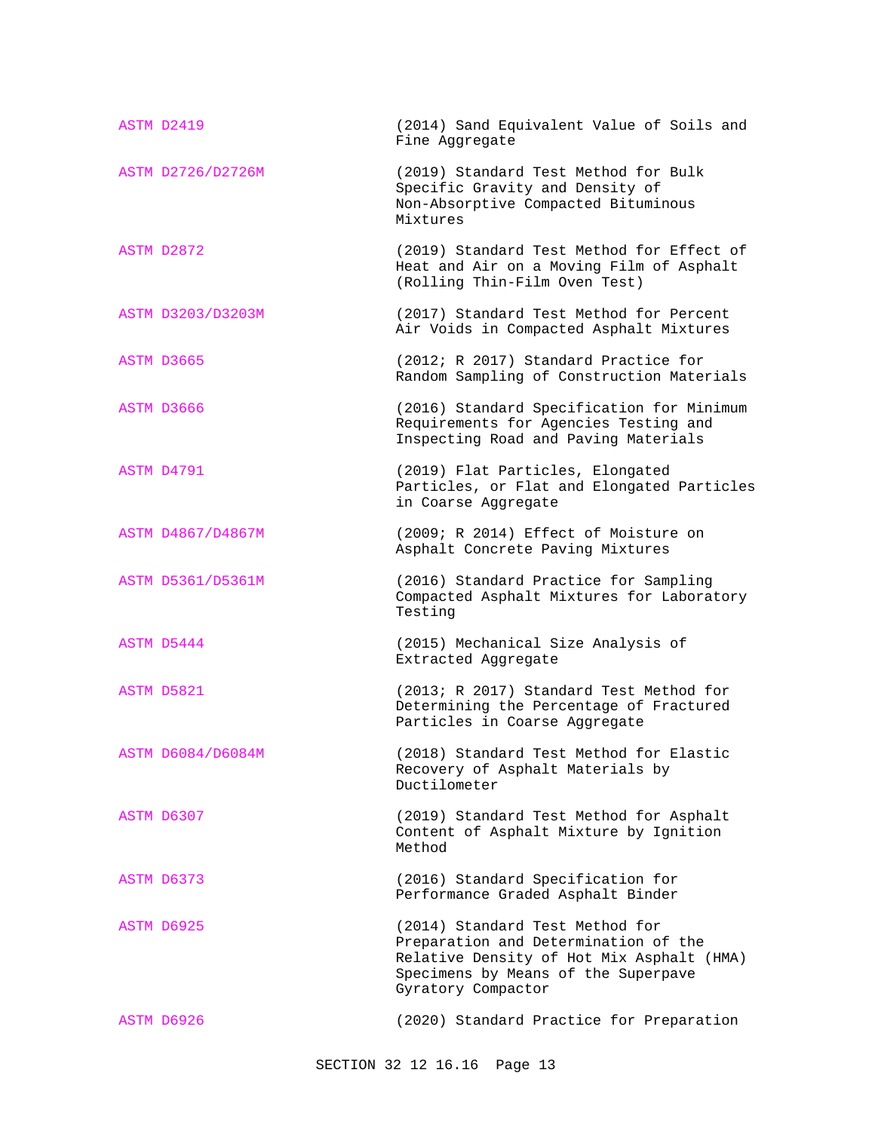| ASTM D2419        | (2014) Sand Equivalent Value of Soils and<br>Fine Aggregate                                                                                                                       |
|-------------------|-----------------------------------------------------------------------------------------------------------------------------------------------------------------------------------|
| ASTM D2726/D2726M | (2019) Standard Test Method for Bulk<br>Specific Gravity and Density of<br>Non-Absorptive Compacted Bituminous<br>Mixtures                                                        |
| ASTM D2872        | (2019) Standard Test Method for Effect of<br>Heat and Air on a Moving Film of Asphalt<br>(Rolling Thin-Film Oven Test)                                                            |
| ASTM D3203/D3203M | (2017) Standard Test Method for Percent<br>Air Voids in Compacted Asphalt Mixtures                                                                                                |
| ASTM D3665        | (2012; R 2017) Standard Practice for<br>Random Sampling of Construction Materials                                                                                                 |
| ASTM D3666        | (2016) Standard Specification for Minimum<br>Requirements for Agencies Testing and<br>Inspecting Road and Paving Materials                                                        |
| ASTM D4791        | (2019) Flat Particles, Elongated<br>Particles, or Flat and Elongated Particles<br>in Coarse Aggregate                                                                             |
| ASTM D4867/D4867M | (2009; R 2014) Effect of Moisture on<br>Asphalt Concrete Paving Mixtures                                                                                                          |
| ASTM D5361/D5361M | (2016) Standard Practice for Sampling<br>Compacted Asphalt Mixtures for Laboratory<br>Testing                                                                                     |
| ASTM D5444        | (2015) Mechanical Size Analysis of<br>Extracted Aggregate                                                                                                                         |
| ASTM D5821        | (2013; R 2017) Standard Test Method for<br>Determining the Percentage of Fractured<br>Particles in Coarse Aggregate                                                               |
| ASTM D6084/D6084M | (2018) Standard Test Method for Elastic<br>Recovery of Asphalt Materials by<br>Ductilometer                                                                                       |
| ASTM D6307        | (2019) Standard Test Method for Asphalt<br>Content of Asphalt Mixture by Ignition<br>Method                                                                                       |
| ASTM D6373        | (2016) Standard Specification for<br>Performance Graded Asphalt Binder                                                                                                            |
| ASTM D6925        | (2014) Standard Test Method for<br>Preparation and Determination of the<br>Relative Density of Hot Mix Asphalt (HMA)<br>Specimens by Means of the Superpave<br>Gyratory Compactor |
| ASTM D6926        | (2020) Standard Practice for Preparation                                                                                                                                          |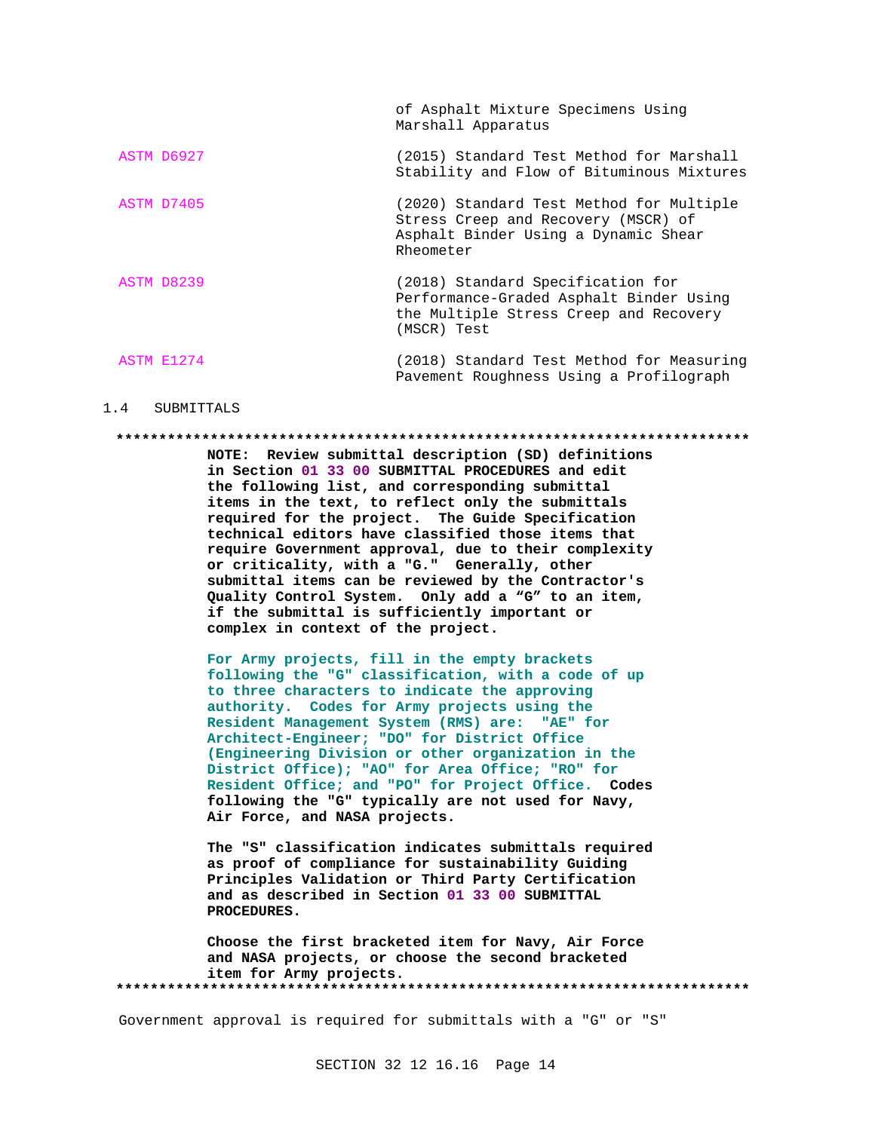|            | of Asphalt Mixture Specimens Using<br>Marshall Apparatus                                                                              |
|------------|---------------------------------------------------------------------------------------------------------------------------------------|
| ASTM D6927 | (2015) Standard Test Method for Marshall<br>Stability and Flow of Bituminous Mixtures                                                 |
| ASTM D7405 | (2020) Standard Test Method for Multiple<br>Stress Creep and Recovery (MSCR) of<br>Asphalt Binder Using a Dynamic Shear<br>Rheometer  |
| ASTM D8239 | (2018) Standard Specification for<br>Performance-Graded Asphalt Binder Using<br>the Multiple Stress Creep and Recovery<br>(MSCR) Test |
| ASTM E1274 | (2018) Standard Test Method for Measuring<br>Pavement Roughness Using a Profilograph                                                  |

### 1.4 SUBMITTALS

### **\*\*\*\*\*\*\*\*\*\*\*\*\*\*\*\*\*\*\*\*\*\*\*\*\*\*\*\*\*\*\*\*\*\*\*\*\*\*\*\*\*\*\*\*\*\*\*\*\*\*\*\*\*\*\*\*\*\*\*\*\*\*\*\*\*\*\*\*\*\*\*\*\*\***

**NOTE: Review submittal description (SD) definitions in Section 01 33 00 SUBMITTAL PROCEDURES and edit the following list, and corresponding submittal items in the text, to reflect only the submittals required for the project. The Guide Specification technical editors have classified those items that require Government approval, due to their complexity or criticality, with a "G." Generally, other submittal items can be reviewed by the Contractor's Quality Control System. Only add a "G" to an item, if the submittal is sufficiently important or complex in context of the project.**

**For Army projects, fill in the empty brackets following the "G" classification, with a code of up to three characters to indicate the approving authority. Codes for Army projects using the Resident Management System (RMS) are: "AE" for Architect-Engineer; "DO" for District Office (Engineering Division or other organization in the District Office); "AO" for Area Office; "RO" for Resident Office; and "PO" for Project Office. Codes following the "G" typically are not used for Navy, Air Force, and NASA projects.**

**The "S" classification indicates submittals required as proof of compliance for sustainability Guiding Principles Validation or Third Party Certification and as described in Section 01 33 00 SUBMITTAL PROCEDURES.**

**Choose the first bracketed item for Navy, Air Force and NASA projects, or choose the second bracketed item for Army projects. \*\*\*\*\*\*\*\*\*\*\*\*\*\*\*\*\*\*\*\*\*\*\*\*\*\*\*\*\*\*\*\*\*\*\*\*\*\*\*\*\*\*\*\*\*\*\*\*\*\*\*\*\*\*\*\*\*\*\*\*\*\*\*\*\*\*\*\*\*\*\*\*\*\***

Government approval is required for submittals with a "G" or "S"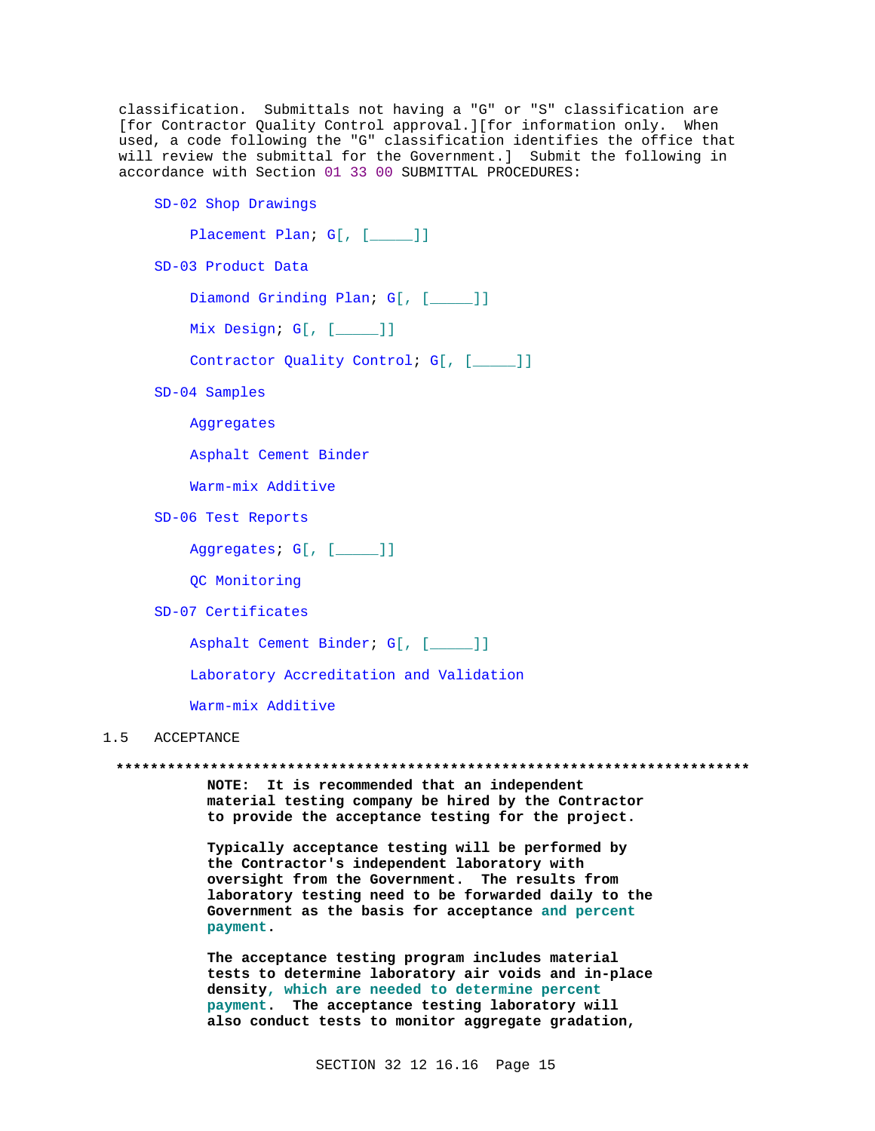classification. Submittals not having a "G" or "S" classification are [for Contractor Quality Control approval.][for information only. When used, a code following the "G" classification identifies the office that will review the submittal for the Government.] Submit the following in accordance with Section 01 33 00 SUBMITTAL PROCEDURES:

SD-02 Shop Drawings

Placement Plan; G[, [\_\_\_\_]]

SD-03 Product Data

Diamond Grinding Plan; G[, [\_\_\_\_]]

Mix Design; G[, [\_\_\_\_]]

Contractor Quality Control; G[, [\_\_\_\_]]

SD-04 Samples

Aggregates

Asphalt Cement Binder

Warm-mix Additive

SD-06 Test Reports

Aggregates; G[, [\_\_\_\_]]

OC Monitoring

SD-07 Certificates

Asphalt Cement Binder; G[, [\_\_\_\_]]

Laboratory Accreditation and Validation

Warm-mix Additive

#### ACCEPTANCE  $1.5$

NOTE: It is recommended that an independent material testing company be hired by the Contractor to provide the acceptance testing for the project.

Typically acceptance testing will be performed by the Contractor's independent laboratory with oversight from the Government. The results from laboratory testing need to be forwarded daily to the Government as the basis for acceptance and percent payment.

The acceptance testing program includes material tests to determine laboratory air voids and in-place density, which are needed to determine percent payment. The acceptance testing laboratory will also conduct tests to monitor aggregate gradation,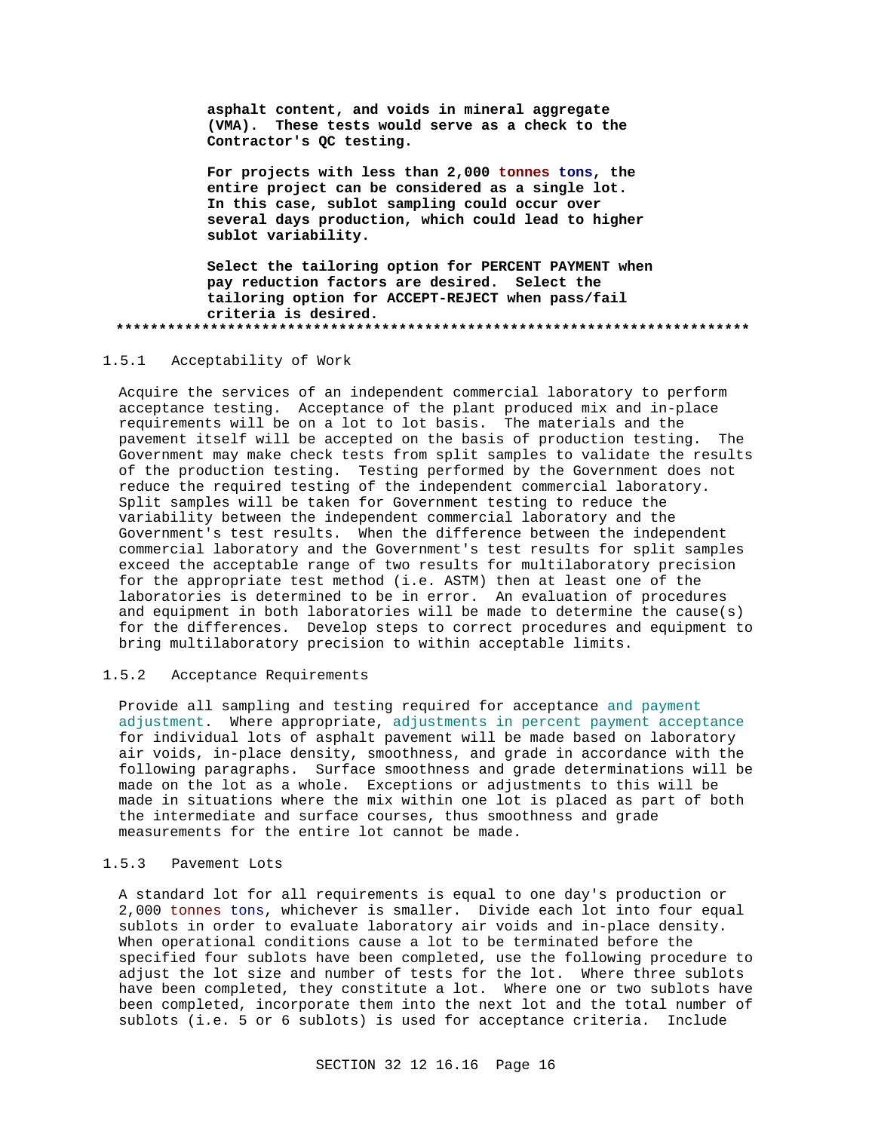**asphalt content, and voids in mineral aggregate (VMA). These tests would serve as a check to the Contractor's QC testing.**

**For projects with less than 2,000 tonnes tons, the entire project can be considered as a single lot. In this case, sublot sampling could occur over several days production, which could lead to higher sublot variability.**

**Select the tailoring option for PERCENT PAYMENT when pay reduction factors are desired. Select the tailoring option for ACCEPT-REJECT when pass/fail criteria is desired. \*\*\*\*\*\*\*\*\*\*\*\*\*\*\*\*\*\*\*\*\*\*\*\*\*\*\*\*\*\*\*\*\*\*\*\*\*\*\*\*\*\*\*\*\*\*\*\*\*\*\*\*\*\*\*\*\*\*\*\*\*\*\*\*\*\*\*\*\*\*\*\*\*\***

## 1.5.1 Acceptability of Work

Acquire the services of an independent commercial laboratory to perform acceptance testing. Acceptance of the plant produced mix and in-place requirements will be on a lot to lot basis. The materials and the pavement itself will be accepted on the basis of production testing. The Government may make check tests from split samples to validate the results of the production testing. Testing performed by the Government does not reduce the required testing of the independent commercial laboratory. Split samples will be taken for Government testing to reduce the variability between the independent commercial laboratory and the Government's test results. When the difference between the independent commercial laboratory and the Government's test results for split samples exceed the acceptable range of two results for multilaboratory precision for the appropriate test method (i.e. ASTM) then at least one of the laboratories is determined to be in error. An evaluation of procedures and equipment in both laboratories will be made to determine the cause(s) for the differences. Develop steps to correct procedures and equipment to bring multilaboratory precision to within acceptable limits.

## 1.5.2 Acceptance Requirements

Provide all sampling and testing required for acceptance and payment adjustment. Where appropriate, adjustments in percent payment acceptance for individual lots of asphalt pavement will be made based on laboratory air voids, in-place density, smoothness, and grade in accordance with the following paragraphs. Surface smoothness and grade determinations will be made on the lot as a whole. Exceptions or adjustments to this will be made in situations where the mix within one lot is placed as part of both the intermediate and surface courses, thus smoothness and grade measurements for the entire lot cannot be made.

## 1.5.3 Pavement Lots

A standard lot for all requirements is equal to one day's production or 2,000 tonnes tons, whichever is smaller. Divide each lot into four equal sublots in order to evaluate laboratory air voids and in-place density. When operational conditions cause a lot to be terminated before the specified four sublots have been completed, use the following procedure to adjust the lot size and number of tests for the lot. Where three sublots have been completed, they constitute a lot. Where one or two sublots have been completed, incorporate them into the next lot and the total number of sublots (i.e. 5 or 6 sublots) is used for acceptance criteria. Include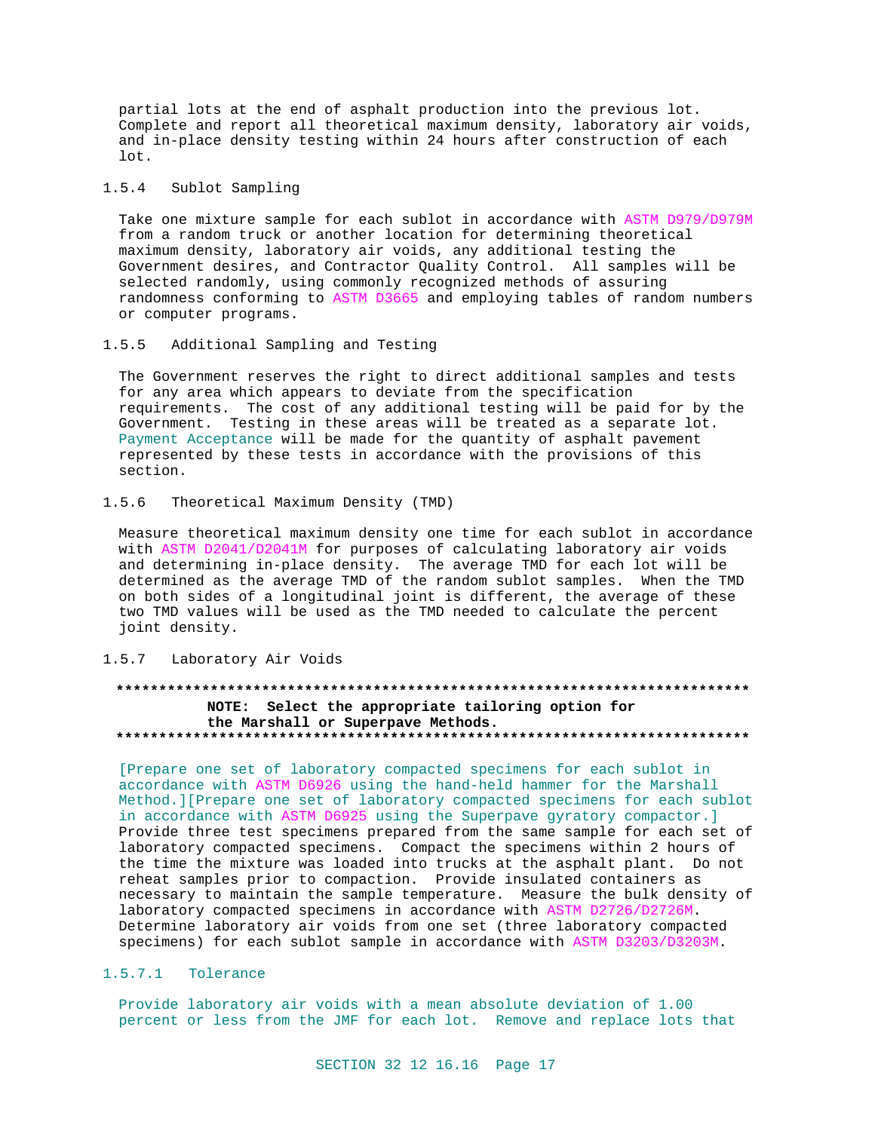partial lots at the end of asphalt production into the previous lot. Complete and report all theoretical maximum density, laboratory air voids, and in-place density testing within 24 hours after construction of each lot.

#### $1.5.4$ Sublot Sampling

Take one mixture sample for each sublot in accordance with ASTM D979/D979M from a random truck or another location for determining theoretical maximum density, laboratory air voids, any additional testing the Government desires, and Contractor Quality Control. All samples will be selected randomly, using commonly recognized methods of assuring randomness conforming to ASTM D3665 and employing tables of random numbers or computer programs.

#### $1.5.5$ Additional Sampling and Testing

The Government reserves the right to direct additional samples and tests for any area which appears to deviate from the specification requirements. The cost of any additional testing will be paid for by the Government. Testing in these areas will be treated as a separate lot. Payment Acceptance will be made for the quantity of asphalt pavement represented by these tests in accordance with the provisions of this section.

#### $1.5.6$ Theoretical Maximum Density (TMD)

Measure theoretical maximum density one time for each sublot in accordance with ASTM D2041/D2041M for purposes of calculating laboratory air voids and determining in-place density. The average TMD for each lot will be determined as the average TMD of the random sublot samples. When the TMD on both sides of a longitudinal joint is different, the average of these two TMD values will be used as the TMD needed to calculate the percent joint density.

#### $1.5.7$ Laboratory Air Voids

### \*\*\*\*\*\*\*\*\*\*\*\*\*\*\*\* NOTE: Select the appropriate tailoring option for the Marshall or Superpave Methods.

[Prepare one set of laboratory compacted specimens for each sublot in accordance with ASTM D6926 using the hand-held hammer for the Marshall Method. ] [Prepare one set of laboratory compacted specimens for each sublot in accordance with ASTM D6925 using the Superpave gyratory compactor.] Provide three test specimens prepared from the same sample for each set of laboratory compacted specimens. Compact the specimens within 2 hours of the time the mixture was loaded into trucks at the asphalt plant. Do not reheat samples prior to compaction. Provide insulated containers as necessary to maintain the sample temperature. Measure the bulk density of laboratory compacted specimens in accordance with ASTM D2726/D2726M. Determine laboratory air voids from one set (three laboratory compacted specimens) for each sublot sample in accordance with ASTM D3203/D3203M.

## 1.5.7.1 Tolerance

Provide laboratory air voids with a mean absolute deviation of 1.00 percent or less from the JMF for each lot. Remove and replace lots that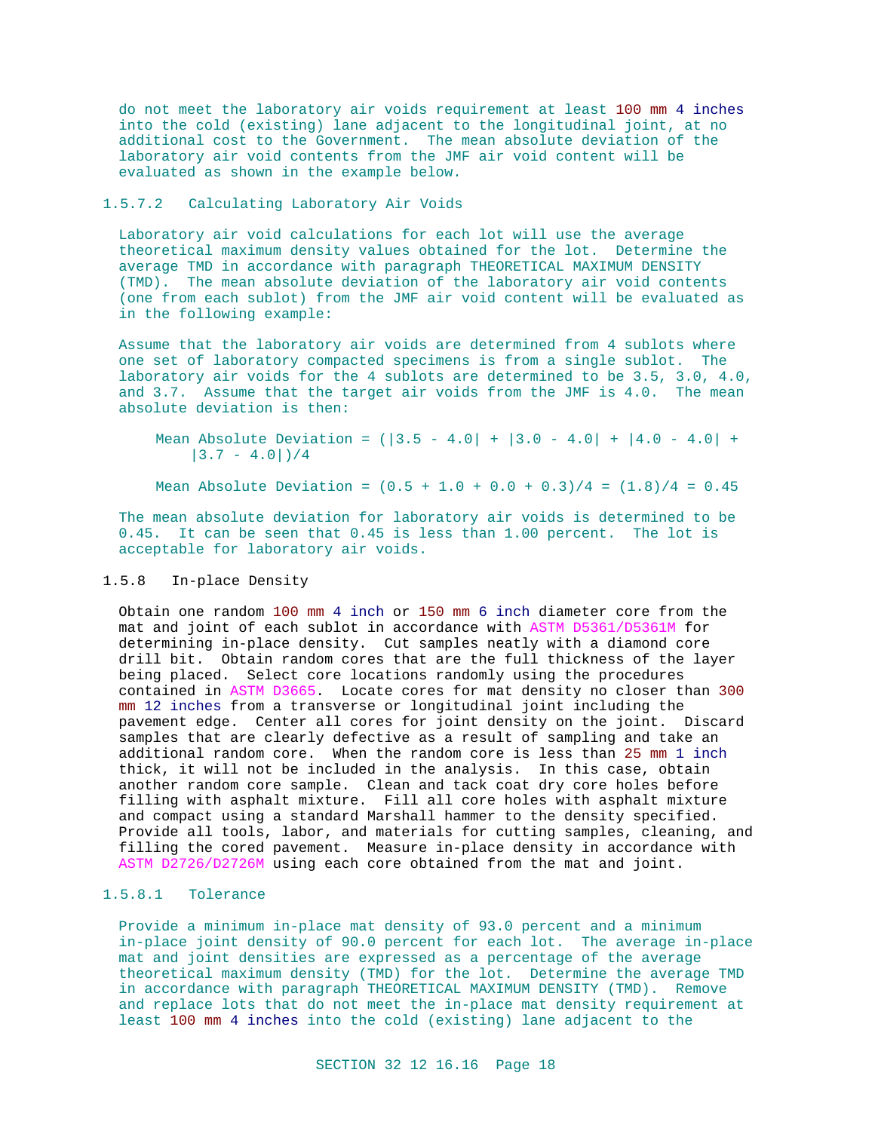do not meet the laboratory air voids requirement at least 100 mm 4 inches into the cold (existing) lane adjacent to the longitudinal joint, at no additional cost to the Government. The mean absolute deviation of the laboratory air void contents from the JMF air void content will be evaluated as shown in the example below.

## 1.5.7.2 Calculating Laboratory Air Voids

Laboratory air void calculations for each lot will use the average theoretical maximum density values obtained for the lot. Determine the average TMD in accordance with paragraph THEORETICAL MAXIMUM DENSITY (TMD). The mean absolute deviation of the laboratory air void contents (one from each sublot) from the JMF air void content will be evaluated as in the following example:

Assume that the laboratory air voids are determined from 4 sublots where one set of laboratory compacted specimens is from a single sublot. The laboratory air voids for the 4 sublots are determined to be 3.5, 3.0, 4.0, and 3.7. Assume that the target air voids from the JMF is 4.0. The mean absolute deviation is then:

Mean Absolute Deviation =  $(|3.5 - 4.0| + |3.0 - 4.0| + |4.0 - 4.0| +$  $|3.7 - 4.0|$  / 4

Mean Absolute Deviation =  $(0.5 + 1.0 + 0.0 + 0.3)/4 = (1.8)/4 = 0.45$ 

The mean absolute deviation for laboratory air voids is determined to be 0.45. It can be seen that 0.45 is less than 1.00 percent. The lot is acceptable for laboratory air voids.

## 1.5.8 In-place Density

Obtain one random 100 mm 4 inch or 150 mm 6 inch diameter core from the mat and joint of each sublot in accordance with ASTM D5361/D5361M for determining in-place density. Cut samples neatly with a diamond core drill bit. Obtain random cores that are the full thickness of the layer being placed. Select core locations randomly using the procedures contained in ASTM D3665. Locate cores for mat density no closer than 300 mm 12 inches from a transverse or longitudinal joint including the pavement edge. Center all cores for joint density on the joint. Discard samples that are clearly defective as a result of sampling and take an additional random core. When the random core is less than 25 mm 1 inch thick, it will not be included in the analysis. In this case, obtain another random core sample. Clean and tack coat dry core holes before filling with asphalt mixture. Fill all core holes with asphalt mixture and compact using a standard Marshall hammer to the density specified. Provide all tools, labor, and materials for cutting samples, cleaning, and filling the cored pavement. Measure in-place density in accordance with ASTM D2726/D2726M using each core obtained from the mat and joint.

## 1.5.8.1 Tolerance

Provide a minimum in-place mat density of 93.0 percent and a minimum in-place joint density of 90.0 percent for each lot. The average in-place mat and joint densities are expressed as a percentage of the average theoretical maximum density (TMD) for the lot. Determine the average TMD in accordance with paragraph THEORETICAL MAXIMUM DENSITY (TMD). Remove and replace lots that do not meet the in-place mat density requirement at least 100 mm 4 inches into the cold (existing) lane adjacent to the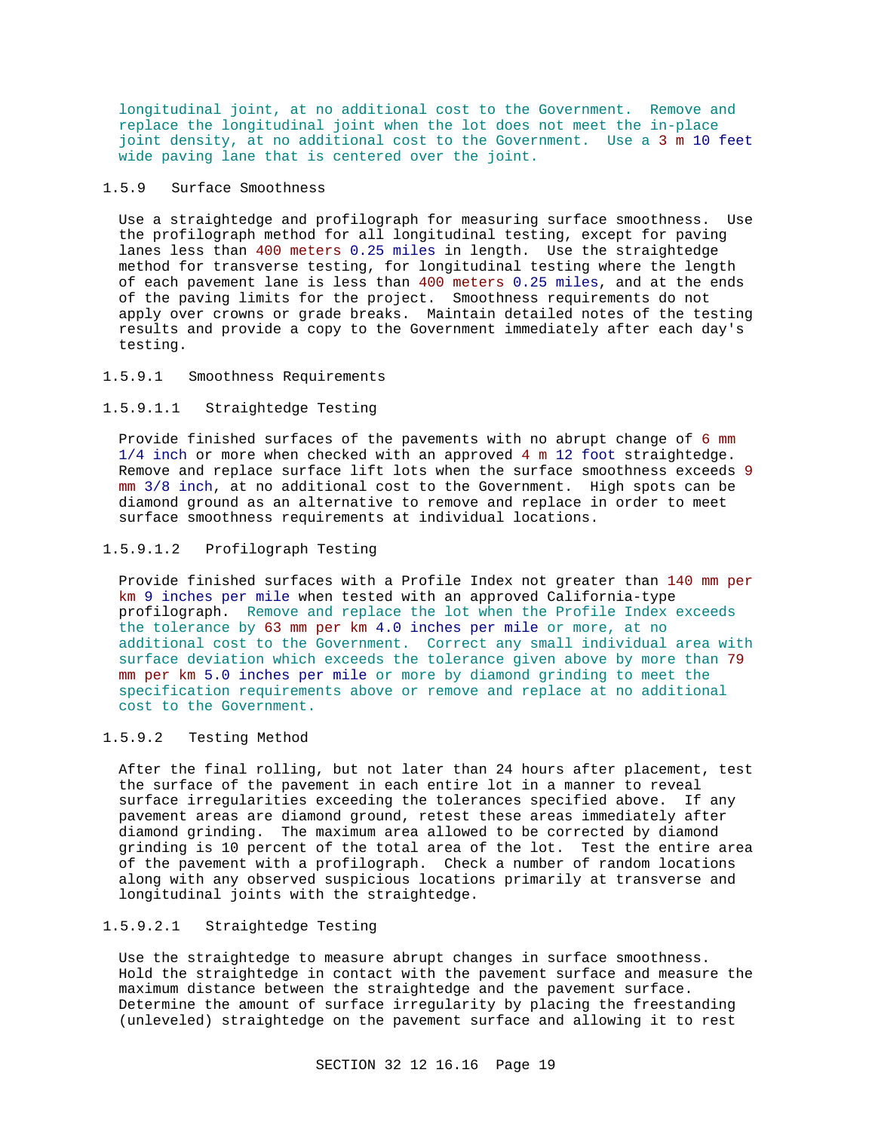longitudinal joint, at no additional cost to the Government. Remove and replace the longitudinal joint when the lot does not meet the in-place joint density, at no additional cost to the Government. Use a 3 m 10 feet wide paving lane that is centered over the joint.

## 1.5.9 Surface Smoothness

Use a straightedge and profilograph for measuring surface smoothness. Use the profilograph method for all longitudinal testing, except for paving lanes less than 400 meters 0.25 miles in length. Use the straightedge method for transverse testing, for longitudinal testing where the length of each pavement lane is less than 400 meters 0.25 miles, and at the ends of the paving limits for the project. Smoothness requirements do not apply over crowns or grade breaks. Maintain detailed notes of the testing results and provide a copy to the Government immediately after each day's testing.

## 1.5.9.1 Smoothness Requirements

## 1.5.9.1.1 Straightedge Testing

Provide finished surfaces of the pavements with no abrupt change of 6 mm 1/4 inch or more when checked with an approved 4 m 12 foot straightedge. Remove and replace surface lift lots when the surface smoothness exceeds 9 mm 3/8 inch, at no additional cost to the Government. High spots can be diamond ground as an alternative to remove and replace in order to meet surface smoothness requirements at individual locations.

## 1.5.9.1.2 Profilograph Testing

Provide finished surfaces with a Profile Index not greater than 140 mm per km 9 inches per mile when tested with an approved California-type profilograph. Remove and replace the lot when the Profile Index exceeds the tolerance by 63 mm per km 4.0 inches per mile or more, at no additional cost to the Government. Correct any small individual area with surface deviation which exceeds the tolerance given above by more than 79 mm per km 5.0 inches per mile or more by diamond grinding to meet the specification requirements above or remove and replace at no additional cost to the Government.

## 1.5.9.2 Testing Method

After the final rolling, but not later than 24 hours after placement, test the surface of the pavement in each entire lot in a manner to reveal surface irregularities exceeding the tolerances specified above. If any pavement areas are diamond ground, retest these areas immediately after diamond grinding. The maximum area allowed to be corrected by diamond grinding is 10 percent of the total area of the lot. Test the entire area of the pavement with a profilograph. Check a number of random locations along with any observed suspicious locations primarily at transverse and longitudinal joints with the straightedge.

## 1.5.9.2.1 Straightedge Testing

Use the straightedge to measure abrupt changes in surface smoothness. Hold the straightedge in contact with the pavement surface and measure the maximum distance between the straightedge and the pavement surface. Determine the amount of surface irregularity by placing the freestanding (unleveled) straightedge on the pavement surface and allowing it to rest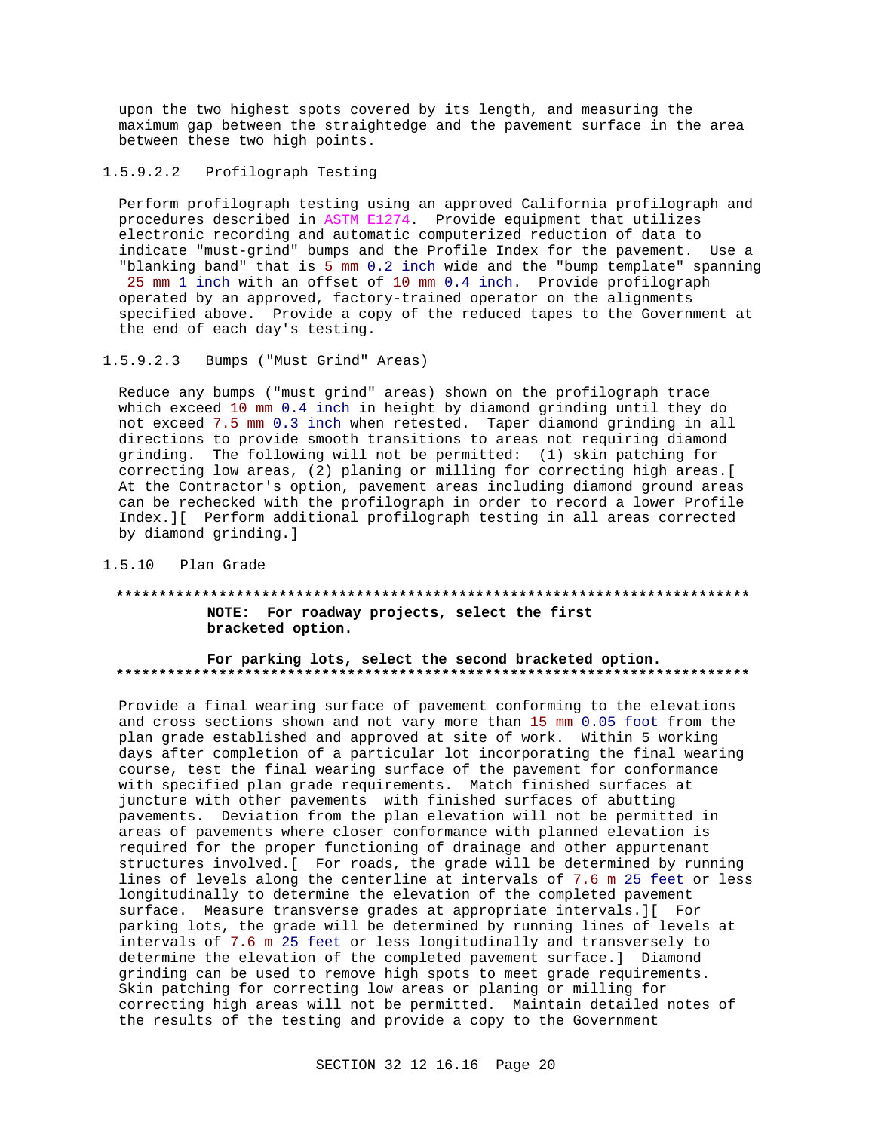upon the two highest spots covered by its length, and measuring the maximum gap between the straightedge and the pavement surface in the area between these two high points.

## 1.5.9.2.2 Profilograph Testing

Perform profilograph testing using an approved California profilograph and procedures described in ASTM E1274. Provide equipment that utilizes electronic recording and automatic computerized reduction of data to indicate "must-grind" bumps and the Profile Index for the pavement. Use a "blanking band" that is 5 mm 0.2 inch wide and the "bump template" spanning 25 mm 1 inch with an offset of 10 mm 0.4 inch. Provide profilograph operated by an approved, factory-trained operator on the alignments specified above. Provide a copy of the reduced tapes to the Government at the end of each day's testing.

## 1.5.9.2.3 Bumps ("Must Grind" Areas)

Reduce any bumps ("must grind" areas) shown on the profilograph trace which exceed 10 mm 0.4 inch in height by diamond grinding until they do not exceed 7.5 mm 0.3 inch when retested. Taper diamond grinding in all directions to provide smooth transitions to areas not requiring diamond grinding. The following will not be permitted: (1) skin patching for correcting low areas, (2) planing or milling for correcting high areas.[ At the Contractor's option, pavement areas including diamond ground areas can be rechecked with the profilograph in order to record a lower Profile Index.][ Perform additional profilograph testing in all areas corrected by diamond grinding.]

## 1.5.10 Plan Grade

## **\*\*\*\*\*\*\*\*\*\*\*\*\*\*\*\*\*\*\*\*\*\*\*\*\*\*\*\*\*\*\*\*\*\*\*\*\*\*\*\*\*\*\*\*\*\*\*\*\*\*\*\*\*\*\*\*\*\*\*\*\*\*\*\*\*\*\*\*\*\*\*\*\*\* NOTE: For roadway projects, select the first bracketed option.**

## **For parking lots, select the second bracketed option. \*\*\*\*\*\*\*\*\*\*\*\*\*\*\*\*\*\*\*\*\*\*\*\*\*\*\*\*\*\*\*\*\*\*\*\*\*\*\*\*\*\*\*\*\*\*\*\*\*\*\*\*\*\*\*\*\*\*\*\*\*\*\*\*\*\*\*\*\*\*\*\*\*\***

Provide a final wearing surface of pavement conforming to the elevations and cross sections shown and not vary more than 15 mm 0.05 foot from the plan grade established and approved at site of work. Within 5 working days after completion of a particular lot incorporating the final wearing course, test the final wearing surface of the pavement for conformance with specified plan grade requirements. Match finished surfaces at juncture with other pavements with finished surfaces of abutting pavements. Deviation from the plan elevation will not be permitted in areas of pavements where closer conformance with planned elevation is required for the proper functioning of drainage and other appurtenant structures involved.[ For roads, the grade will be determined by running lines of levels along the centerline at intervals of 7.6 m 25 feet or less longitudinally to determine the elevation of the completed pavement surface. Measure transverse grades at appropriate intervals.][ For parking lots, the grade will be determined by running lines of levels at intervals of 7.6 m 25 feet or less longitudinally and transversely to determine the elevation of the completed pavement surface.] Diamond grinding can be used to remove high spots to meet grade requirements. Skin patching for correcting low areas or planing or milling for correcting high areas will not be permitted. Maintain detailed notes of the results of the testing and provide a copy to the Government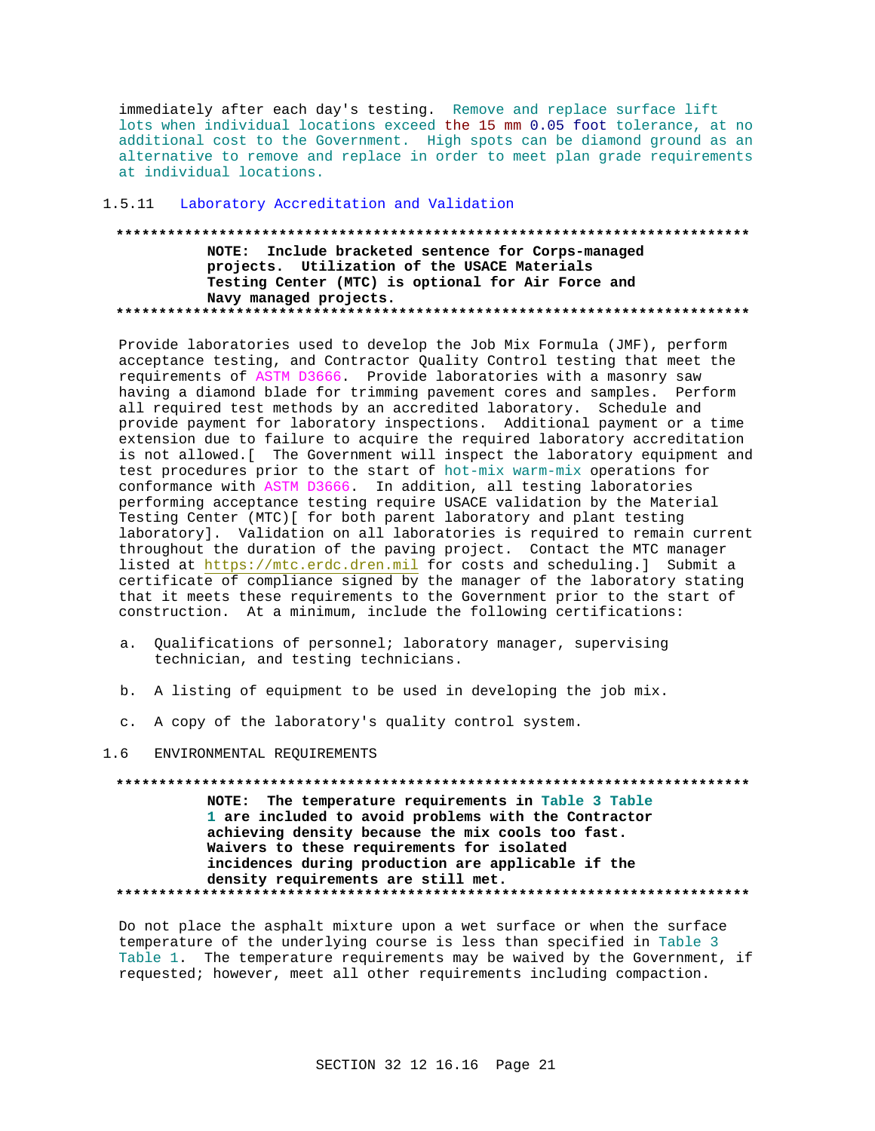immediately after each day's testing. Remove and replace surface lift lots when individual locations exceed the 15 mm 0.05 foot tolerance, at no additional cost to the Government. High spots can be diamond ground as an alternative to remove and replace in order to meet plan grade requirements at individual locations.

## 1.5.11 Laboratory Accreditation and Validation

NOTE: Include bracketed sentence for Corps-managed projects. Utilization of the USACE Materials Testing Center (MTC) is optional for Air Force and Navy managed projects. 

Provide laboratories used to develop the Job Mix Formula (JMF), perform acceptance testing, and Contractor Quality Control testing that meet the requirements of ASTM D3666. Provide laboratories with a masonry saw having a diamond blade for trimming pavement cores and samples. Perform all required test methods by an accredited laboratory. Schedule and provide payment for laboratory inspections. Additional payment or a time extension due to failure to acquire the required laboratory accreditation is not allowed. [ The Government will inspect the laboratory equipment and test procedures prior to the start of hot-mix warm-mix operations for conformance with ASTM D3666. In addition, all testing laboratories performing acceptance testing require USACE validation by the Material Testing Center (MTC) [ for both parent laboratory and plant testing laboratory]. Validation on all laboratories is required to remain current throughout the duration of the paving project. Contact the MTC manager listed at https://mtc.erdc.dren.mil for costs and scheduling.] Submit a certificate of compliance signed by the manager of the laboratory stating that it meets these requirements to the Government prior to the start of construction. At a minimum, include the following certifications:

- a. Qualifications of personnel; laboratory manager, supervising technician, and testing technicians.
- b. A listing of equipment to be used in developing the job mix.
- c. A copy of the laboratory's quality control system.

#### $1.6$ ENVIRONMENTAL REQUIREMENTS

NOTE: The temperature requirements in Table 3 Table 1 are included to avoid problems with the Contractor achieving density because the mix cools too fast. Waivers to these requirements for isolated incidences during production are applicable if the density requirements are still met. 

Do not place the asphalt mixture upon a wet surface or when the surface temperature of the underlying course is less than specified in Table 3 Table 1. The temperature requirements may be waived by the Government, if requested; however, meet all other requirements including compaction.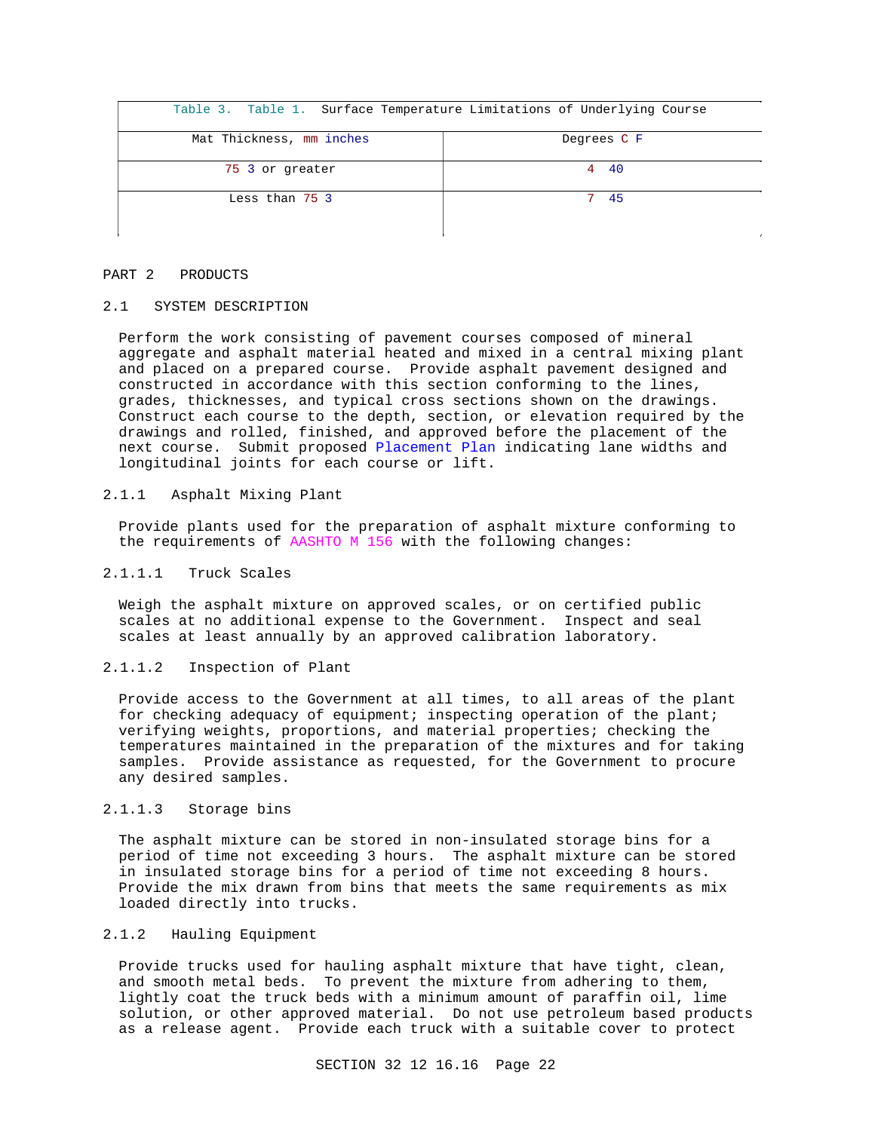| Table 3. Table 1. Surface Temperature Limitations of Underlying Course |             |
|------------------------------------------------------------------------|-------------|
| Mat Thickness, mm inches                                               | Degrees C F |
| 75 3 or greater                                                        | 4 40        |
| Less than 75 3                                                         | 45          |

### PART 2 PRODUCTS

## 2.1 SYSTEM DESCRIPTION

Perform the work consisting of pavement courses composed of mineral aggregate and asphalt material heated and mixed in a central mixing plant and placed on a prepared course. Provide asphalt pavement designed and constructed in accordance with this section conforming to the lines, grades, thicknesses, and typical cross sections shown on the drawings. Construct each course to the depth, section, or elevation required by the drawings and rolled, finished, and approved before the placement of the next course. Submit proposed Placement Plan indicating lane widths and longitudinal joints for each course or lift.

## 2.1.1 Asphalt Mixing Plant

Provide plants used for the preparation of asphalt mixture conforming to the requirements of AASHTO M 156 with the following changes:

## 2.1.1.1 Truck Scales

Weigh the asphalt mixture on approved scales, or on certified public scales at no additional expense to the Government. Inspect and seal scales at least annually by an approved calibration laboratory.

## 2.1.1.2 Inspection of Plant

Provide access to the Government at all times, to all areas of the plant for checking adequacy of equipment; inspecting operation of the plant; verifying weights, proportions, and material properties; checking the temperatures maintained in the preparation of the mixtures and for taking samples. Provide assistance as requested, for the Government to procure any desired samples.

## 2.1.1.3 Storage bins

The asphalt mixture can be stored in non-insulated storage bins for a period of time not exceeding 3 hours. The asphalt mixture can be stored in insulated storage bins for a period of time not exceeding 8 hours. Provide the mix drawn from bins that meets the same requirements as mix loaded directly into trucks.

## 2.1.2 Hauling Equipment

Provide trucks used for hauling asphalt mixture that have tight, clean, and smooth metal beds. To prevent the mixture from adhering to them, lightly coat the truck beds with a minimum amount of paraffin oil, lime solution, or other approved material. Do not use petroleum based products as a release agent. Provide each truck with a suitable cover to protect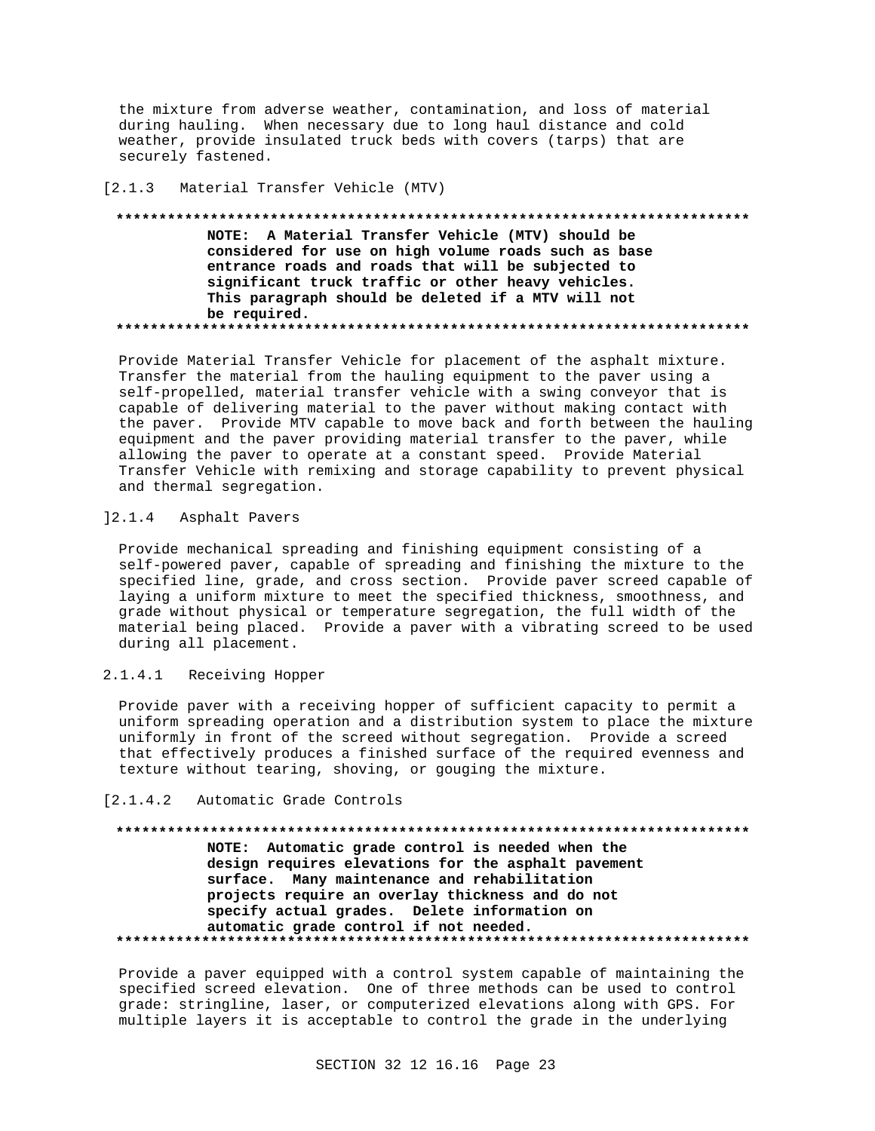the mixture from adverse weather, contamination, and loss of material during hauling. When necessary due to long haul distance and cold weather, provide insulated truck beds with covers (tarps) that are securely fastened.

## [2.1.3 Material Transfer Vehicle (MTV)

**\*\*\*\*\*\*\*\*\*\*\*\*\*\*\*\*\*\*\*\*\*\*\*\*\*\*\*\*\*\*\*\*\*\*\*\*\*\*\*\*\*\*\*\*\*\*\*\*\*\*\*\*\*\*\*\*\*\*\*\*\*\*\*\*\*\*\*\*\*\*\*\*\*\* NOTE: A Material Transfer Vehicle (MTV) should be considered for use on high volume roads such as base entrance roads and roads that will be subjected to significant truck traffic or other heavy vehicles. This paragraph should be deleted if a MTV will not be required. \*\*\*\*\*\*\*\*\*\*\*\*\*\*\*\*\*\*\*\*\*\*\*\*\*\*\*\*\*\*\*\*\*\*\*\*\*\*\*\*\*\*\*\*\*\*\*\*\*\*\*\*\*\*\*\*\*\*\*\*\*\*\*\*\*\*\*\*\*\*\*\*\*\***

Provide Material Transfer Vehicle for placement of the asphalt mixture. Transfer the material from the hauling equipment to the paver using a self-propelled, material transfer vehicle with a swing conveyor that is capable of delivering material to the paver without making contact with the paver. Provide MTV capable to move back and forth between the hauling equipment and the paver providing material transfer to the paver, while allowing the paver to operate at a constant speed. Provide Material Transfer Vehicle with remixing and storage capability to prevent physical and thermal segregation.

## ]2.1.4 Asphalt Pavers

Provide mechanical spreading and finishing equipment consisting of a self-powered paver, capable of spreading and finishing the mixture to the specified line, grade, and cross section. Provide paver screed capable of laying a uniform mixture to meet the specified thickness, smoothness, and grade without physical or temperature segregation, the full width of the material being placed. Provide a paver with a vibrating screed to be used during all placement.

## 2.1.4.1 Receiving Hopper

Provide paver with a receiving hopper of sufficient capacity to permit a uniform spreading operation and a distribution system to place the mixture uniformly in front of the screed without segregation. Provide a screed that effectively produces a finished surface of the required evenness and texture without tearing, shoving, or gouging the mixture.

## [2.1.4.2 Automatic Grade Controls

## **\*\*\*\*\*\*\*\*\*\*\*\*\*\*\*\*\*\*\*\*\*\*\*\*\*\*\*\*\*\*\*\*\*\*\*\*\*\*\*\*\*\*\*\*\*\*\*\*\*\*\*\*\*\*\*\*\*\*\*\*\*\*\*\*\*\*\*\*\*\*\*\*\*\* NOTE: Automatic grade control is needed when the design requires elevations for the asphalt pavement surface. Many maintenance and rehabilitation projects require an overlay thickness and do not specify actual grades. Delete information on automatic grade control if not needed. \*\*\*\*\*\*\*\*\*\*\*\*\*\*\*\*\*\*\*\*\*\*\*\*\*\*\*\*\*\*\*\*\*\*\*\*\*\*\*\*\*\*\*\*\*\*\*\*\*\*\*\*\*\*\*\*\*\*\*\*\*\*\*\*\*\*\*\*\*\*\*\*\*\***

Provide a paver equipped with a control system capable of maintaining the specified screed elevation. One of three methods can be used to control grade: stringline, laser, or computerized elevations along with GPS. For multiple layers it is acceptable to control the grade in the underlying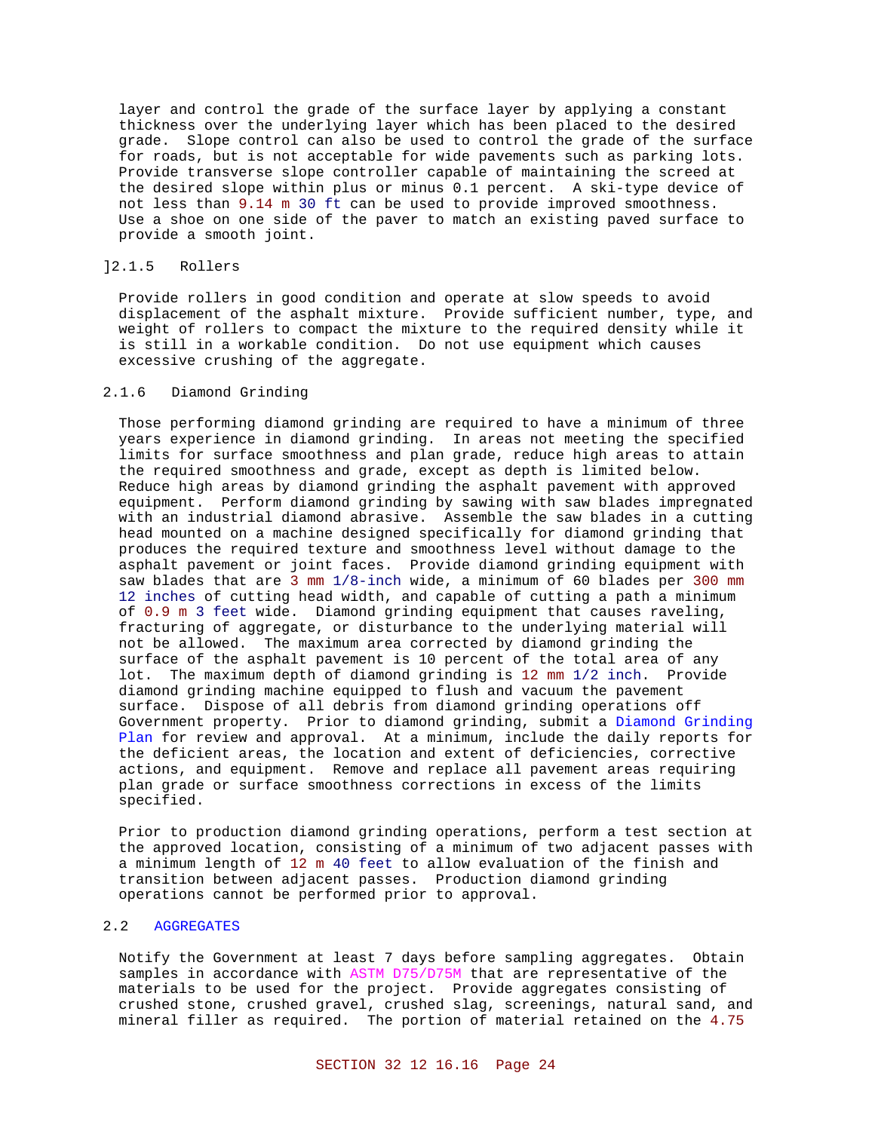layer and control the grade of the surface layer by applying a constant thickness over the underlying layer which has been placed to the desired grade. Slope control can also be used to control the grade of the surface for roads, but is not acceptable for wide pavements such as parking lots. Provide transverse slope controller capable of maintaining the screed at the desired slope within plus or minus 0.1 percent. A ski-type device of not less than 9.14 m 30 ft can be used to provide improved smoothness. Use a shoe on one side of the paver to match an existing paved surface to provide a smooth joint.

## ]2.1.5 Rollers

Provide rollers in good condition and operate at slow speeds to avoid displacement of the asphalt mixture. Provide sufficient number, type, and weight of rollers to compact the mixture to the required density while it is still in a workable condition. Do not use equipment which causes excessive crushing of the aggregate.

## 2.1.6 Diamond Grinding

Those performing diamond grinding are required to have a minimum of three years experience in diamond grinding. In areas not meeting the specified limits for surface smoothness and plan grade, reduce high areas to attain the required smoothness and grade, except as depth is limited below. Reduce high areas by diamond grinding the asphalt pavement with approved equipment. Perform diamond grinding by sawing with saw blades impregnated with an industrial diamond abrasive. Assemble the saw blades in a cutting head mounted on a machine designed specifically for diamond grinding that produces the required texture and smoothness level without damage to the asphalt pavement or joint faces. Provide diamond grinding equipment with saw blades that are 3 mm 1/8-inch wide, a minimum of 60 blades per 300 mm 12 inches of cutting head width, and capable of cutting a path a minimum of 0.9 m 3 feet wide. Diamond grinding equipment that causes raveling, fracturing of aggregate, or disturbance to the underlying material will not be allowed. The maximum area corrected by diamond grinding the surface of the asphalt pavement is 10 percent of the total area of any lot. The maximum depth of diamond grinding is 12 mm 1/2 inch. Provide diamond grinding machine equipped to flush and vacuum the pavement surface. Dispose of all debris from diamond grinding operations off Government property. Prior to diamond grinding, submit a Diamond Grinding Plan for review and approval. At a minimum, include the daily reports for the deficient areas, the location and extent of deficiencies, corrective actions, and equipment. Remove and replace all pavement areas requiring plan grade or surface smoothness corrections in excess of the limits specified.

Prior to production diamond grinding operations, perform a test section at the approved location, consisting of a minimum of two adjacent passes with a minimum length of 12 m 40 feet to allow evaluation of the finish and transition between adjacent passes. Production diamond grinding operations cannot be performed prior to approval.

## 2.2 AGGREGATES

Notify the Government at least 7 days before sampling aggregates. Obtain samples in accordance with ASTM D75/D75M that are representative of the materials to be used for the project. Provide aggregates consisting of crushed stone, crushed gravel, crushed slag, screenings, natural sand, and mineral filler as required. The portion of material retained on the 4.75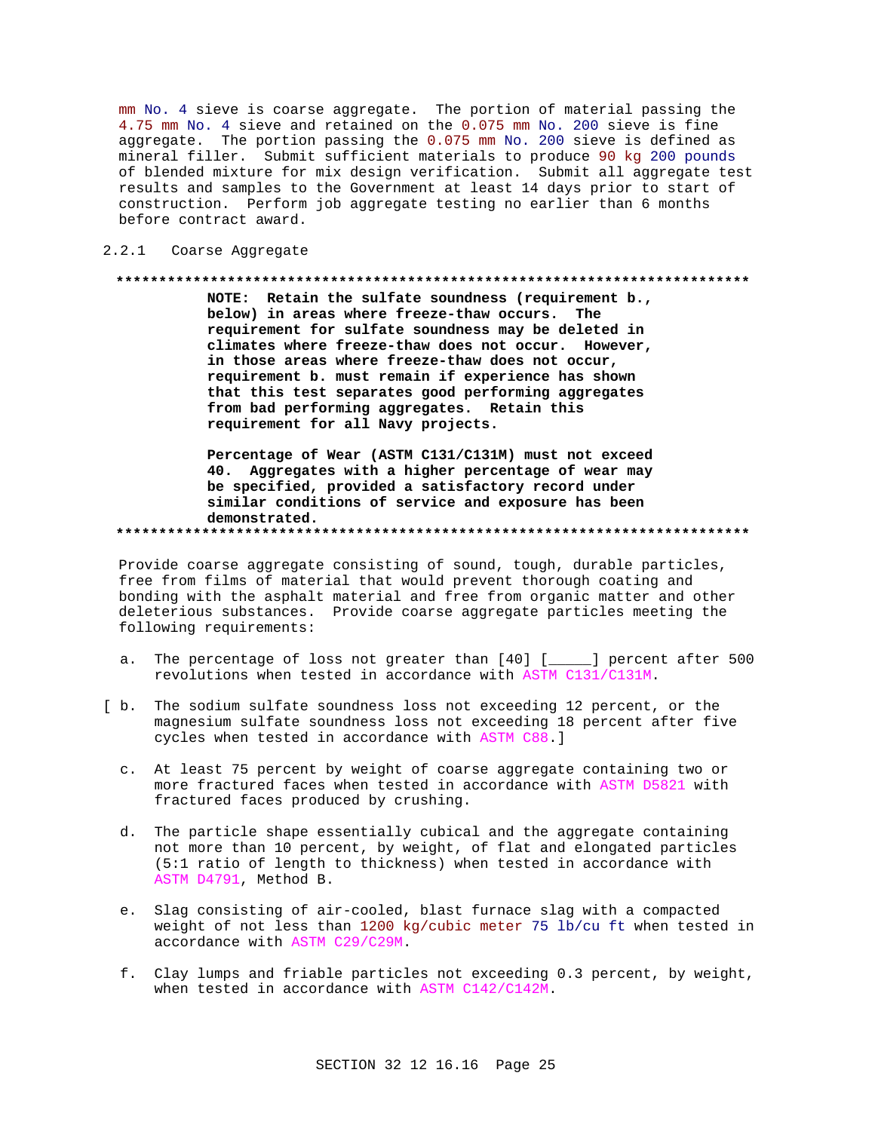mm No. 4 sieve is coarse aggregate. The portion of material passing the 4.75 mm No. 4 sieve and retained on the 0.075 mm No. 200 sieve is fine aggregate. The portion passing the 0.075 mm No. 200 sieve is defined as mineral filler. Submit sufficient materials to produce 90 kg 200 pounds of blended mixture for mix design verification. Submit all aggregate test results and samples to the Government at least 14 days prior to start of construction. Perform job aggregate testing no earlier than 6 months before contract award.

2.2.1 Coarse Aggregate

### 

NOTE: Retain the sulfate soundness (requirement b., below) in areas where freeze-thaw occurs. The requirement for sulfate soundness may be deleted in climates where freeze-thaw does not occur. However, in those areas where freeze-thaw does not occur, requirement b. must remain if experience has shown that this test separates good performing aggregates from bad performing aggregates. Retain this requirement for all Navy projects.

Percentage of Wear (ASTM C131/C131M) must not exceed 40. Aggregates with a higher percentage of wear may be specified, provided a satisfactory record under similar conditions of service and exposure has been demonstrated. 

Provide coarse aggregate consisting of sound, tough, durable particles, free from films of material that would prevent thorough coating and bonding with the asphalt material and free from organic matter and other deleterious substances. Provide coarse aggregate particles meeting the following requirements:

- The percentage of loss not greater than [40] [\_\_\_\_] percent after 500  $a<sub>x</sub>$ revolutions when tested in accordance with ASTM C131/C131M.
- [ b. The sodium sulfate soundness loss not exceeding 12 percent, or the magnesium sulfate soundness loss not exceeding 18 percent after five cycles when tested in accordance with ASTM C88.]
	- c. At least 75 percent by weight of coarse aggregate containing two or more fractured faces when tested in accordance with ASTM D5821 with fractured faces produced by crushing.
	- d. The particle shape essentially cubical and the aggregate containing not more than 10 percent, by weight, of flat and elongated particles (5:1 ratio of length to thickness) when tested in accordance with ASTM D4791, Method B.
	- e. Slag consisting of air-cooled, blast furnace slag with a compacted weight of not less than 1200 kg/cubic meter 75 lb/cu ft when tested in accordance with ASTM C29/C29M.
	- f. Clay lumps and friable particles not exceeding 0.3 percent, by weight, when tested in accordance with ASTM C142/C142M.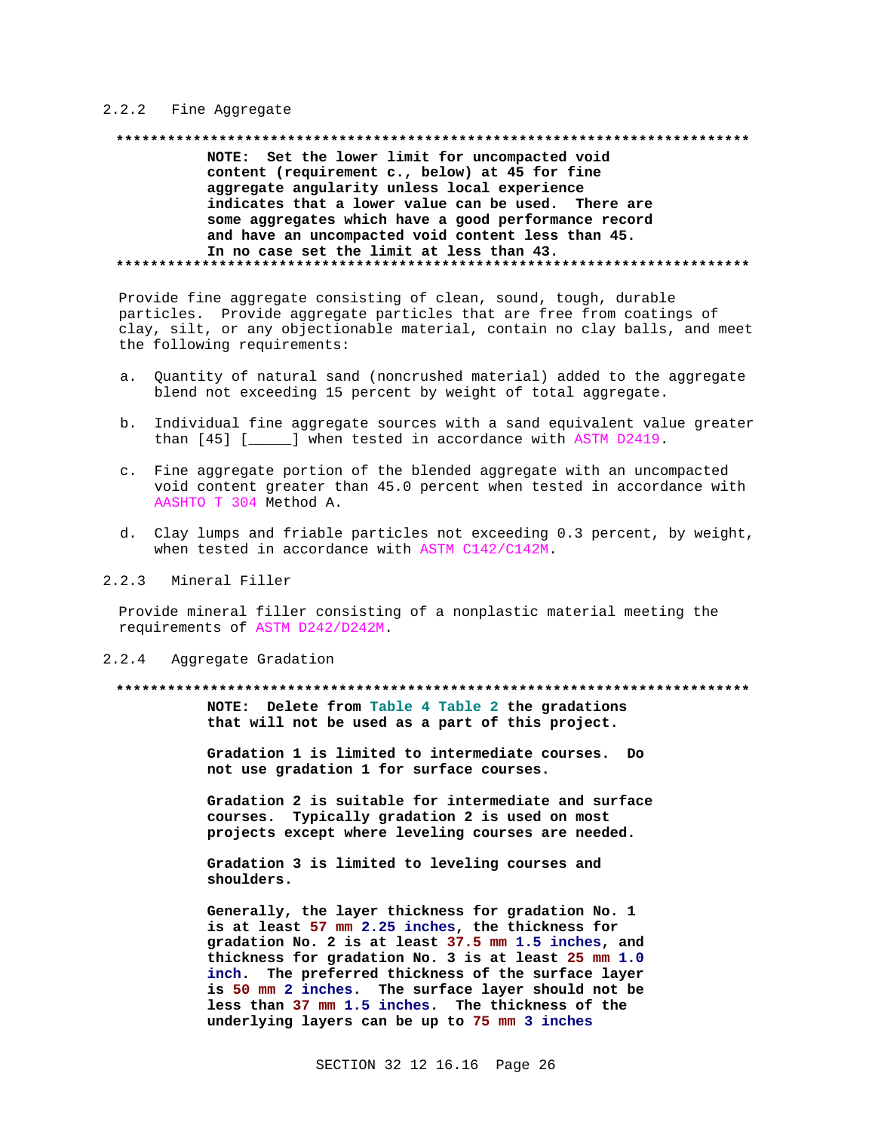## 2.2.2 Fine Aggregate

## NOTE: Set the lower limit for uncompacted void content (requirement c., below) at 45 for fine aggregate angularity unless local experience indicates that a lower value can be used. There are some aggregates which have a good performance record and have an uncompacted void content less than 45. In no case set the limit at less than 43.

Provide fine aggregate consisting of clean, sound, tough, durable particles. Provide aggregate particles that are free from coatings of clay, silt, or any objectionable material, contain no clay balls, and meet the following requirements:

- Quantity of natural sand (noncrushed material) added to the aggregate a. blend not exceeding 15 percent by weight of total aggregate.
- b. Individual fine aggregate sources with a sand equivalent value greater than [45] [\_\_\_\_\_] when tested in accordance with ASTM D2419.
- c. Fine aggregate portion of the blended aggregate with an uncompacted void content greater than 45.0 percent when tested in accordance with AASHTO T 304 Method A.
- d. Clay lumps and friable particles not exceeding 0.3 percent, by weight, when tested in accordance with ASTM C142/C142M.

#### $2, 2, 3$ Mineral Filler

Provide mineral filler consisting of a nonplastic material meeting the requirements of ASTM D242/D242M.

#### $2.2.4$ Aggregate Gradation

#### .................

NOTE: Delete from Table 4 Table 2 the gradations that will not be used as a part of this project.

Gradation 1 is limited to intermediate courses. Do not use gradation 1 for surface courses.

Gradation 2 is suitable for intermediate and surface courses. Typically gradation 2 is used on most projects except where leveling courses are needed.

Gradation 3 is limited to leveling courses and shoulders.

Generally, the layer thickness for gradation No. 1 is at least 57 mm 2.25 inches, the thickness for gradation No. 2 is at least 37.5 mm 1.5 inches, and thickness for gradation No. 3 is at least 25 mm 1.0 inch. The preferred thickness of the surface layer is 50 mm 2 inches. The surface layer should not be less than 37 mm 1.5 inches. The thickness of the underlying layers can be up to 75 mm 3 inches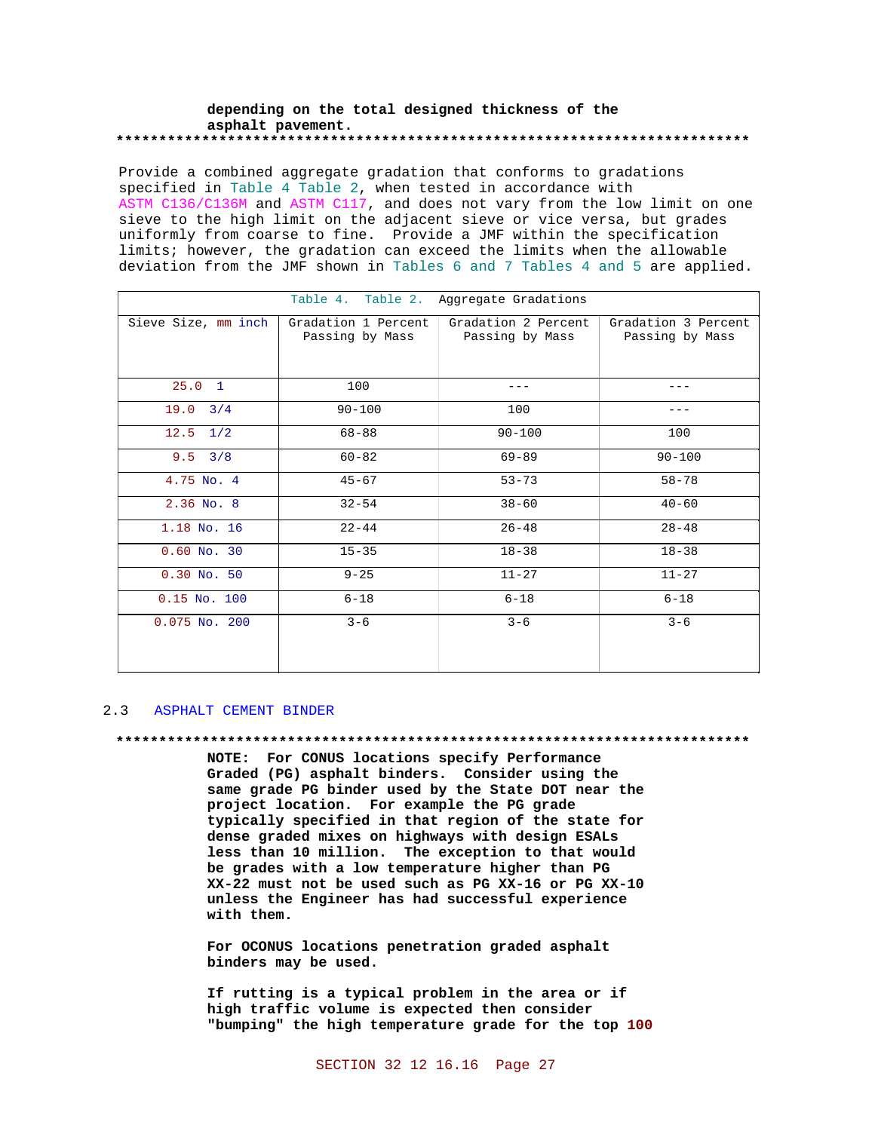## depending on the total designed thickness of the asphalt pavement.

Provide a combined aggregate gradation that conforms to gradations specified in Table 4 Table 2, when tested in accordance with ASTM C136/C136M and ASTM C117, and does not vary from the low limit on one sieve to the high limit on the adjacent sieve or vice versa, but grades uniformly from coarse to fine. Provide a JMF within the specification limits; however, the gradation can exceed the limits when the allowable deviation from the JMF shown in Tables 6 and 7 Tables 4 and 5 are applied.

|                     |                                        | Table 4. Table 2. Aggregate Gradations |                                        |
|---------------------|----------------------------------------|----------------------------------------|----------------------------------------|
| Sieve Size, mm inch | Gradation 1 Percent<br>Passing by Mass | Gradation 2 Percent<br>Passing by Mass | Gradation 3 Percent<br>Passing by Mass |
| $25.0 \quad 1$      | 100                                    |                                        |                                        |
| 19.0<br>3/4         | $90 - 100$                             | 100                                    | ---                                    |
| $12.5$ $1/2$        | $68 - 88$                              | $90 - 100$                             | 100                                    |
| $9.5 \quad 3/8$     | $60 - 82$                              | $69 - 89$                              | $90 - 100$                             |
| 4.75 No. 4          | $45 - 67$                              | $53 - 73$                              | $58 - 78$                              |
| $2.36$ No. $8$      | $32 - 54$                              | $38 - 60$                              | $40 - 60$                              |
| 1.18 No. 16         | $22 - 44$                              | $26 - 48$                              | $28 - 48$                              |
| $0.60$ No. 30       | $15 - 35$                              | $18 - 38$                              | $18 - 38$                              |
| $0.30$ No. 50       | $9 - 25$                               | $11 - 27$                              | $11 - 27$                              |
| $0.15$ No. $100$    | $6 - 18$                               | $6 - 18$                               | $6 - 18$                               |
| $0.075$ No. 200     | $3 - 6$                                | $3 - 6$                                | $3 - 6$                                |

#### $2.3$ ASPHALT CEMENT BINDER

### 

NOTE: For CONUS locations specify Performance Graded (PG) asphalt binders. Consider using the same grade PG binder used by the State DOT near the project location. For example the PG grade typically specified in that region of the state for dense graded mixes on highways with design ESALs less than 10 million. The exception to that would be grades with a low temperature higher than PG XX-22 must not be used such as PG XX-16 or PG XX-10 unless the Engineer has had successful experience with them.

For OCONUS locations penetration graded asphalt binders may be used.

If rutting is a typical problem in the area or if high traffic volume is expected then consider "bumping" the high temperature grade for the top 100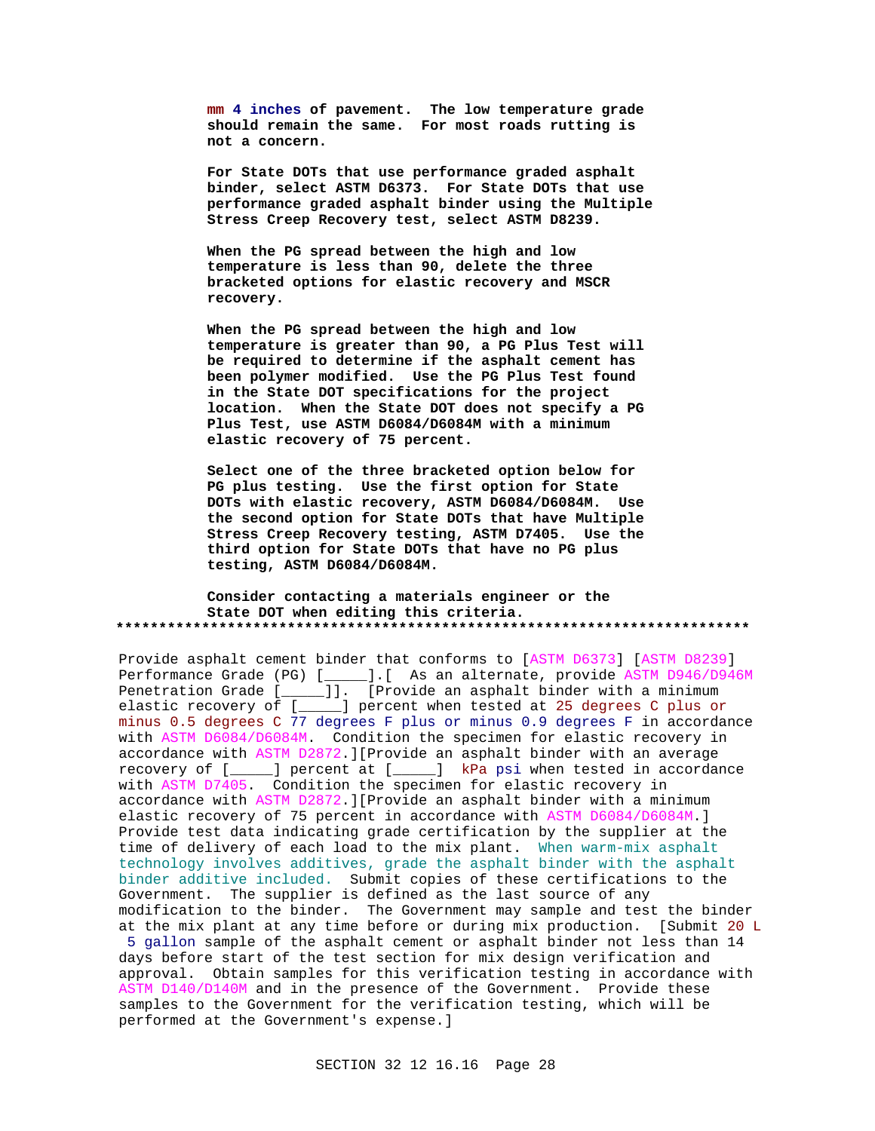**mm 4 inches of pavement. The low temperature grade should remain the same. For most roads rutting is not a concern.**

**For State DOTs that use performance graded asphalt binder, select ASTM D6373. For State DOTs that use performance graded asphalt binder using the Multiple Stress Creep Recovery test, select ASTM D8239.**

**When the PG spread between the high and low temperature is less than 90, delete the three bracketed options for elastic recovery and MSCR recovery.**

**When the PG spread between the high and low temperature is greater than 90, a PG Plus Test will be required to determine if the asphalt cement has been polymer modified. Use the PG Plus Test found in the State DOT specifications for the project location. When the State DOT does not specify a PG Plus Test, use ASTM D6084/D6084M with a minimum elastic recovery of 75 percent.**

**Select one of the three bracketed option below for PG plus testing. Use the first option for State DOTs with elastic recovery, ASTM D6084/D6084M. Use the second option for State DOTs that have Multiple Stress Creep Recovery testing, ASTM D7405. Use the third option for State DOTs that have no PG plus testing, ASTM D6084/D6084M.**

**Consider contacting a materials engineer or the State DOT when editing this criteria. \*\*\*\*\*\*\*\*\*\*\*\*\*\*\*\*\*\*\*\*\*\*\*\*\*\*\*\*\*\*\*\*\*\*\*\*\*\*\*\*\*\*\*\*\*\*\*\*\*\*\*\*\*\*\*\*\*\*\*\*\*\*\*\*\*\*\*\*\*\*\*\*\*\***

Provide asphalt cement binder that conforms to [ASTM D6373] [ASTM D8239] Performance Grade (PG) [\_\_\_\_\_].[ As an alternate, provide ASTM D946/D946M Penetration Grade [\_\_\_\_\_]]. [Provide an asphalt binder with a minimum elastic recovery of [\_\_\_\_\_] percent when tested at 25 degrees C plus or minus 0.5 degrees C 77 degrees F plus or minus 0.9 degrees F in accordance with ASTM D6084/D6084M. Condition the specimen for elastic recovery in accordance with ASTM D2872.][Provide an asphalt binder with an average recovery of [\_\_\_\_\_] percent at [\_\_\_\_\_] kPa psi when tested in accordance with ASTM D7405. Condition the specimen for elastic recovery in accordance with ASTM D2872.][Provide an asphalt binder with a minimum elastic recovery of 75 percent in accordance with ASTM D6084/D6084M.] Provide test data indicating grade certification by the supplier at the time of delivery of each load to the mix plant. When warm-mix asphalt technology involves additives, grade the asphalt binder with the asphalt binder additive included. Submit copies of these certifications to the Government. The supplier is defined as the last source of any modification to the binder. The Government may sample and test the binder at the mix plant at any time before or during mix production. [Submit 20 L

 5 gallon sample of the asphalt cement or asphalt binder not less than 14 days before start of the test section for mix design verification and approval. Obtain samples for this verification testing in accordance with ASTM D140/D140M and in the presence of the Government. Provide these samples to the Government for the verification testing, which will be performed at the Government's expense.]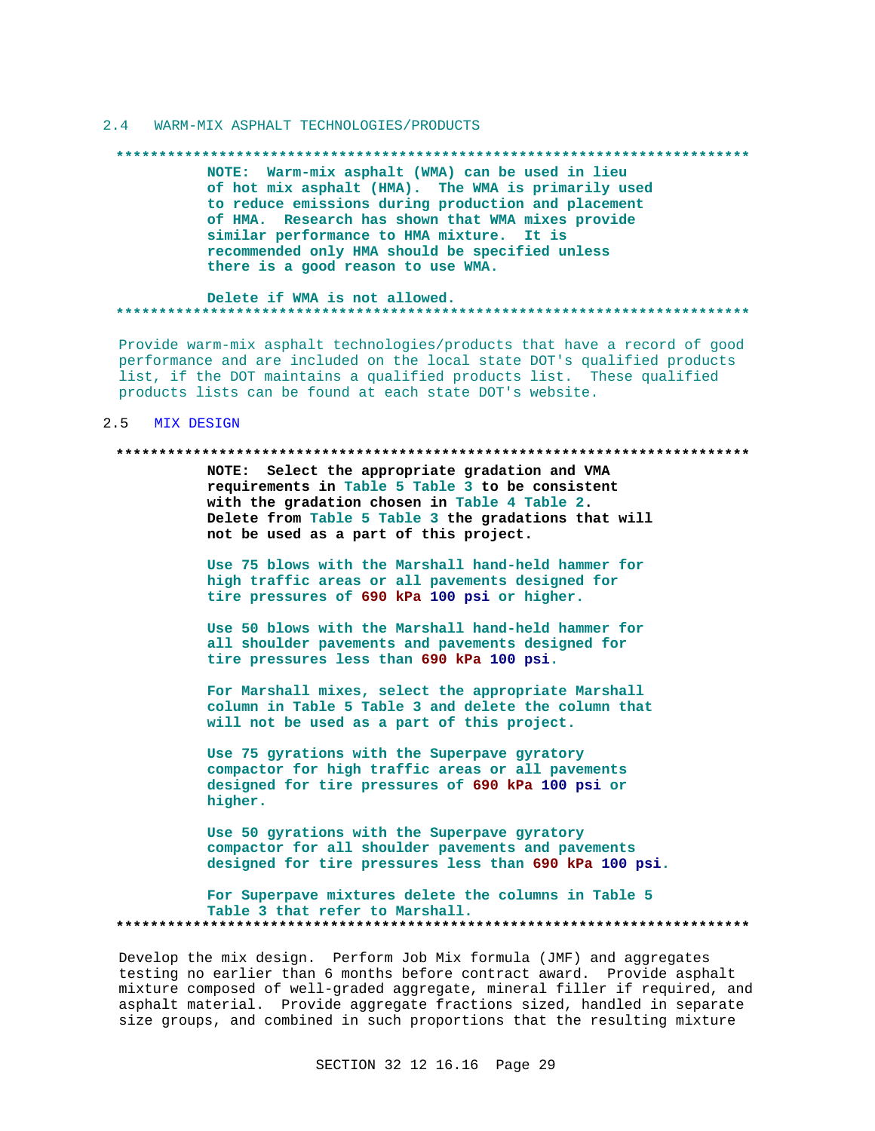#### $2.4$ WARM-MIX ASPHALT TECHNOLOGIES/PRODUCTS

#### 

NOTE: Warm-mix asphalt (WMA) can be used in lieu of hot mix asphalt (HMA). The WMA is primarily used to reduce emissions during production and placement of HMA. Research has shown that WMA mixes provide similar performance to HMA mixture. It is recommended only HMA should be specified unless there is a good reason to use WMA.

#### Delete if WMA is not allowed. **\*\*\*\*\*\*\*\*\*\*\***

Provide warm-mix asphalt technologies/products that have a record of good performance and are included on the local state DOT's qualified products list, if the DOT maintains a qualified products list. These qualified products lists can be found at each state DOT's website.

#### $2.5$ MIX DESIGN

### 

NOTE: Select the appropriate gradation and VMA requirements in Table 5 Table 3 to be consistent with the gradation chosen in Table 4 Table 2. Delete from Table 5 Table 3 the gradations that will not be used as a part of this project.

Use 75 blows with the Marshall hand-held hammer for high traffic areas or all pavements designed for tire pressures of 690 kPa 100 psi or higher.

Use 50 blows with the Marshall hand-held hammer for all shoulder pavements and pavements designed for tire pressures less than 690 kPa 100 psi.

For Marshall mixes, select the appropriate Marshall column in Table 5 Table 3 and delete the column that will not be used as a part of this project.

Use 75 gyrations with the Superpave gyratory compactor for high traffic areas or all pavements designed for tire pressures of 690 kPa 100 psi or higher.

Use 50 gyrations with the Superpave gyratory compactor for all shoulder pavements and pavements designed for tire pressures less than 690 kPa 100 psi.

For Superpave mixtures delete the columns in Table 5 Table 3 that refer to Marshall. 

Develop the mix design. Perform Job Mix formula (JMF) and aggregates testing no earlier than 6 months before contract award. Provide asphalt mixture composed of well-graded aggregate, mineral filler if required, and asphalt material. Provide aggregate fractions sized, handled in separate size groups, and combined in such proportions that the resulting mixture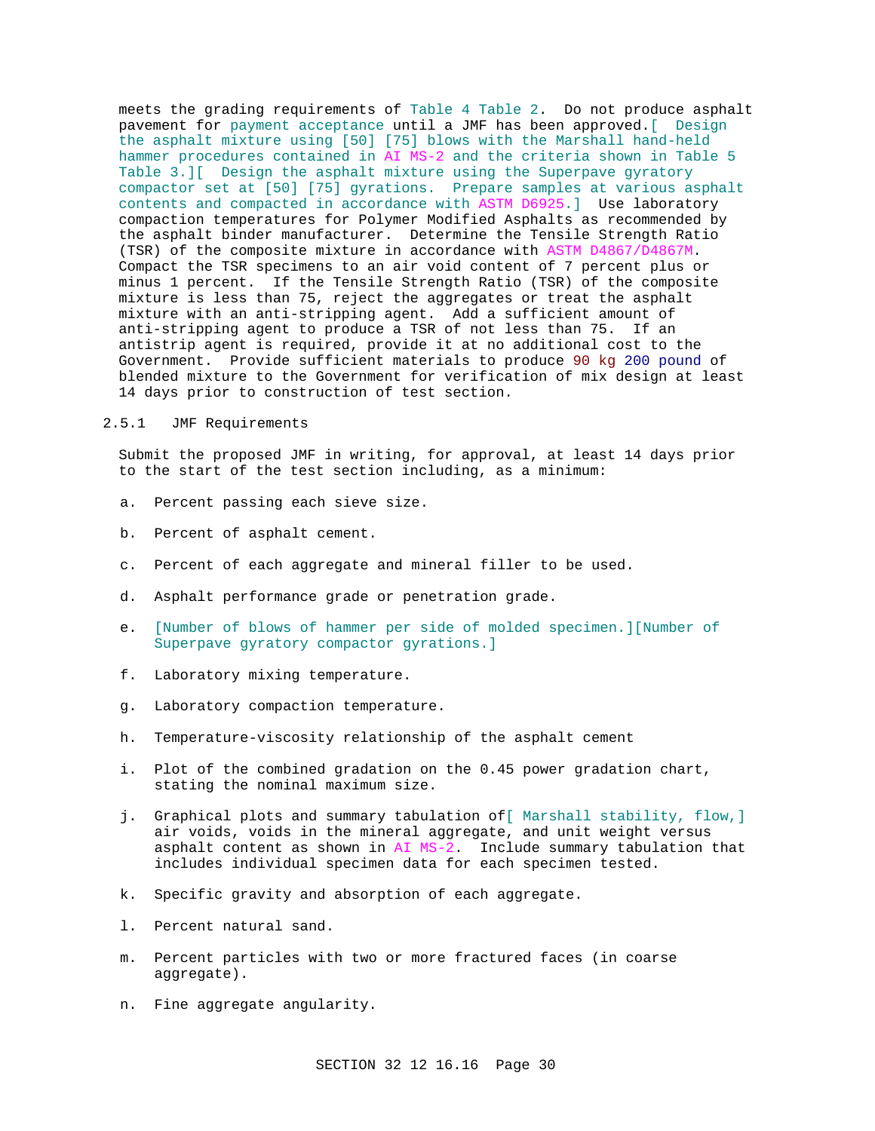meets the grading requirements of Table 4 Table 2. Do not produce asphalt pavement for payment acceptance until a JMF has been approved.[ Design the asphalt mixture using [50] [75] blows with the Marshall hand-held hammer procedures contained in AI MS-2 and the criteria shown in Table 5 Table 3.][ Design the asphalt mixture using the Superpave gyratory compactor set at [50] [75] gyrations. Prepare samples at various asphalt contents and compacted in accordance with ASTM D6925.] Use laboratory compaction temperatures for Polymer Modified Asphalts as recommended by the asphalt binder manufacturer. Determine the Tensile Strength Ratio (TSR) of the composite mixture in accordance with ASTM D4867/D4867M. Compact the TSR specimens to an air void content of 7 percent plus or minus 1 percent. If the Tensile Strength Ratio (TSR) of the composite mixture is less than 75, reject the aggregates or treat the asphalt mixture with an anti-stripping agent. Add a sufficient amount of anti-stripping agent to produce a TSR of not less than 75. If an antistrip agent is required, provide it at no additional cost to the Government. Provide sufficient materials to produce 90 kg 200 pound of blended mixture to the Government for verification of mix design at least 14 days prior to construction of test section.

## 2.5.1 JMF Requirements

Submit the proposed JMF in writing, for approval, at least 14 days prior to the start of the test section including, as a minimum:

- a. Percent passing each sieve size.
- b. Percent of asphalt cement.
- c. Percent of each aggregate and mineral filler to be used.
- d. Asphalt performance grade or penetration grade.
- e. [Number of blows of hammer per side of molded specimen.][Number of Superpave gyratory compactor gyrations.]
- f. Laboratory mixing temperature.
- g. Laboratory compaction temperature.
- h. Temperature-viscosity relationship of the asphalt cement
- i. Plot of the combined gradation on the 0.45 power gradation chart, stating the nominal maximum size.
- j. Graphical plots and summary tabulation of[ Marshall stability, flow,] air voids, voids in the mineral aggregate, and unit weight versus asphalt content as shown in AI MS-2. Include summary tabulation that includes individual specimen data for each specimen tested.
- k. Specific gravity and absorption of each aggregate.
- l. Percent natural sand.
- m. Percent particles with two or more fractured faces (in coarse aggregate).
- n. Fine aggregate angularity.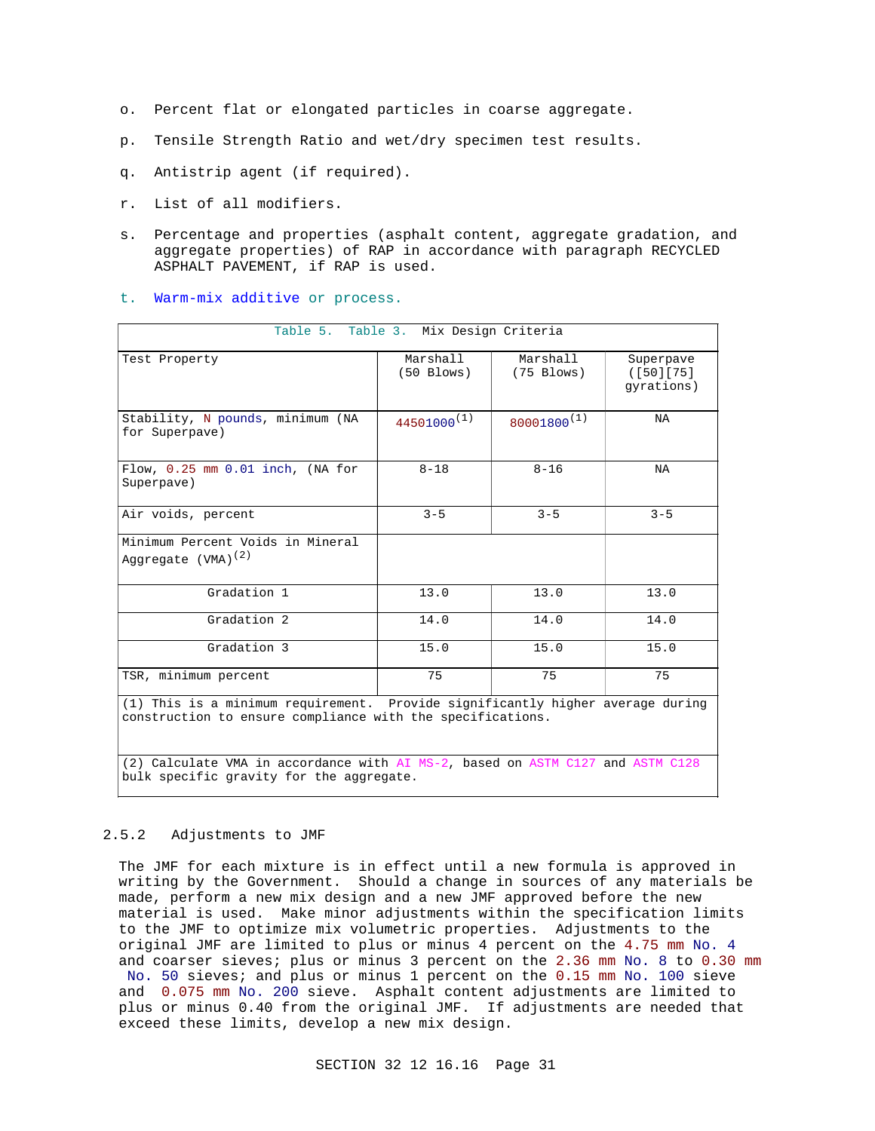- o. Percent flat or elongated particles in coarse aggregate.
- p. Tensile Strength Ratio and wet/dry specimen test results.
- q. Antistrip agent (if required).
- r. List of all modifiers.
- s. Percentage and properties (asphalt content, aggregate gradation, and aggregate properties) of RAP in accordance with paragraph RECYCLED ASPHALT PAVEMENT, if RAP is used.
- t. Warm-mix additive or process.

|                                                                                                                                              | Table 5. Table 3. Mix Design Criteria |                          |                                      |
|----------------------------------------------------------------------------------------------------------------------------------------------|---------------------------------------|--------------------------|--------------------------------------|
| Test Property                                                                                                                                | Marshall<br>$(50$ Blows)              | Marshall<br>$(75$ Blows) | Superpave<br>([50][75]<br>qyrations) |
| Stability, N pounds, minimum (NA<br>for Superpave)                                                                                           | $44501000^{(1)}$                      | $80001800^{(1)}$         | NA                                   |
| Flow, $0.25$ mm $0.01$ inch, (NA for<br>Superpave)                                                                                           | $8 - 18$                              | $8 - 16$                 | NA                                   |
| Air voids, percent                                                                                                                           | $3 - 5$                               | $3 - 5$                  | $3 - 5$                              |
| Minimum Percent Voids in Mineral<br>Aggregate (VMA) <sup>(2)</sup>                                                                           |                                       |                          |                                      |
| Gradation 1                                                                                                                                  | 13.0                                  | 13.0                     | 13.0                                 |
| Gradation 2                                                                                                                                  | 14.0                                  | 14.0                     | 14.0                                 |
| Gradation 3                                                                                                                                  | 15.0                                  | 15.0                     | 15.0                                 |
| TSR, minimum percent                                                                                                                         | 75                                    | 75                       | 75                                   |
| (1) This is a minimum requirement. Provide significantly higher average during<br>construction to ensure compliance with the specifications. |                                       |                          |                                      |
| (2) Calculate VMA in accordance with AI MS-2, based on ASTM C127 and ASTM C128<br>bulk specific gravity for the aggregate.                   |                                       |                          |                                      |

## 2.5.2 Adjustments to JMF

The JMF for each mixture is in effect until a new formula is approved in writing by the Government. Should a change in sources of any materials be made, perform a new mix design and a new JMF approved before the new material is used. Make minor adjustments within the specification limits to the JMF to optimize mix volumetric properties. Adjustments to the original JMF are limited to plus or minus 4 percent on the 4.75 mm No. 4 and coarser sieves; plus or minus 3 percent on the 2.36 mm No. 8 to 0.30 mm

 No. 50 sieves; and plus or minus 1 percent on the 0.15 mm No. 100 sieve and 0.075 mm No. 200 sieve. Asphalt content adjustments are limited to plus or minus 0.40 from the original JMF. If adjustments are needed that exceed these limits, develop a new mix design.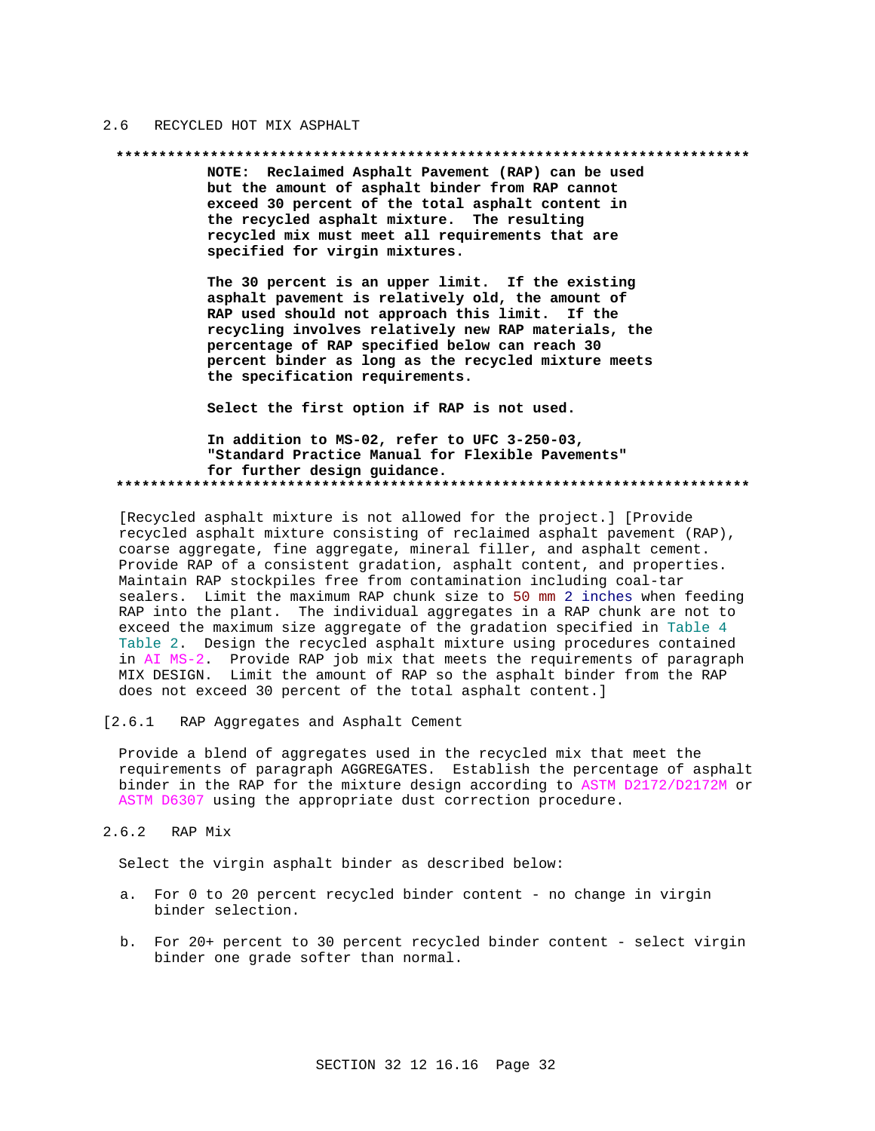#### $2.6$ RECYCLED HOT MIX ASPHALT

### 

NOTE: Reclaimed Asphalt Pavement (RAP) can be used but the amount of asphalt binder from RAP cannot exceed 30 percent of the total asphalt content in the recycled asphalt mixture. The resulting recycled mix must meet all requirements that are specified for virgin mixtures.

The 30 percent is an upper limit. If the existing asphalt pavement is relatively old, the amount of RAP used should not approach this limit. If the recycling involves relatively new RAP materials, the percentage of RAP specified below can reach 30 percent binder as long as the recycled mixture meets the specification requirements.

Select the first option if RAP is not used.

In addition to MS-02, refer to UFC 3-250-03, "Standard Practice Manual for Flexible Pavements" for further design guidance. 

[Recycled asphalt mixture is not allowed for the project.] [Provide recycled asphalt mixture consisting of reclaimed asphalt pavement (RAP), coarse aggregate, fine aggregate, mineral filler, and asphalt cement. Provide RAP of a consistent gradation, asphalt content, and properties. Maintain RAP stockpiles free from contamination including coal-tar sealers. Limit the maximum RAP chunk size to 50 mm 2 inches when feeding RAP into the plant. The individual aggregates in a RAP chunk are not to exceed the maximum size aggregate of the gradation specified in Table 4 Table 2. Design the recycled asphalt mixture using procedures contained in AI MS-2. Provide RAP job mix that meets the requirements of paragraph MIX DESIGN. Limit the amount of RAP so the asphalt binder from the RAP does not exceed 30 percent of the total asphalt content.]

 $[2.6.1]$ RAP Aggregates and Asphalt Cement

Provide a blend of aggregates used in the recycled mix that meet the requirements of paragraph AGGREGATES. Establish the percentage of asphalt binder in the RAP for the mixture design according to ASTM D2172/D2172M or ASTM D6307 using the appropriate dust correction procedure.

 $2.6.2$ RAP Mix

Select the virgin asphalt binder as described below:

- a. For 0 to 20 percent recycled binder content no change in virgin binder selection.
- b. For 20+ percent to 30 percent recycled binder content select virgin binder one grade softer than normal.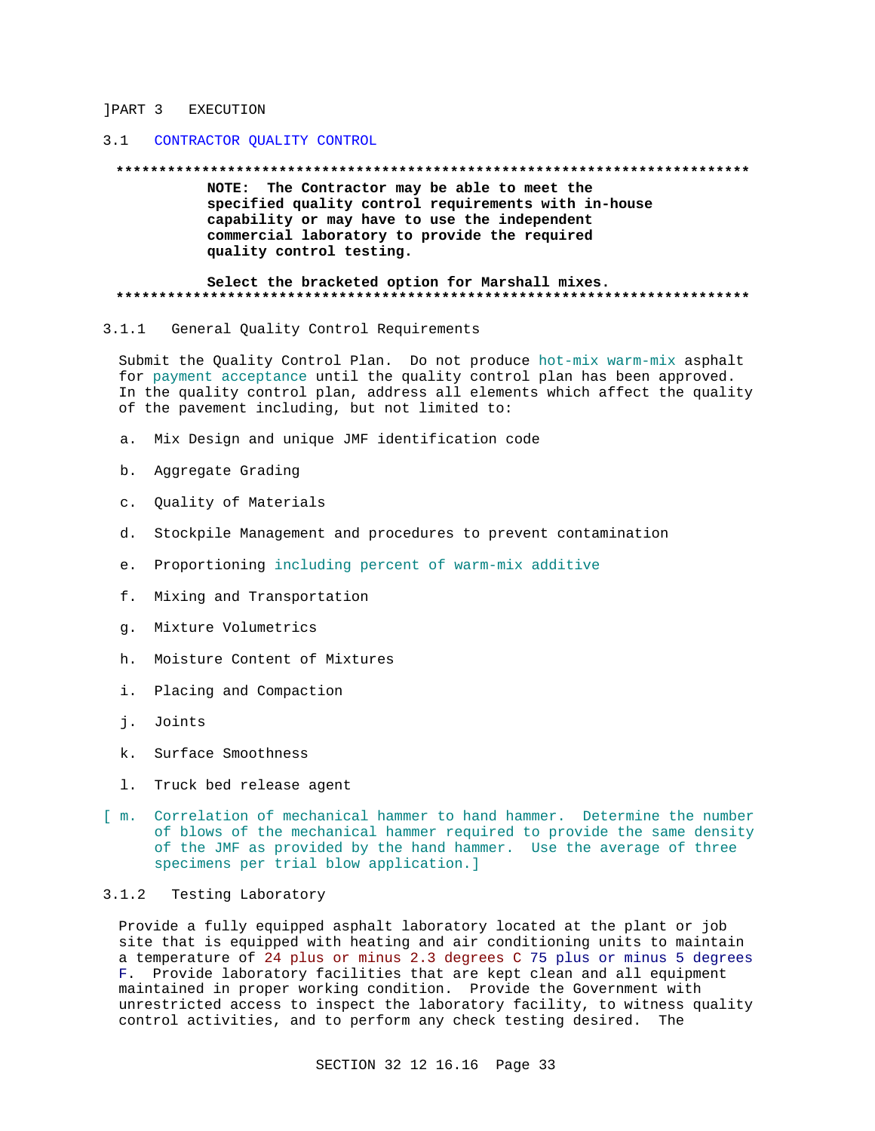## **JPART 3 EXECUTION**

## 3.1 CONTRACTOR QUALITY CONTROL

### 

NOTE: The Contractor may be able to meet the specified quality control requirements with in-house capability or may have to use the independent commercial laboratory to provide the required quality control testing.

### Select the bracketed option for Marshall mixes.

#### $3.1.1$ General Quality Control Requirements

Submit the Quality Control Plan. Do not produce hot-mix warm-mix asphalt for payment acceptance until the quality control plan has been approved. In the quality control plan, address all elements which affect the quality of the pavement including, but not limited to:

- Mix Design and unique JMF identification code  $a<sub>1</sub>$
- b. Aggregate Grading
- c. Quality of Materials
- d. Stockpile Management and procedures to prevent contamination
- e. Proportioning including percent of warm-mix additive
- f. Mixing and Transportation
- q. Mixture Volumetrics
- h. Moisture Content of Mixtures
- i. Placing and Compaction
- i. Joints
- k. Surface Smoothness
- 1. Truck bed release agent
- [ m. Correlation of mechanical hammer to hand hammer. Determine the number of blows of the mechanical hammer required to provide the same density of the JMF as provided by the hand hammer. Use the average of three specimens per trial blow application.]

## 3.1.2 Testing Laboratory

Provide a fully equipped asphalt laboratory located at the plant or job site that is equipped with heating and air conditioning units to maintain a temperature of 24 plus or minus 2.3 degrees C 75 plus or minus 5 degrees F. Provide laboratory facilities that are kept clean and all equipment maintained in proper working condition. Provide the Government with unrestricted access to inspect the laboratory facility, to witness quality control activities, and to perform any check testing desired. The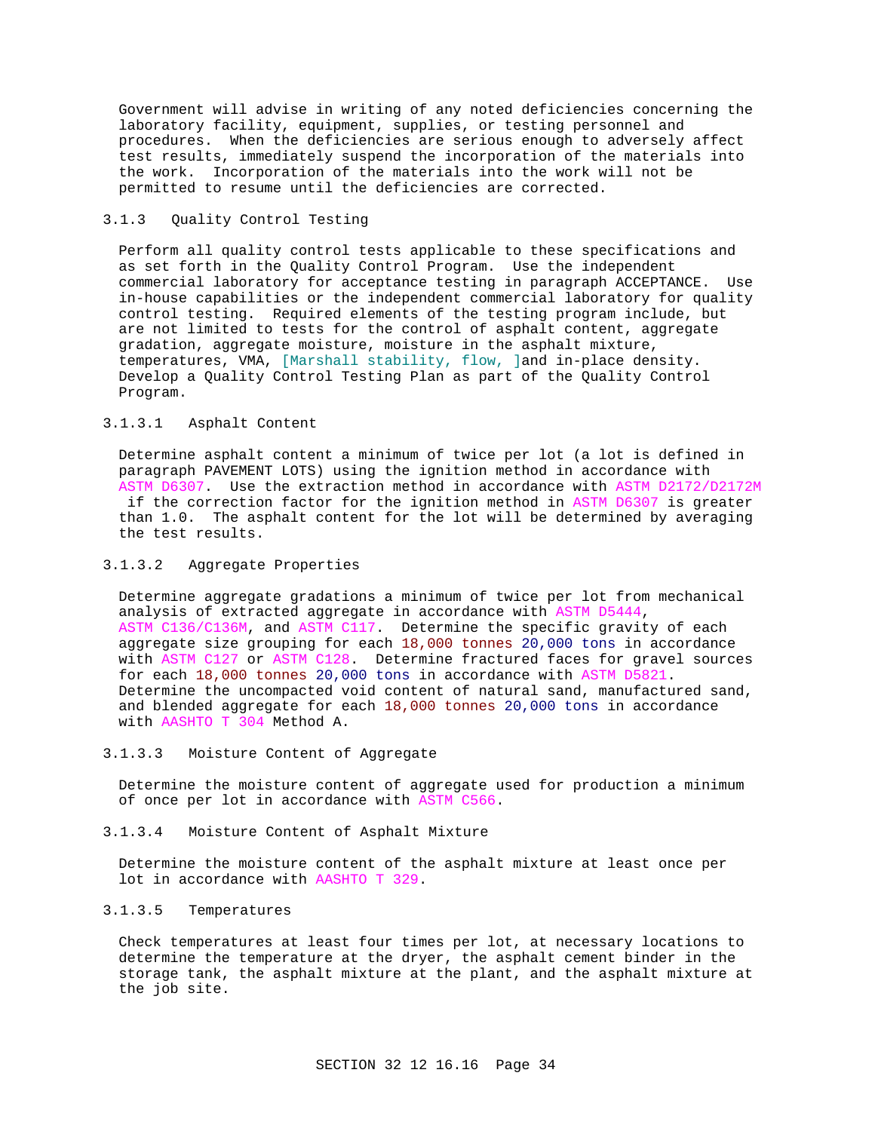Government will advise in writing of any noted deficiencies concerning the laboratory facility, equipment, supplies, or testing personnel and procedures. When the deficiencies are serious enough to adversely affect test results, immediately suspend the incorporation of the materials into the work. Incorporation of the materials into the work will not be permitted to resume until the deficiencies are corrected.

## 3.1.3 Quality Control Testing

Perform all quality control tests applicable to these specifications and as set forth in the Quality Control Program. Use the independent commercial laboratory for acceptance testing in paragraph ACCEPTANCE. Use in-house capabilities or the independent commercial laboratory for quality control testing. Required elements of the testing program include, but are not limited to tests for the control of asphalt content, aggregate gradation, aggregate moisture, moisture in the asphalt mixture, temperatures, VMA, [Marshall stability, flow, ]and in-place density. Develop a Quality Control Testing Plan as part of the Quality Control Program.

## 3.1.3.1 Asphalt Content

Determine asphalt content a minimum of twice per lot (a lot is defined in paragraph PAVEMENT LOTS) using the ignition method in accordance with ASTM D6307. Use the extraction method in accordance with ASTM D2172/D2172M if the correction factor for the ignition method in ASTM D6307 is greater than 1.0. The asphalt content for the lot will be determined by averaging the test results.

## 3.1.3.2 Aggregate Properties

Determine aggregate gradations a minimum of twice per lot from mechanical analysis of extracted aggregate in accordance with ASTM D5444, ASTM C136/C136M, and ASTM C117. Determine the specific gravity of each aggregate size grouping for each 18,000 tonnes 20,000 tons in accordance with ASTM C127 or ASTM C128. Determine fractured faces for gravel sources for each 18,000 tonnes 20,000 tons in accordance with ASTM D5821. Determine the uncompacted void content of natural sand, manufactured sand, and blended aggregate for each 18,000 tonnes 20,000 tons in accordance with AASHTO T 304 Method A.

3.1.3.3 Moisture Content of Aggregate

Determine the moisture content of aggregate used for production a minimum of once per lot in accordance with ASTM C566.

3.1.3.4 Moisture Content of Asphalt Mixture

Determine the moisture content of the asphalt mixture at least once per lot in accordance with AASHTO T 329.

## 3.1.3.5 Temperatures

Check temperatures at least four times per lot, at necessary locations to determine the temperature at the dryer, the asphalt cement binder in the storage tank, the asphalt mixture at the plant, and the asphalt mixture at the job site.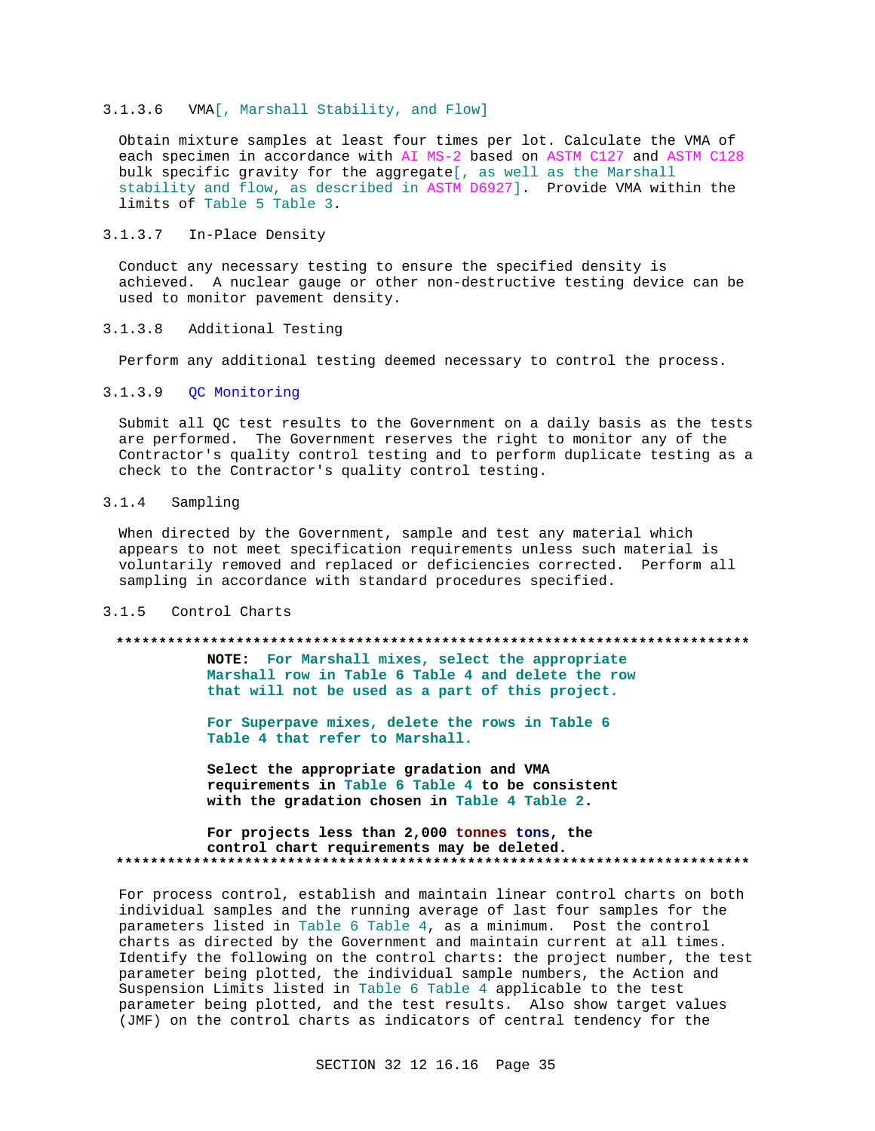## 3.1.3.6 VMA[, Marshall Stability, and Flow]

Obtain mixture samples at least four times per lot. Calculate the VMA of each specimen in accordance with AI MS-2 based on ASTM C127 and ASTM C128 bulk specific gravity for the aggregate[, as well as the Marshall stability and flow, as described in ASTM D6927]. Provide VMA within the limits of Table 5 Table 3.

## 3.1.3.7 In-Place Density

Conduct any necessary testing to ensure the specified density is achieved. A nuclear gauge or other non-destructive testing device can be used to monitor pavement density.

#### Additional Testing  $3.1.3.8$

Perform any additional testing deemed necessary to control the process.

## 3.1.3.9 OC Monitoring

Submit all QC test results to the Government on a daily basis as the tests are performed. The Government reserves the right to monitor any of the Contractor's quality control testing and to perform duplicate testing as a check to the Contractor's quality control testing.

#### $3.1.4$ Sampling

When directed by the Government, sample and test any material which appears to not meet specification requirements unless such material is voluntarily removed and replaced or deficiencies corrected. Perform all sampling in accordance with standard procedures specified.

## 3.1.5 Control Charts

## 

NOTE: For Marshall mixes, select the appropriate Marshall row in Table 6 Table 4 and delete the row that will not be used as a part of this project.

For Superpave mixes, delete the rows in Table 6 Table 4 that refer to Marshall.

Select the appropriate gradation and VMA requirements in Table 6 Table 4 to be consistent with the gradation chosen in Table 4 Table 2.

## For projects less than 2,000 tonnes tons, the control chart requirements may be deleted.

For process control, establish and maintain linear control charts on both individual samples and the running average of last four samples for the parameters listed in Table 6 Table 4, as a minimum. Post the control charts as directed by the Government and maintain current at all times. Identify the following on the control charts: the project number, the test parameter being plotted, the individual sample numbers, the Action and Suspension Limits listed in Table 6 Table 4 applicable to the test parameter being plotted, and the test results. Also show target values (JMF) on the control charts as indicators of central tendency for the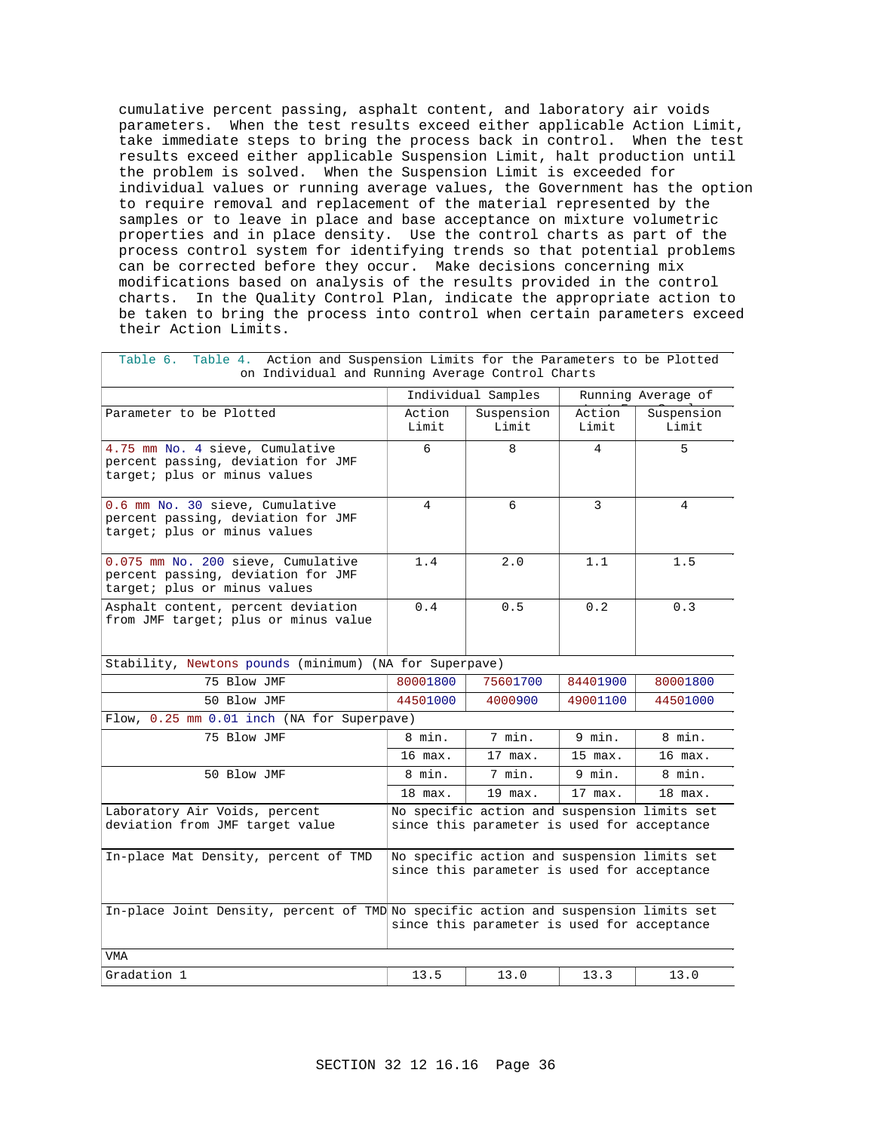cumulative percent passing, asphalt content, and laboratory air voids parameters. When the test results exceed either applicable Action Limit, take immediate steps to bring the process back in control. When the test results exceed either applicable Suspension Limit, halt production until the problem is solved. When the Suspension Limit is exceeded for individual values or running average values, the Government has the option to require removal and replacement of the material represented by the samples or to leave in place and base acceptance on mixture volumetric properties and in place density. Use the control charts as part of the process control system for identifying trends so that potential problems can be corrected before they occur. Make decisions concerning mix modifications based on analysis of the results provided in the control charts. In the Quality Control Plan, indicate the appropriate action to be taken to bring the process into control when certain parameters exceed their Action Limits.

| Table 4. Action and Suspension Limits for the Parameters to be Plotted<br>Table 6.<br>on Individual and Running Average Control Charts |                                                                                             |                                                                                             |                 |                     |
|----------------------------------------------------------------------------------------------------------------------------------------|---------------------------------------------------------------------------------------------|---------------------------------------------------------------------------------------------|-----------------|---------------------|
|                                                                                                                                        |                                                                                             | Individual Samples                                                                          |                 | Running Average of  |
| Parameter to be Plotted                                                                                                                | Action<br>Limit                                                                             | Suspension<br>Limit                                                                         | Action<br>Limit | Suspension<br>Limit |
| 4.75 mm No. 4 sieve, Cumulative<br>percent passing, deviation for JMF<br>target; plus or minus values                                  | 6                                                                                           | 8                                                                                           | $\overline{4}$  | 5                   |
| 0.6 mm No. 30 sieve, Cumulative<br>percent passing, deviation for JMF<br>target; plus or minus values                                  | $\overline{4}$                                                                              | 6                                                                                           | 3               | $\overline{4}$      |
| 0.075 mm No. 200 sieve, Cumulative<br>percent passing, deviation for JMF<br>target; plus or minus values                               | 1.4                                                                                         | 2.0                                                                                         | 1.1             | 1.5                 |
| Asphalt content, percent deviation<br>from JMF target; plus or minus value                                                             | 0.4                                                                                         | 0.5                                                                                         | 0.2             | 0.3                 |
| Stability, Newtons pounds (minimum) (NA for Superpave)                                                                                 |                                                                                             |                                                                                             |                 |                     |
| 75 Blow JMF                                                                                                                            | 80001800                                                                                    | 75601700                                                                                    | 84401900        | 80001800            |
| 50 Blow JMF                                                                                                                            | 44501000                                                                                    | 4000900                                                                                     | 49001100        | 44501000            |
| Flow, 0.25 mm 0.01 inch (NA for Superpave)                                                                                             |                                                                                             |                                                                                             |                 |                     |
| 75 Blow JMF                                                                                                                            | 8 min.                                                                                      | 7 min.                                                                                      | 9 min.          | 8 min.              |
|                                                                                                                                        | 16 max.                                                                                     | 17 max.                                                                                     | 15 max.         | 16 max.             |
| 50 Blow JMF                                                                                                                            | 8 min.                                                                                      | 7 min.                                                                                      | 9 min.          | 8 min.              |
|                                                                                                                                        | $18$ max.                                                                                   | 19 max.                                                                                     | 17 max.         | 18 max.             |
| Laboratory Air Voids, percent<br>deviation from JMF target value                                                                       | No specific action and suspension limits set<br>since this parameter is used for acceptance |                                                                                             |                 |                     |
| In-place Mat Density, percent of TMD                                                                                                   |                                                                                             | No specific action and suspension limits set<br>since this parameter is used for acceptance |                 |                     |
| In-place Joint Density, percent of TMD No specific action and suspension limits set                                                    |                                                                                             | since this parameter is used for acceptance                                                 |                 |                     |
| VMA                                                                                                                                    |                                                                                             |                                                                                             |                 |                     |
| Gradation 1                                                                                                                            | 13.5                                                                                        | 13.0                                                                                        | 13.3            | 13.0                |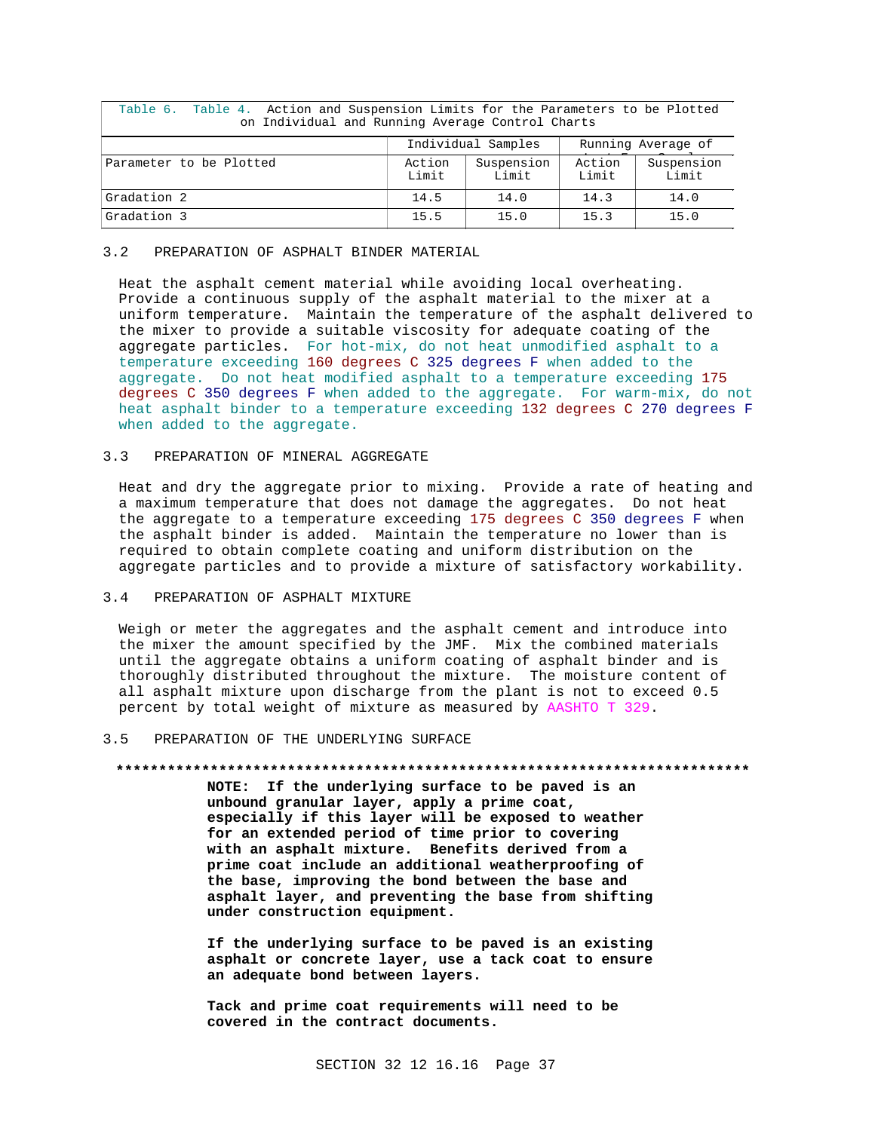| Table 6. Table 4. Action and Suspension Limits for the Parameters to be Plotted<br>on Individual and Running Average Control Charts |                 |                     |                 |                     |
|-------------------------------------------------------------------------------------------------------------------------------------|-----------------|---------------------|-----------------|---------------------|
| Individual Samples<br>Running Average of                                                                                            |                 |                     |                 |                     |
| Parameter to be Plotted                                                                                                             | Action<br>Limit | Suspension<br>Limit | Action<br>Limit | Suspension<br>Limit |
| Gradation 2                                                                                                                         | 14.5            | 14.0                | 14.3            | 14.0                |
| Gradation 3                                                                                                                         | 15.5            | 15.0                | 15.3            | 15.0                |

## 3.2 PREPARATION OF ASPHALT BINDER MATERIAL

Heat the asphalt cement material while avoiding local overheating. Provide a continuous supply of the asphalt material to the mixer at a uniform temperature. Maintain the temperature of the asphalt delivered to the mixer to provide a suitable viscosity for adequate coating of the aggregate particles. For hot-mix, do not heat unmodified asphalt to a temperature exceeding 160 degrees C 325 degrees F when added to the aggregate. Do not heat modified asphalt to a temperature exceeding 175 degrees C 350 degrees F when added to the aggregate. For warm-mix, do not heat asphalt binder to a temperature exceeding 132 degrees C 270 degrees F when added to the aggregate.

## 3.3 PREPARATION OF MINERAL AGGREGATE

Heat and dry the aggregate prior to mixing. Provide a rate of heating and a maximum temperature that does not damage the aggregates. Do not heat the aggregate to a temperature exceeding 175 degrees C 350 degrees F when the asphalt binder is added. Maintain the temperature no lower than is required to obtain complete coating and uniform distribution on the aggregate particles and to provide a mixture of satisfactory workability.

## 3.4 PREPARATION OF ASPHALT MIXTURE

Weigh or meter the aggregates and the asphalt cement and introduce into the mixer the amount specified by the JMF. Mix the combined materials until the aggregate obtains a uniform coating of asphalt binder and is thoroughly distributed throughout the mixture. The moisture content of all asphalt mixture upon discharge from the plant is not to exceed 0.5 percent by total weight of mixture as measured by AASHTO T 329.

## 3.5 PREPARATION OF THE UNDERLYING SURFACE

### **\*\*\*\*\*\*\*\*\*\*\*\*\*\*\*\*\*\*\*\*\*\*\*\*\*\*\*\*\*\*\*\*\*\*\*\*\*\*\*\*\*\*\*\*\*\*\*\*\*\*\*\*\*\*\*\*\*\*\*\*\*\*\*\*\*\*\*\*\*\*\*\*\*\***

**NOTE: If the underlying surface to be paved is an unbound granular layer, apply a prime coat, especially if this layer will be exposed to weather for an extended period of time prior to covering with an asphalt mixture. Benefits derived from a prime coat include an additional weatherproofing of the base, improving the bond between the base and asphalt layer, and preventing the base from shifting under construction equipment.**

**If the underlying surface to be paved is an existing asphalt or concrete layer, use a tack coat to ensure an adequate bond between layers.**

**Tack and prime coat requirements will need to be covered in the contract documents.**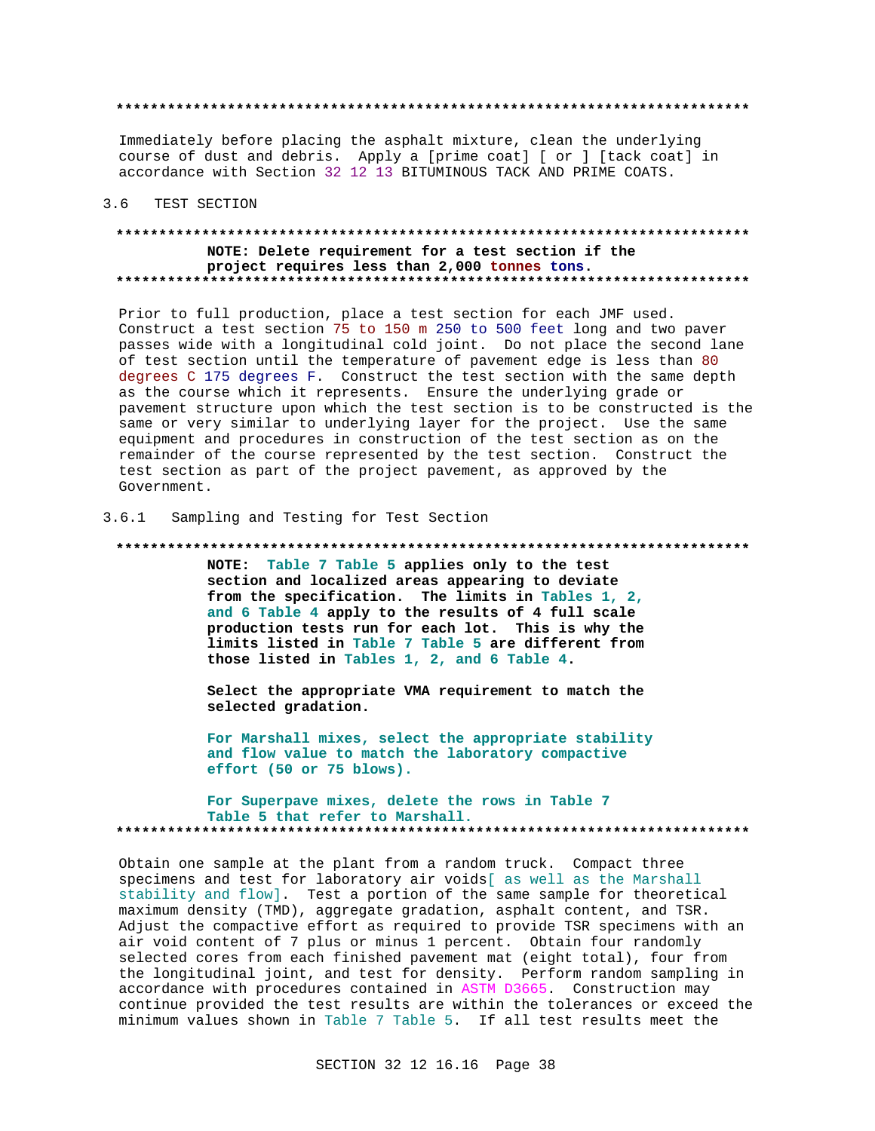Immediately before placing the asphalt mixture, clean the underlying course of dust and debris. Apply a [prime coat] [ or ] [tack coat] in accordance with Section 32 12 13 BITUMINOUS TACK AND PRIME COATS.

#### $3.6$ TEST SECTION

## NOTE: Delete requirement for a test section if the project requires less than 2,000 tonnes tons.

Prior to full production, place a test section for each JMF used. Construct a test section 75 to 150 m 250 to 500 feet long and two paver passes wide with a longitudinal cold joint. Do not place the second lane of test section until the temperature of pavement edge is less than 80 degrees C 175 degrees F. Construct the test section with the same depth as the course which it represents. Ensure the underlying grade or pavement structure upon which the test section is to be constructed is the same or very similar to underlying layer for the project. Use the same equipment and procedures in construction of the test section as on the remainder of the course represented by the test section. Construct the test section as part of the project pavement, as approved by the Government.

#### $3.6.1$ Sampling and Testing for Test Section

### 

NOTE: Table 7 Table 5 applies only to the test section and localized areas appearing to deviate from the specification. The limits in Tables 1, 2, and 6 Table 4 apply to the results of 4 full scale production tests run for each lot. This is why the limits listed in Table 7 Table 5 are different from those listed in Tables 1, 2, and 6 Table 4.

Select the appropriate VMA requirement to match the selected gradation.

For Marshall mixes, select the appropriate stability and flow value to match the laboratory compactive effort (50 or 75 blows).

### For Superpave mixes, delete the rows in Table 7 Table 5 that refer to Marshall.

Obtain one sample at the plant from a random truck. Compact three specimens and test for laboratory air voids[ as well as the Marshall stability and flow]. Test a portion of the same sample for theoretical maximum density (TMD), aggregate gradation, asphalt content, and TSR. Adjust the compactive effort as required to provide TSR specimens with an air void content of 7 plus or minus 1 percent. Obtain four randomly selected cores from each finished pavement mat (eight total), four from the longitudinal joint, and test for density. Perform random sampling in accordance with procedures contained in ASTM D3665. Construction may continue provided the test results are within the tolerances or exceed the minimum values shown in Table 7 Table 5. If all test results meet the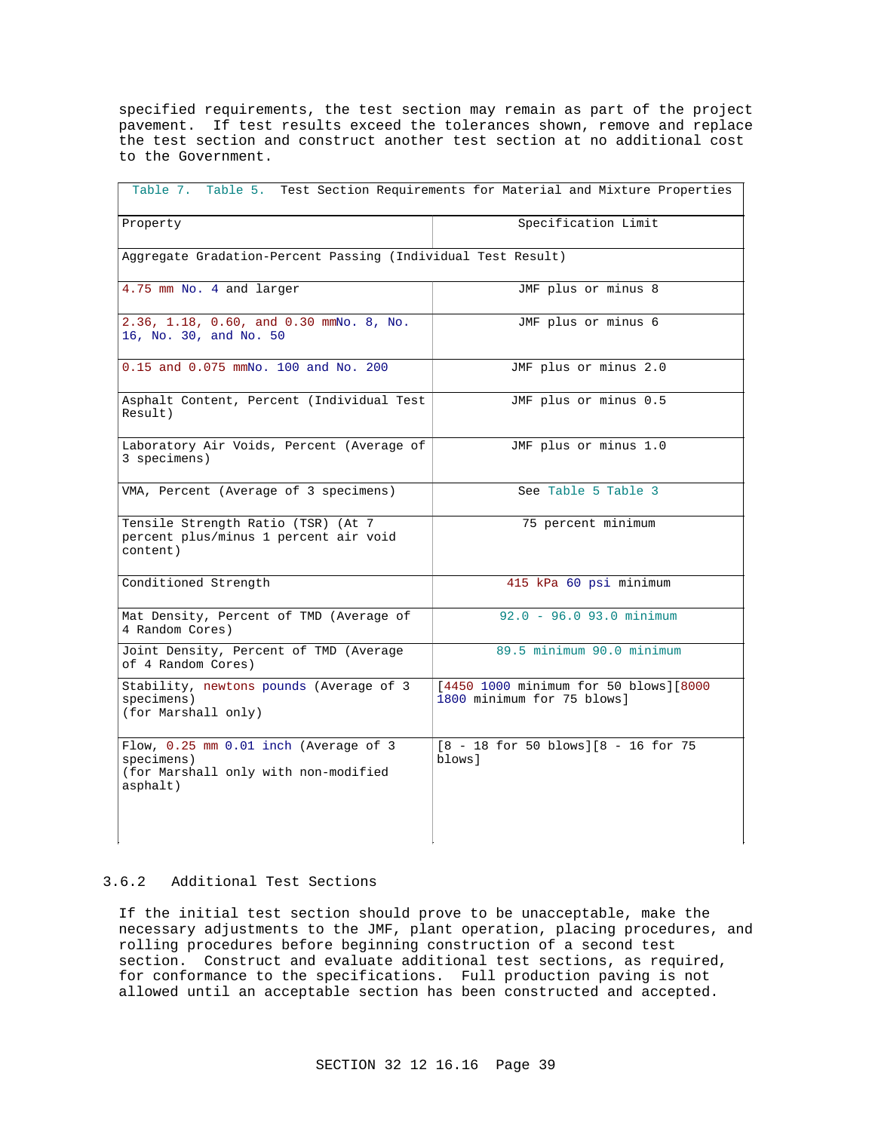specified requirements, the test section may remain as part of the project pavement. If test results exceed the tolerances shown, remove and replace the test section and construct another test section at no additional cost to the Government.

| Table 7. Table 5. Test Section Requirements for Material and Mixture Properties                         |                                                                     |  |  |
|---------------------------------------------------------------------------------------------------------|---------------------------------------------------------------------|--|--|
| Property                                                                                                | Specification Limit                                                 |  |  |
| Aggregate Gradation-Percent Passing (Individual Test Result)                                            |                                                                     |  |  |
| 4.75 mm No. 4 and larger                                                                                | JMF plus or minus 8                                                 |  |  |
| 2.36, 1.18, 0.60, and 0.30 mmNo. 8, No.<br>16, No. 30, and No. 50                                       | JMF plus or minus 6                                                 |  |  |
| 0.15 and 0.075 mmNo. 100 and No. 200                                                                    | JMF plus or minus 2.0                                               |  |  |
| Asphalt Content, Percent (Individual Test<br>Result)                                                    | JMF plus or minus 0.5                                               |  |  |
| Laboratory Air Voids, Percent (Average of<br>3 specimens)                                               | JMF plus or minus 1.0                                               |  |  |
| VMA, Percent (Average of 3 specimens)                                                                   | See Table 5 Table 3                                                 |  |  |
| Tensile Strength Ratio (TSR) (At 7<br>percent plus/minus 1 percent air void<br>content)                 | 75 percent minimum                                                  |  |  |
| Conditioned Strength                                                                                    | 415 kPa 60 psi minimum                                              |  |  |
| Mat Density, Percent of TMD (Average of<br>4 Random Cores)                                              | $92.0 - 96.0 93.0 minimum$                                          |  |  |
| Joint Density, Percent of TMD (Average<br>of 4 Random Cores)                                            | 89.5 minimum 90.0 minimum                                           |  |  |
| Stability, newtons pounds (Average of 3<br>specimens)<br>(for Marshall only)                            | [4450 1000 minimum for 50 blows][8000<br>1800 minimum for 75 blows] |  |  |
| Flow, 0.25 mm 0.01 inch (Average of 3<br>specimens)<br>(for Marshall only with non-modified<br>asphalt) | $[8 - 18$ for 50 blows] $[8 - 16$ for 75<br>blows l                 |  |  |

## 3.6.2 Additional Test Sections

If the initial test section should prove to be unacceptable, make the necessary adjustments to the JMF, plant operation, placing procedures, and rolling procedures before beginning construction of a second test section. Construct and evaluate additional test sections, as required, for conformance to the specifications. Full production paving is not allowed until an acceptable section has been constructed and accepted.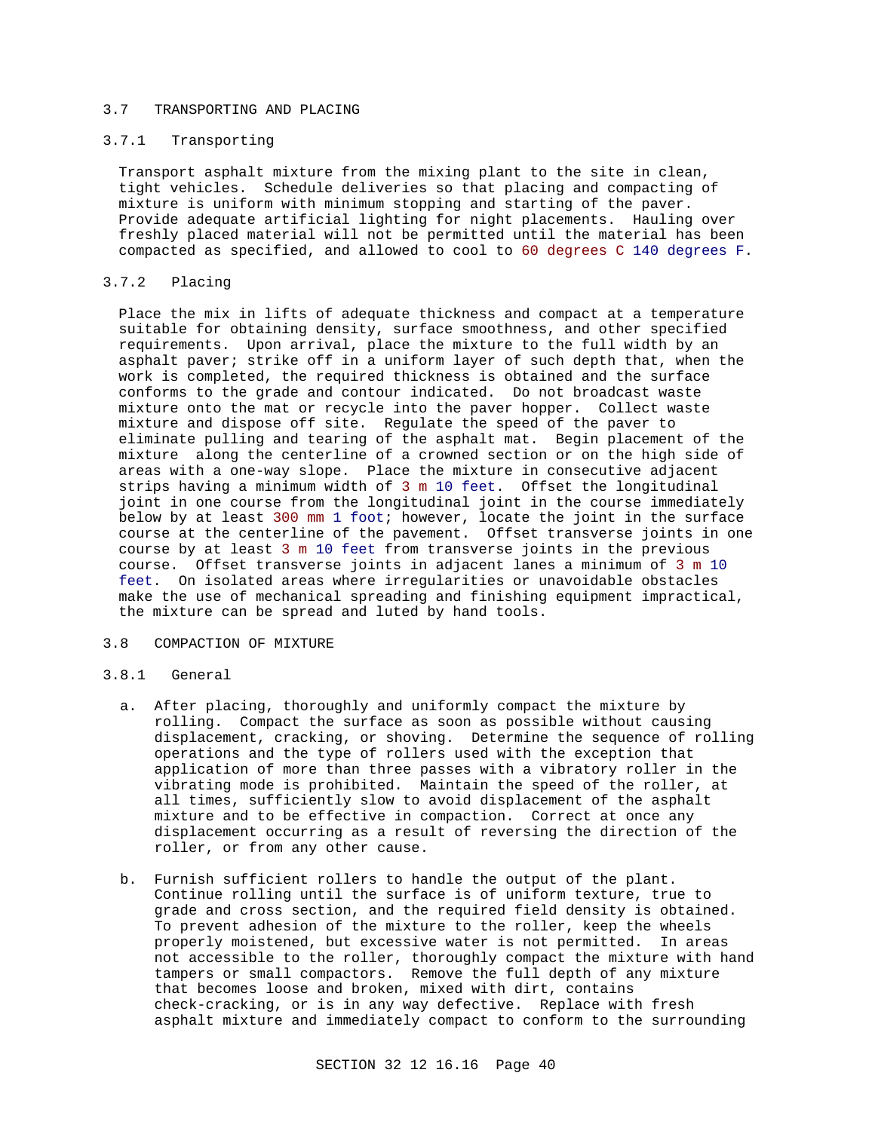## 3.7 TRANSPORTING AND PLACING

## 3.7.1 Transporting

Transport asphalt mixture from the mixing plant to the site in clean, tight vehicles. Schedule deliveries so that placing and compacting of mixture is uniform with minimum stopping and starting of the paver. Provide adequate artificial lighting for night placements. Hauling over freshly placed material will not be permitted until the material has been compacted as specified, and allowed to cool to 60 degrees C 140 degrees F.

## 3.7.2 Placing

Place the mix in lifts of adequate thickness and compact at a temperature suitable for obtaining density, surface smoothness, and other specified requirements. Upon arrival, place the mixture to the full width by an asphalt paver; strike off in a uniform layer of such depth that, when the work is completed, the required thickness is obtained and the surface conforms to the grade and contour indicated. Do not broadcast waste mixture onto the mat or recycle into the paver hopper. Collect waste mixture and dispose off site. Regulate the speed of the paver to eliminate pulling and tearing of the asphalt mat. Begin placement of the mixture along the centerline of a crowned section or on the high side of areas with a one-way slope. Place the mixture in consecutive adjacent strips having a minimum width of 3 m 10 feet. Offset the longitudinal joint in one course from the longitudinal joint in the course immediately below by at least 300 mm 1 foot; however, locate the joint in the surface course at the centerline of the pavement. Offset transverse joints in one course by at least 3 m 10 feet from transverse joints in the previous course. Offset transverse joints in adjacent lanes a minimum of 3 m 10 feet. On isolated areas where irregularities or unavoidable obstacles make the use of mechanical spreading and finishing equipment impractical, the mixture can be spread and luted by hand tools.

## 3.8 COMPACTION OF MIXTURE

## 3.8.1 General

- a. After placing, thoroughly and uniformly compact the mixture by rolling. Compact the surface as soon as possible without causing displacement, cracking, or shoving. Determine the sequence of rolling operations and the type of rollers used with the exception that application of more than three passes with a vibratory roller in the vibrating mode is prohibited. Maintain the speed of the roller, at all times, sufficiently slow to avoid displacement of the asphalt mixture and to be effective in compaction. Correct at once any displacement occurring as a result of reversing the direction of the roller, or from any other cause.
- b. Furnish sufficient rollers to handle the output of the plant. Continue rolling until the surface is of uniform texture, true to grade and cross section, and the required field density is obtained. To prevent adhesion of the mixture to the roller, keep the wheels properly moistened, but excessive water is not permitted. In areas not accessible to the roller, thoroughly compact the mixture with hand tampers or small compactors. Remove the full depth of any mixture that becomes loose and broken, mixed with dirt, contains check-cracking, or is in any way defective. Replace with fresh asphalt mixture and immediately compact to conform to the surrounding